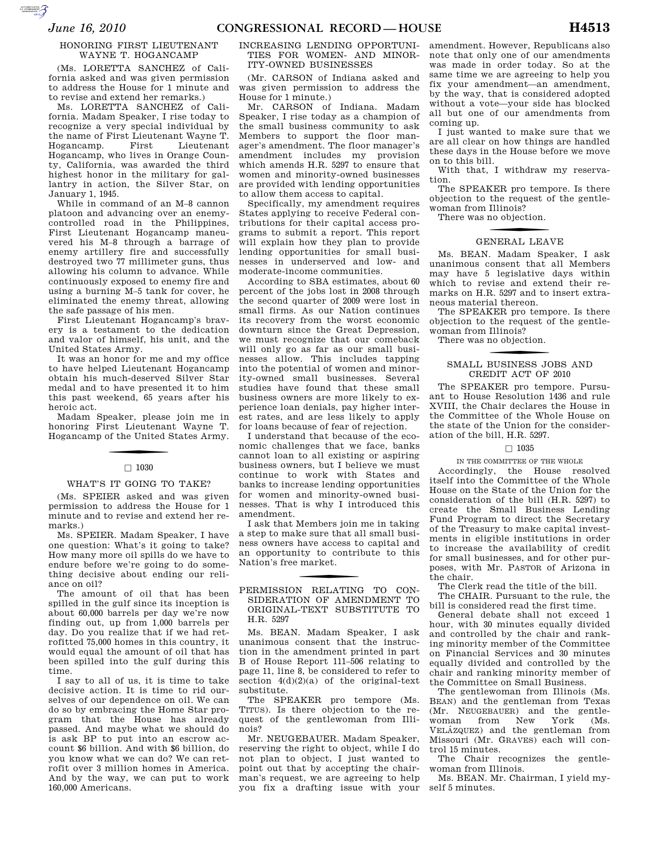**SUPERING AND SECURE AND** 

## HONORING FIRST LIEUTENANT WAYNE T. HOGANCAMP

(Ms. LORETTA SANCHEZ of California asked and was given permission to address the House for 1 minute and to revise and extend her remarks.)

Ms. LORETTA SANCHEZ of California. Madam Speaker, I rise today to recognize a very special individual by the name of First Lieutenant Wayne T. Hogancamp. First Lieutenant Hogancamp, who lives in Orange County, California, was awarded the third highest honor in the military for gallantry in action, the Silver Star, on January 1, 1945.

While in command of an M–8 cannon platoon and advancing over an enemycontrolled road in the Philippines, First Lieutenant Hogancamp maneuvered his M–8 through a barrage of enemy artillery fire and successfully destroyed two 77 millimeter guns, thus allowing his column to advance. While continuously exposed to enemy fire and using a burning M–5 tank for cover, he eliminated the enemy threat, allowing the safe passage of his men.

First Lieutenant Hogancamp's bravery is a testament to the dedication and valor of himself, his unit, and the United States Army.

It was an honor for me and my office to have helped Lieutenant Hogancamp obtain his much-deserved Silver Star medal and to have presented it to him this past weekend, 65 years after his heroic act.

Madam Speaker, please join me in honoring First Lieutenant Wayne T. Hogancamp of the United States Army.

## $\Box$  1030

## WHAT'S IT GOING TO TAKE?

(Ms. SPEIER asked and was given permission to address the House for 1 minute and to revise and extend her remarks.)

Ms. SPEIER. Madam Speaker, I have one question: What's it going to take? How many more oil spills do we have to endure before we're going to do something decisive about ending our reliance on oil?

The amount of oil that has been spilled in the gulf since its inception is about 60,000 barrels per day we're now finding out, up from 1,000 barrels per day. Do you realize that if we had retrofitted 75,000 homes in this country, it would equal the amount of oil that has been spilled into the gulf during this time.

I say to all of us, it is time to take decisive action. It is time to rid ourselves of our dependence on oil. We can do so by embracing the Home Star program that the House has already passed. And maybe what we should do is ask BP to put into an escrow account \$6 billion. And with \$6 billion, do you know what we can do? We can retrofit over 3 million homes in America. And by the way, we can put to work 160,000 Americans.

### INCREASING LENDING OPPORTUNI-TIES FOR WOMEN- AND MINOR-ITY-OWNED BUSINESSES

(Mr. CARSON of Indiana asked and was given permission to address the House for 1 minute.)

Mr. CARSON of Indiana. Madam Speaker, I rise today as a champion of the small business community to ask Members to support the floor manager's amendment. The floor manager's amendment includes my provision which amends H.R. 5297 to ensure that women and minority-owned businesses are provided with lending opportunities to allow them access to capital.

Specifically, my amendment requires States applying to receive Federal contributions for their capital access programs to submit a report. This report will explain how they plan to provide lending opportunities for small businesses in underserved and low- and moderate-income communities.

According to SBA estimates, about 60 percent of the jobs lost in 2008 through the second quarter of 2009 were lost in small firms. As our Nation continues its recovery from the worst economic downturn since the Great Depression, we must recognize that our comeback will only go as far as our small businesses allow. This includes tapping into the potential of women and minority-owned small businesses. Several studies have found that these small business owners are more likely to experience loan denials, pay higher interest rates, and are less likely to apply for loans because of fear of rejection.

I understand that because of the economic challenges that we face, banks cannot loan to all existing or aspiring business owners, but I believe we must continue to work with States and banks to increase lending opportunities for women and minority-owned businesses. That is why I introduced this amendment.

I ask that Members join me in taking a step to make sure that all small business owners have access to capital and an opportunity to contribute to this Nation's free market.

## f PERMISSION RELATING TO CON-SIDERATION OF AMENDMENT TO ORIGINAL-TEXT SUBSTITUTE TO H.R. 5297

Ms. BEAN. Madam Speaker, I ask unanimous consent that the instruction in the amendment printed in part B of House Report 111–506 relating to page 11, line 8, be considered to refer to section  $4(d)(2)(a)$  of the original-text substitute.

The SPEAKER pro tempore (Ms. TITUS). Is there objection to the request of the gentlewoman from Illinois?

Mr. NEUGEBAUER. Madam Speaker, reserving the right to object, while I do not plan to object, I just wanted to point out that by accepting the chairman's request, we are agreeing to help you fix a drafting issue with your

amendment. However, Republicans also note that only one of our amendments was made in order today. So at the same time we are agreeing to help you fix your amendment—an amendment, by the way, that is considered adopted without a vote—your side has blocked all but one of our amendments from coming up.

I just wanted to make sure that we are all clear on how things are handled these days in the House before we move on to this bill.

With that, I withdraw my reservation.

The SPEAKER pro tempore. Is there objection to the request of the gentlewoman from Illinois?

There was no objection.

# GENERAL LEAVE

Ms. BEAN. Madam Speaker, I ask unanimous consent that all Members may have 5 legislative days within which to revise and extend their remarks on H.R. 5297 and to insert extraneous material thereon.

The SPEAKER pro tempore. Is there objection to the request of the gentlewoman from Illinois?

There was no objection.

## SMALL BUSINESS JOBS AND CREDIT ACT OF 2010

The SPEAKER pro tempore. Pursuant to House Resolution 1436 and rule XVIII, the Chair declares the House in the Committee of the Whole House on the state of the Union for the consideration of the bill, H.R. 5297.

## $\Box$  1035

#### IN THE COMMITTEE OF THE WHOLE

Accordingly, the House resolved itself into the Committee of the Whole House on the State of the Union for the consideration of the bill (H.R. 5297) to create the Small Business Lending Fund Program to direct the Secretary of the Treasury to make capital investments in eligible institutions in order to increase the availability of credit for small businesses, and for other purposes, with Mr. PASTOR of Arizona in the chair.

The Clerk read the title of the bill.

The CHAIR. Pursuant to the rule, the bill is considered read the first time.

General debate shall not exceed 1 hour, with 30 minutes equally divided and controlled by the chair and ranking minority member of the Committee on Financial Services and 30 minutes equally divided and controlled by the chair and ranking minority member of the Committee on Small Business.

The gentlewoman from Illinois (Ms. BEAN) and the gentleman from Texas (Mr. NEUGEBAUER) and the gentlewoman from New York (Ms. VELÁZQUEZ) and the gentleman from Missouri (Mr. GRAVES) each will control 15 minutes.

The Chair recognizes the gentlewoman from Illinois.

Ms. BEAN. Mr. Chairman, I yield myself 5 minutes.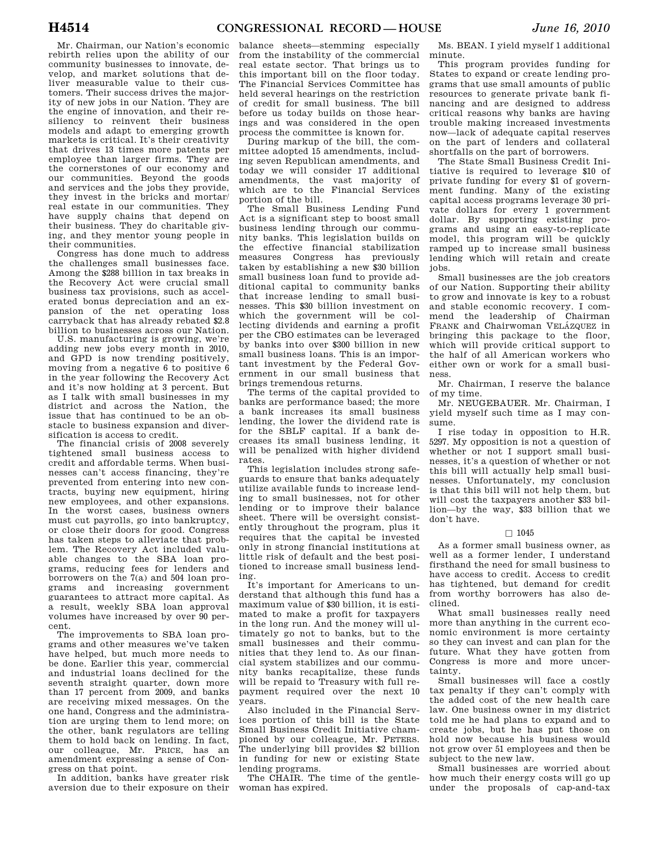Mr. Chairman, our Nation's economic rebirth relies upon the ability of our community businesses to innovate, develop, and market solutions that deliver measurable value to their customers. Their success drives the majority of new jobs in our Nation. They are the engine of innovation, and their resiliency to reinvent their business models and adapt to emerging growth markets is critical. It's their creativity that drives 13 times more patents per employee than larger firms. They are the cornerstones of our economy and our communities. Beyond the goods and services and the jobs they provide, they invest in the bricks and mortar/ real estate in our communities. They have supply chains that depend on their business. They do charitable giving, and they mentor young people in their communities.

Congress has done much to address the challenges small businesses face. Among the \$288 billion in tax breaks in the Recovery Act were crucial small business tax provisions, such as accelerated bonus depreciation and an expansion of the net operating loss carryback that has already rebated \$2.8 billion to businesses across our Nation.

U.S. manufacturing is growing, we're adding new jobs every month in 2010, and GPD is now trending positively, moving from a negative 6 to positive 6 in the year following the Recovery Act and it's now holding at 3 percent. But as I talk with small businesses in my district and across the Nation, the issue that has continued to be an obstacle to business expansion and diversification is access to credit.

The financial crisis of 2008 severely tightened small business access to credit and affordable terms. When businesses can't access financing, they're prevented from entering into new contracts, buying new equipment, hiring new employees, and other expansions. In the worst cases, business owners must cut payrolls, go into bankruptcy, or close their doors for good. Congress has taken steps to alleviate that problem. The Recovery Act included valuable changes to the SBA loan programs, reducing fees for lenders and borrowers on the 7(a) and 504 loan programs and increasing government guarantees to attract more capital. As a result, weekly SBA loan approval volumes have increased by over 90 percent.

The improvements to SBA loan programs and other measures we've taken have helped, but much more needs to be done. Earlier this year, commercial and industrial loans declined for the seventh straight quarter, down more than 17 percent from 2009, and banks are receiving mixed messages. On the one hand, Congress and the administration are urging them to lend more; on the other, bank regulators are telling them to hold back on lending. In fact, our colleague, Mr. PRICE, has an amendment expressing a sense of Congress on that point.

In addition, banks have greater risk aversion due to their exposure on their

balance sheets—stemming especially from the instability of the commercial real estate sector. That brings us to this important bill on the floor today. The Financial Services Committee has held several hearings on the restriction of credit for small business. The bill before us today builds on those hearings and was considered in the open process the committee is known for.

During markup of the bill, the committee adopted 15 amendments, including seven Republican amendments, and today we will consider 17 additional amendments, the vast majority of which are to the Financial Services portion of the bill.

The Small Business Lending Fund Act is a significant step to boost small business lending through our community banks. This legislation builds on the effective financial stabilization measures Congress has previously taken by establishing a new \$30 billion small business loan fund to provide additional capital to community banks that increase lending to small businesses. This \$30 billion investment on which the government will be collecting dividends and earning a profit per the CBO estimates can be leveraged by banks into over \$300 billion in new small business loans. This is an important investment by the Federal Government in our small business that brings tremendous returns.

The terms of the capital provided to banks are performance based; the more a bank increases its small business lending, the lower the dividend rate is for the SBLF capital. If a bank decreases its small business lending, it will be penalized with higher dividend rates.

This legislation includes strong safeguards to ensure that banks adequately utilize available funds to increase lending to small businesses, not for other lending or to improve their balance sheet. There will be oversight consistently throughout the program, plus it requires that the capital be invested only in strong financial institutions at little risk of default and the best positioned to increase small business lending.

It's important for Americans to understand that although this fund has a maximum value of \$30 billion, it is estimated to make a profit for taxpayers in the long run. And the money will ultimately go not to banks, but to the small businesses and their communities that they lend to. As our financial system stabilizes and our community banks recapitalize, these funds will be repaid to Treasury with full repayment required over the next 10 years.

Also included in the Financial Services portion of this bill is the State Small Business Credit Initiative championed by our colleague, Mr. PETERS. The underlying bill provides \$2 billion in funding for new or existing State lending programs.

The CHAIR. The time of the gentlewoman has expired.

Ms. BEAN. I yield myself 1 additional minute.

This program provides funding for States to expand or create lending programs that use small amounts of public resources to generate private bank financing and are designed to address critical reasons why banks are having trouble making increased investments now—lack of adequate capital reserves on the part of lenders and collateral shortfalls on the part of borrowers.

The State Small Business Credit Initiative is required to leverage \$10 of private funding for every \$1 of government funding. Many of the existing capital access programs leverage 30 private dollars for every 1 government dollar. By supporting existing programs and using an easy-to-replicate model, this program will be quickly ramped up to increase small business lending which will retain and create jobs.

Small businesses are the job creators of our Nation. Supporting their ability to grow and innovate is key to a robust and stable economic recovery. I commend the leadership of Chairman FRANK and Chairwoman VELÁZQUEZ in bringing this package to the floor, which will provide critical support to the half of all American workers who either own or work for a small business.

Mr. Chairman, I reserve the balance of my time.

Mr. NEUGEBAUER. Mr. Chairman, I yield myself such time as I may consume.

I rise today in opposition to H.R. 5297. My opposition is not a question of whether or not I support small businesses, it's a question of whether or not this bill will actually help small businesses. Unfortunately, my conclusion is that this bill will not help them, but will cost the taxpayers another \$33 billion—by the way, \$33 billion that we don't have.

## $\Box$  1045

As a former small business owner, as well as a former lender, I understand firsthand the need for small business to have access to credit. Access to credit has tightened, but demand for credit from worthy borrowers has also declined.

What small businesses really need more than anything in the current economic environment is more certainty so they can invest and can plan for the future. What they have gotten from Congress is more and more uncertainty.

Small businesses will face a costly tax penalty if they can't comply with the added cost of the new health care law. One business owner in my district told me he had plans to expand and to create jobs, but he has put those on hold now because his business would not grow over 51 employees and then be subject to the new law.

Small businesses are worried about how much their energy costs will go up under the proposals of cap-and-tax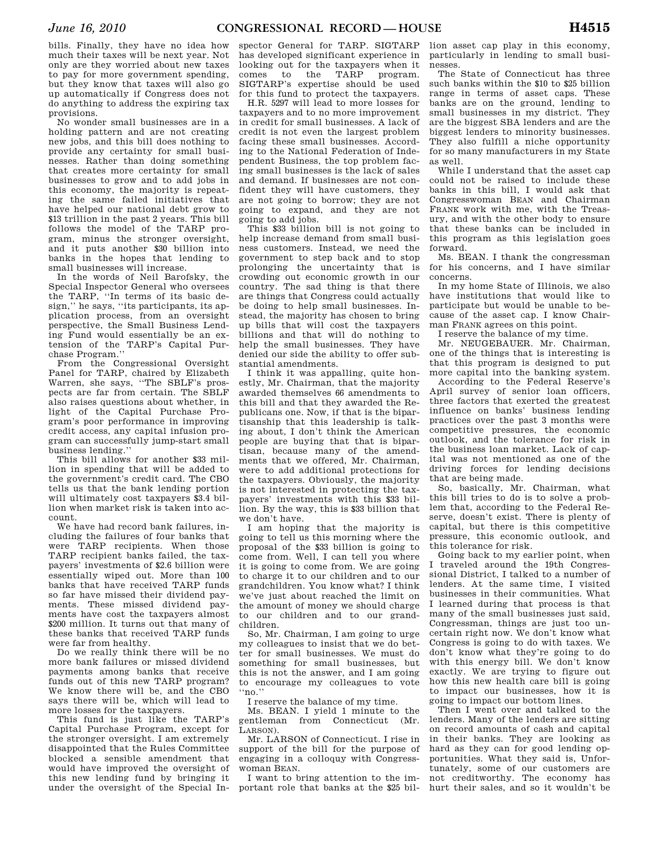bills. Finally, they have no idea how much their taxes will be next year. Not only are they worried about new taxes to pay for more government spending, but they know that taxes will also go up automatically if Congress does not do anything to address the expiring tax provisions.

No wonder small businesses are in a holding pattern and are not creating new jobs, and this bill does nothing to provide any certainty for small businesses. Rather than doing something that creates more certainty for small businesses to grow and to add jobs in this economy, the majority is repeating the same failed initiatives that have helped our national debt grow to \$13 trillion in the past 2 years. This bill follows the model of the TARP program, minus the stronger oversight, and it puts another \$30 billion into banks in the hopes that lending to small businesses will increase.

In the words of Neil Barofsky, the Special Inspector General who oversees the TARP, ''In terms of its basic design,'' he says, ''its participants, its application process, from an oversight perspective, the Small Business Lending Fund would essentially be an extension of the TARP's Capital Purchase Program.''

From the Congressional Oversight Panel for TARP, chaired by Elizabeth Warren, she says, ''The SBLF's prospects are far from certain. The SBLF also raises questions about whether, in light of the Capital Purchase Program's poor performance in improving credit access, any capital infusion program can successfully jump-start small business lending.''

This bill allows for another \$33 million in spending that will be added to the government's credit card. The CBO tells us that the bank lending portion will ultimately cost taxpayers \$3.4 billion when market risk is taken into account.

We have had record bank failures, including the failures of four banks that were TARP recipients. When those TARP recipient banks failed, the taxpayers' investments of \$2.6 billion were essentially wiped out. More than 100 banks that have received TARP funds so far have missed their dividend payments. These missed dividend payments have cost the taxpayers almost \$200 million. It turns out that many of these banks that received TARP funds were far from healthy.

Do we really think there will be no more bank failures or missed dividend payments among banks that receive funds out of this new TARP program? We know there will be, and the CBO says there will be, which will lead to more losses for the taxpayers.

This fund is just like the TARP's Capital Purchase Program, except for the stronger oversight. I am extremely disappointed that the Rules Committee blocked a sensible amendment that would have improved the oversight of this new lending fund by bringing it under the oversight of the Special In-

spector General for TARP. SIGTARP has developed significant experience in looking out for the taxpayers when it comes to the TARP program. SIGTARP's expertise should be used for this fund to protect the taxpayers.

H.R. 5297 will lead to more losses for taxpayers and to no more improvement in credit for small businesses. A lack of credit is not even the largest problem facing these small businesses. According to the National Federation of Independent Business, the top problem facing small businesses is the lack of sales and demand. If businesses are not confident they will have customers, they are not going to borrow; they are not going to expand, and they are not going to add jobs.

This \$33 billion bill is not going to help increase demand from small business customers. Instead, we need the government to step back and to stop prolonging the uncertainty that is crowding out economic growth in our country. The sad thing is that there are things that Congress could actually be doing to help small businesses. Instead, the majority has chosen to bring up bills that will cost the taxpayers billions and that will do nothing to help the small businesses. They have denied our side the ability to offer substantial amendments.

I think it was appalling, quite honestly, Mr. Chairman, that the majority awarded themselves 66 amendments to this bill and that they awarded the Republicans one. Now, if that is the bipartisanship that this leadership is talking about, I don't think the American people are buying that that is bipartisan, because many of the amendments that we offered, Mr. Chairman, were to add additional protections for the taxpayers. Obviously, the majority is not interested in protecting the taxpayers' investments with this \$33 billion. By the way, this is \$33 billion that we don't have.

I am hoping that the majority is going to tell us this morning where the proposal of the \$33 billion is going to come from. Well, I can tell you where it is going to come from. We are going to charge it to our children and to our grandchildren. You know what? I think we've just about reached the limit on the amount of money we should charge to our children and to our grandchildren.

So, Mr. Chairman, I am going to urge my colleagues to insist that we do better for small businesses. We must do something for small businesses, but this is not the answer, and I am going to encourage my colleagues to vote ''no.''

I reserve the balance of my time.

Ms. BEAN. I yield 1 minute to the gentleman from Connecticut (Mr. LARSON).

Mr. LARSON of Connecticut. I rise in support of the bill for the purpose of engaging in a colloquy with Congresswoman BEAN.

I want to bring attention to the im-

lion asset cap play in this economy, particularly in lending to small businesses.

The State of Connecticut has three such banks within the \$10 to \$25 billion range in terms of asset caps. These banks are on the ground, lending to small businesses in my district. They are the biggest SBA lenders and are the biggest lenders to minority businesses. They also fulfill a niche opportunity for so many manufacturers in my State as well.

While I understand that the asset cap could not be raised to include these banks in this bill, I would ask that Congresswoman BEAN and Chairman FRANK work with me, with the Treasury, and with the other body to ensure that these banks can be included in this program as this legislation goes forward.

Ms. BEAN. I thank the congressman for his concerns, and I have similar concerns.

In my home State of Illinois, we also have institutions that would like to participate but would be unable to because of the asset cap. I know Chairman FRANK agrees on this point.

I reserve the balance of my time.

Mr. NEUGEBAUER. Mr. Chairman, one of the things that is interesting is that this program is designed to put more capital into the banking system.

According to the Federal Reserve's April survey of senior loan officers, three factors that exerted the greatest influence on banks' business lending practices over the past 3 months were competitive pressures, the economic outlook, and the tolerance for risk in the business loan market. Lack of capital was not mentioned as one of the driving forces for lending decisions that are being made.

So, basically, Mr. Chairman, what this bill tries to do is to solve a problem that, according to the Federal Reserve, doesn't exist. There is plenty of capital, but there is this competitive pressure, this economic outlook, and this tolerance for risk.

Going back to my earlier point, when I traveled around the 19th Congressional District, I talked to a number of lenders. At the same time, I visited businesses in their communities. What I learned during that process is that many of the small businesses just said, Congressman, things are just too uncertain right now. We don't know what Congress is going to do with taxes. We don't know what they're going to do with this energy bill. We don't know exactly. We are trying to figure out how this new health care bill is going to impact our businesses, how it is going to impact our bottom lines.

portant role that banks at the \$25 bil-hurt their sales, and so it wouldn't be Then I went over and talked to the lenders. Many of the lenders are sitting on record amounts of cash and capital in their banks. They are looking as hard as they can for good lending opportunities. What they said is, Unfortunately, some of our customers are not creditworthy. The economy has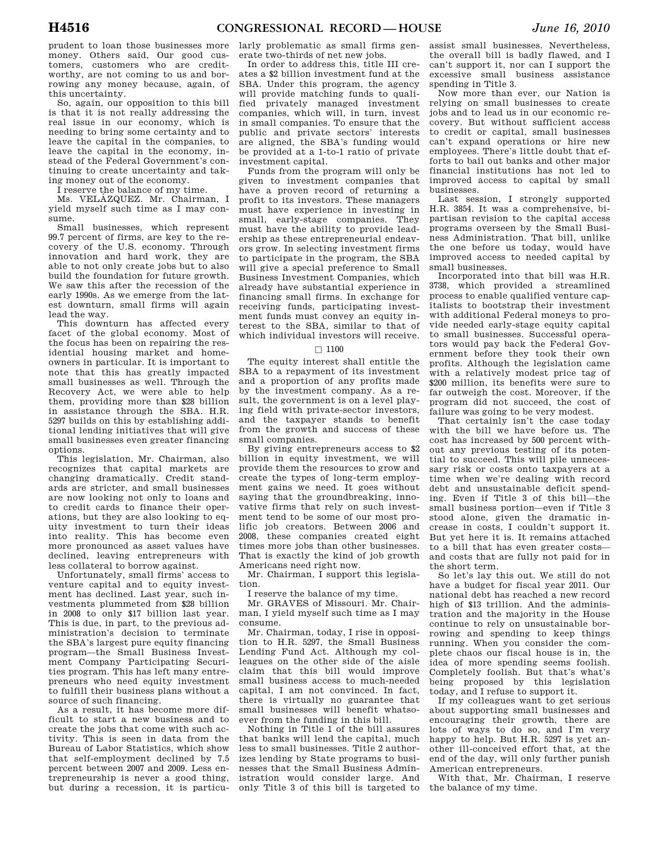prudent to loan those businesses more money. Others said, Our good customers, customers who are creditworthy, are not coming to us and borrowing any money because, again, of this uncertainty.

So, again, our opposition to this bill is that it is not really addressing the real issue in our economy, which is needing to bring some certainty and to leave the capital in the companies, to leave the capital in the economy, instead of the Federal Government's continuing to create uncertainty and taking money out of the economy.

I reserve the balance of my time.

Ms. VELÁZQUEZ. Mr. Chairman, I yield myself such time as I may consume.

Small businesses, which represent 99.7 percent of firms, are key to the recovery of the U.S. economy. Through innovation and hard work, they are able to not only create jobs but to also build the foundation for future growth. We saw this after the recession of the early 1990s. As we emerge from the latest downturn, small firms will again lead the way.

This downturn has affected every facet of the global economy. Most of the focus has been on repairing the residential housing market and homeowners in particular. It is important to note that this has greatly impacted small businesses as well. Through the Recovery Act, we were able to help them, providing more than \$28 billion in assistance through the SBA. H.R. 5297 builds on this by establishing additional lending initiatives that will give small businesses even greater financing options.

This legislation, Mr. Chairman, also recognizes that capital markets are changing dramatically. Credit standards are stricter, and small businesses are now looking not only to loans and to credit cards to finance their operations, but they are also looking to equity investment to turn their ideas into reality. This has become even more pronounced as asset values have declined, leaving entrepreneurs with less collateral to borrow against.

Unfortunately, small firms' access to venture capital and to equity investment has declined. Last year, such investments plummeted from \$28 billion in 2008 to only \$17 billion last year. This is due, in part, to the previous administration's decision to terminate the SBA's largest pure equity financing program—the Small Business Investment Company Participating Securities program. This has left many entrepreneurs who need equity investment to fulfill their business plans without a source of such financing.

As a result, it has become more difficult to start a new business and to create the jobs that come with such activity. This is seen in data from the Bureau of Labor Statistics, which show that self-employment declined by 7.5 percent between 2007 and 2009. Less entrepreneurship is never a good thing, but during a recession, it is particu-

larly problematic as small firms generate two-thirds of net new jobs.

In order to address this, title III creates a \$2 billion investment fund at the SBA. Under this program, the agency will provide matching funds to qualified privately managed investment companies, which will, in turn, invest in small companies. To ensure that the public and private sectors' interests are aligned, the SBA's funding would be provided at a 1-to-1 ratio of private investment capital.

Funds from the program will only be given to investment companies that have a proven record of returning a profit to its investors. These managers must have experience in investing in small, early-stage companies. They must have the ability to provide leadership as these entrepreneurial endeavors grow. In selecting investment firms to participate in the program, the SBA will give a special preference to Small Business Investment Companies, which already have substantial experience in financing small firms. In exchange for receiving funds, participating investment funds must convey an equity interest to the SBA, similar to that of which individual investors will receive.

### $\square$  1100

The equity interest shall entitle the SBA to a repayment of its investment and a proportion of any profits made by the investment company. As a result, the government is on a level playing field with private-sector investors, and the taxpayer stands to benefit from the growth and success of these small companies.

By giving entrepreneurs access to \$2 billion in equity investment, we will provide them the resources to grow and create the types of long-term employment gains we need. It goes without saying that the groundbreaking, innovative firms that rely on such investment tend to be some of our most prolific job creators. Between 2006 and 2008, these companies created eight times more jobs than other businesses. That is exactly the kind of job growth Americans need right now.

Mr. Chairman, I support this legislation.

I reserve the balance of my time.

Mr. GRAVES of Missouri. Mr. Chairman, I yield myself such time as I may consume.

Mr. Chairman, today, I rise in opposition to H.R. 5297, the Small Business Lending Fund Act. Although my colleagues on the other side of the aisle claim that this bill would improve small business access to much-needed capital, I am not convinced. In fact, there is virtually no guarantee that small businesses will benefit whatsoever from the funding in this bill.

Nothing in Title 1 of the bill assures that banks will lend the capital, much less to small businesses. Title 2 authorizes lending by State programs to businesses that the Small Business Administration would consider large. And only Title 3 of this bill is targeted to

assist small businesses. Nevertheless, the overall bill is badly flawed, and I can't support it, nor can I support the excessive small business assistance spending in Title 3.

Now more than ever, our Nation is relying on small businesses to create jobs and to lead us in our economic recovery. But without sufficient access to credit or capital, small businesses can't expand operations or hire new employees. There's little doubt that efforts to bail out banks and other major financial institutions has not led to improved access to capital by small businesses.

Last session, I strongly supported H.R. 3854. It was a comprehensive, bipartisan revision to the capital access programs overseen by the Small Business Administration. That bill, unlike the one before us today, would have improved access to needed capital by small businesses.

Incorporated into that bill was H.R. 3738, which provided a streamlined process to enable qualified venture capitalists to bootstrap their investment with additional Federal moneys to provide needed early-stage equity capital to small businesses. Successful operators would pay back the Federal Government before they took their own profits. Although the legislation came with a relatively modest price tag of \$200 million, its benefits were sure to far outweigh the cost. Moreover, if the program did not succeed, the cost of failure was going to be very modest.

That certainly isn't the case today with the bill we have before us. The cost has increased by 500 percent without any previous testing of its potential to succeed. This will pile unnecessary risk or costs onto taxpayers at a time when we're dealing with record debt and unsustainable deficit spending. Even if Title 3 of this bill—the small business portion—even if Title 3 stood alone, given the dramatic increase in costs, I couldn't support it. But yet here it is. It remains attached to a bill that has even greater costs and costs that are fully not paid for in the short term.

So let's lay this out. We still do not have a budget for fiscal year 2011. Our national debt has reached a new record high of \$13 trillion. And the administration and the majority in the House continue to rely on unsustainable borrowing and spending to keep things running. When you consider the complete chaos our fiscal house is in, the idea of more spending seems foolish. Completely foolish. But that's what's being proposed by this legislation today, and I refuse to support it.

If my colleagues want to get serious about supporting small businesses and encouraging their growth, there are lots of ways to do so, and I'm very happy to help. But H.R. 5297 is yet another ill-conceived effort that, at the end of the day, will only further punish American entrepreneurs.

With that, Mr. Chairman, I reserve the balance of my time.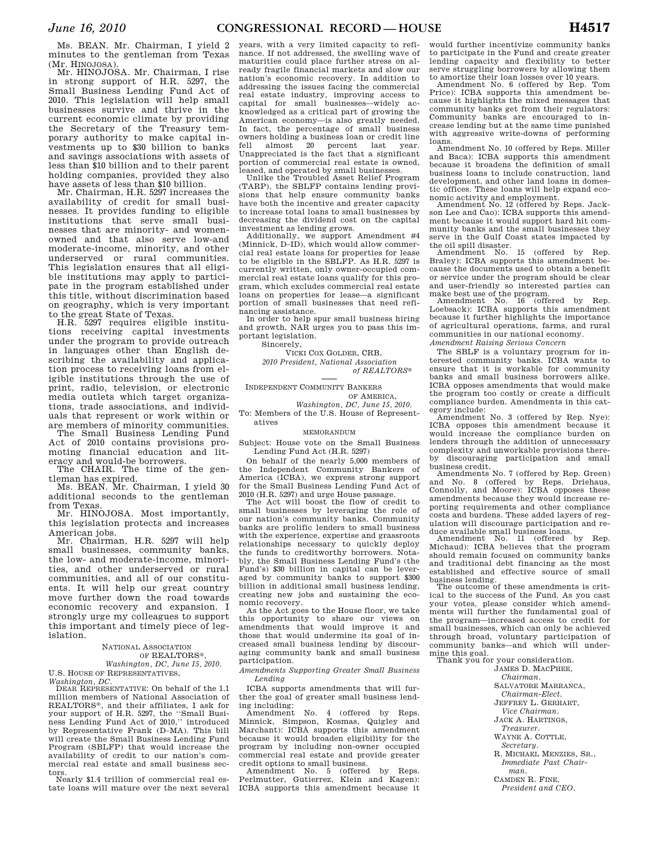Ms. BEAN. Mr. Chairman, I yield 2 minutes to the gentleman from Texas (Mr. HINOJOSA).

Mr. HINOJOSA. Mr. Chairman, I rise in strong support of H.R. 5297, the Small Business Lending Fund Act of 2010. This legislation will help small businesses survive and thrive in the current economic climate by providing the Secretary of the Treasury temporary authority to make capital investments up to \$30 billion to banks and savings associations with assets of less than \$10 billion and to their parent holding companies, provided they also have assets of less than \$10 billion.

Mr. Chairman, H.R. 5297 increases the availability of credit for small businesses. It provides funding to eligible institutions that serve small businesses that are minority- and womenowned and that also serve low-and moderate-income, minority, and other underserved or rural communities. This legislation ensures that all eligible institutions may apply to participate in the program established under this title, without discrimination based on geography, which is very important to the great State of Texas.

H.R. 5297 requires eligible institutions receiving capital investments under the program to provide outreach in languages other than English describing the availability and application process to receiving loans from eligible institutions through the use of print, radio, television, or electronic media outlets which target organizations, trade associations, and individuals that represent or work within or are members of minority communities.

The Small Business Lending Fund Act of 2010 contains provisions promoting financial education and literacy and would-be borrowers.

The CHAIR. The time of the gentleman has expired. Ms. BEAN. Mr. Chairman, I yield 30

additional seconds to the gentleman from Texas.

Mr. HINOJOSA. Most importantly, this legislation protects and increases American jobs.

Mr. Chairman, H.R. 5297 will help small businesses, community banks, the low- and moderate-income, minorities, and other underserved or rural communities, and all of our constituents. It will help our great country move further down the road towards economic recovery and expansion. I strongly urge my colleagues to support this important and timely piece of legislation.

#### NATIONAL ASSOCIATION OF REALTORS®, *Washington, DC, June 15, 2010.*  U.S. HOUSE OF REPRESENTATIVES,

*Washington, DC.* 

DEAR REPRESENTATIVE: On behalf of the 1.1 million members of National Association of REALTORS®, and their affiliates, I ask for your support of H.R. 5297, the ''Small Business Lending Fund Act of 2010,'' introduced by Representative Frank (D–MA). This bill will create the Small Business Lending Fund Program (SBLFP) that would increase the availability of credit to our nation's commercial real estate and small business sec-

tors. Nearly \$1.4 trillion of commercial real estate loans will mature over the next several

years, with a very limited capacity to refinance. If not addressed, the swelling wave of maturities could place further stress on already fragile financial markets and slow our nation's economic recovery. In addition to addressing the issues facing the commercial real estate industry, improving access to capital for small businesses—widely acknowledged as a critical part of growing the American economy—is also greatly needed. In fact, the percentage of small business owners holding a business loan or credit line fell almost 20 percent last year. Unappreciated is the fact that a significant portion of commercial real estate is owned, leased, and operated by small businesses.

Unlike the Troubled Asset Relief Program (TARP), the SBLFP contains lending provisions that help ensure community banks have both the incentive and greater capacity to increase total loans to small businesses by decreasing the dividend cost on the capital investment as lending grows.

Additionally, we support Amendment #4 (Minnick, D–ID), which would allow commercial real estate loans for properties for lease to be eligible in the SBLFP. As H.R. 5297 is currently written, only owner-occupied commercial real estate loans qualify for this program, which excludes commercial real estate loans on properties for lease—a significant portion of small businesses that need refinancing assistance.

In order to help spur small business hiring and growth, NAR urges you to pass this important legislation.

Sincerely,

VICKI COX GOLDER, CRB, *2010 President, National Association of REALTORS*®

INDEPENDENT COMMUNITY BANKERS OF AMERICA,

*Washington, DC, June 15, 2010.* 

To: Members of the U.S. House of Representatives

#### MEMORANDUM

Subject: House vote on the Small Business Lending Fund Act (H.R. 5297)

On behalf of the nearly 5,000 members of the Independent Community Bankers of America (ICBA), we express strong support for the Small Business Lending Fund Act of 2010 (H.R. 5297) and urge House passage.

The Act will boost the flow of credit to small businesses by leveraging the role of our nation's community banks. Community banks are prolific lenders to small business with the experience, expertise and grassroots relationships necessary to quickly deploy the funds to creditworthy borrowers. Notably, the Small Business Lending Fund's (the Fund's) \$30 billion in capital can be leveraged by community banks to support \$300 billion in additional small business lending, creating new jobs and sustaining the economic recovery.

As the Act goes to the House floor, we take this opportunity to share our views on amendments that would improve it and those that would undermine its goal of increased small business lending by discouraging community bank and small business participation.

*Amendments Supporting Greater Small Business Lending* 

ICBA supports amendments that will further the goal of greater small business lending including:

No. 4 (offered by Reps. Minnick, Simpson, Kosmas, Quigley and Marchant): ICBA supports this amendment because it would broaden eligibility for the program by including non-owner occupied commercial real estate and provide greater

credit options to small business. Amendment No. 5 (offered by Reps. Perlmutter, Gutierrez, Klein and Kagen): ICBA supports this amendment because it

would further incentivize community banks to participate in the Fund and create greater lending capacity and flexibility to better serve struggling borrowers by allowing them to amortize their loan losses over 10 years.

Amendment No. 6 (offered by Rep. Tom Price): ICBA supports this amendment because it highlights the mixed messages that community banks get from their regulators: Community banks are encouraged to increase lending but at the same time punished with aggressive write-downs of performing

loans. Amendment No. 10 (offered by Reps. Miller and Baca): ICBA supports this amendment because it broadens the definition of small business loans to include construction, land development, and other land loans in domestic offices. These loans will help expand economic activity and employment.

Amendment No. 12 (offered by Reps. Jackson Lee and Cao): ICBA supports this amendment because it would support hard hit community banks and the small businesses they serve in the Gulf Coast states impacted by

the oil spill disaster. Amendment No. 15 (offered by Rep. Braley): ICBA supports this amendment because the documents used to obtain a benefit or service under the program should be clear and user-friendly so interested parties can make best use of the program. Amendment No. 16 (offered by Rep.

Loebsack): ICBA supports this amendment because it further highlights the importance of agricultural operations, farms, and rural communities in our national economy. *Amendment Raising Serious Concern* 

The SBLF is a voluntary program for interested community banks. ICBA wants to ensure that it is workable for community banks and small business borrowers alike. ICBA opposes amendments that would make the program too costly or create a difficult compliance burden. Amendments in this category include:

Amendment No. 3 (offered by Rep. Nye): ICBA opposes this amendment because it would increase the compliance burden on lenders through the addition of unnecessary complexity and unworkable provisions thereby discouraging participation and small

business credit. Amendments No. 7 (offered by Rep. Green) and No. 8 (offered by Reps. Driehaus, Connolly, and Moore): ICBA opposes these amendments because they would increase reporting requirements and other compliance costs and burdens. These added layers of regulation will discourage participation and re-

duce available small business loans. Amendment No. 11 (offered by Rep. Michaud): ICBA believes that the program should remain focused on community banks and traditional debt financing as the most established and effective source of small business lending.

The outcome of these amendments is critical to the success of the Fund. As you cast your votes, please consider which amend-ments will further the fundamental goal of the program—increased access to credit for small businesses, which can only be achieved through broad, voluntary participation of community banks—and which will undermine this goal.

Thank you for your consideration. JAMES D. MACPHEE,

*Chairman.* 

SALVATORE MARRANCA,

- *Chairman-Elect.*
- JEFFREY L. GERHART,
- *Vice Chairman.*
- JACK A. HARTINGS,

*Treasurer.* 

- WAYNE A. COTTLE, *Secretary.*
- R. MICHAEL MENZIES, SR., *Immediate Past Chair-*

*man.*  CAMDEN R. FINE,

*President and CEO.*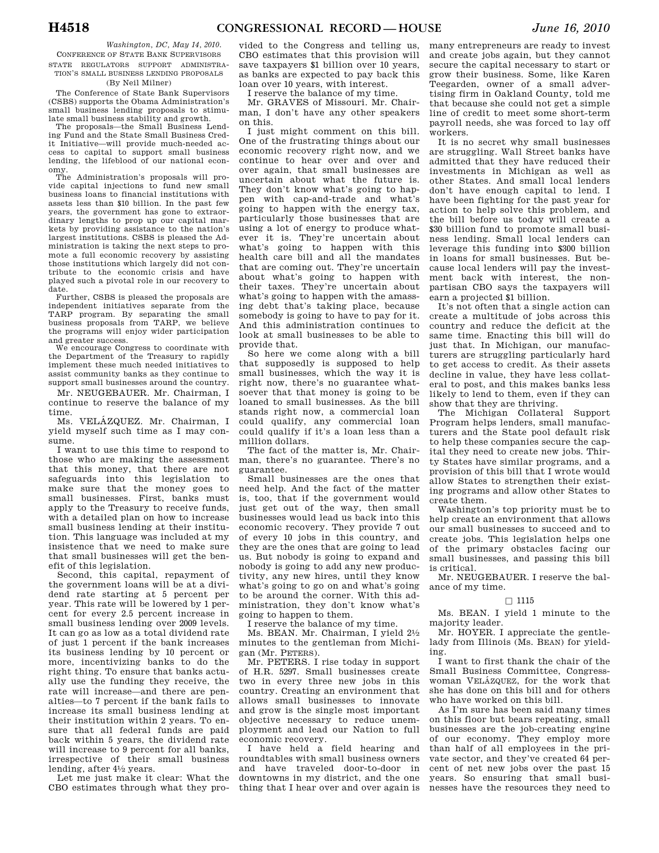*Washington, DC, May 14, 2010.*  CONFERENCE OF STATE BANK SUPERVISORS STATE REGULATORS SUPPORT ADMINISTRA-TION'S SMALL BUSINESS LENDING PROPOSALS

## (By Neil Milner)

The Conference of State Bank Supervisors (CSBS) supports the Obama Administration's small business lending proposals to stimulate small business stability and growth.

The proposals—the Small Business Lending Fund and the State Small Business Credit Initiative—will provide much-needed access to capital to support small business lending, the lifeblood of our national economy.

The Administration's proposals will provide capital injections to fund new small business loans to financial institutions with assets less than \$10 billion. In the past few years, the government has gone to extraordinary lengths to prop up our capital markets by providing assistance to the nation's largest institutions. CSBS is pleased the Administration is taking the next steps to promote a full economic recovery by assisting those institutions which largely did not contribute to the economic crisis and have played such a pivotal role in our recovery to date.

Further, CSBS is pleased the proposals are independent initiatives separate from the TARP program. By separating the small business proposals from TARP, we believe the programs will enjoy wider participation and greater success.

We encourage Congress to coordinate with the Department of the Treasury to rapidly implement these much needed initiatives to assist community banks as they continue to support small businesses around the country.

Mr. NEUGEBAUER. Mr. Chairman, I continue to reserve the balance of my time.

Ms. VELÁZQUEZ. Mr. Chairman, I yield myself such time as I may consume.

I want to use this time to respond to those who are making the assessment that this money, that there are not safeguards into this legislation to make sure that the money goes to small businesses. First, banks must apply to the Treasury to receive funds, with a detailed plan on how to increase small business lending at their institution. This language was included at my insistence that we need to make sure that small businesses will get the benefit of this legislation.

Second, this capital, repayment of the government loans will be at a dividend rate starting at 5 percent per year. This rate will be lowered by 1 percent for every 2.5 percent increase in small business lending over 2009 levels. It can go as low as a total dividend rate of just 1 percent if the bank increases its business lending by 10 percent or more, incentivizing banks to do the right thing. To ensure that banks actually use the funding they receive, the rate will increase—and there are penalties—to 7 percent if the bank fails to increase its small business lending at their institution within 2 years. To ensure that all federal funds are paid back within 5 years, the dividend rate will increase to 9 percent for all banks, irrespective of their small business lending, after 41⁄2 years.

Let me just make it clear: What the CBO estimates through what they pro-

vided to the Congress and telling us, CBO estimates that this provision will save taxpayers \$1 billion over 10 years, as banks are expected to pay back this loan over 10 years, with interest.

I reserve the balance of my time.

Mr. GRAVES of Missouri. Mr. Chairman, I don't have any other speakers on this.

I just might comment on this bill. One of the frustrating things about our economic recovery right now, and we continue to hear over and over and over again, that small businesses are uncertain about what the future is. They don't know what's going to happen with cap-and-trade and what's going to happen with the energy tax, particularly those businesses that are using a lot of energy to produce whatever it is. They're uncertain about what's going to happen with this health care bill and all the mandates that are coming out. They're uncertain about what's going to happen with their taxes. They're uncertain about what's going to happen with the amassing debt that's taking place, because somebody is going to have to pay for it. And this administration continues to look at small businesses to be able to provide that.

So here we come along with a bill that supposedly is supposed to help small businesses, which the way it is right now, there's no guarantee whatsoever that that money is going to be loaned to small businesses. As the bill stands right now, a commercial loan could qualify, any commercial loan could qualify if it's a loan less than a million dollars.

The fact of the matter is, Mr. Chairman, there's no guarantee. There's no guarantee.

Small businesses are the ones that need help. And the fact of the matter is, too, that if the government would just get out of the way, then small businesses would lead us back into this economic recovery. They provide 7 out of every 10 jobs in this country, and they are the ones that are going to lead us. But nobody is going to expand and nobody is going to add any new productivity, any new hires, until they know what's going to go on and what's going to be around the corner. With this administration, they don't know what's going to happen to them.

I reserve the balance of my time.

Ms. BEAN. Mr. Chairman, I yield 21⁄2 minutes to the gentleman from Michigan (Mr. PETERS).

Mr. PETERS. I rise today in support of H.R. 5297. Small businesses create two in every three new jobs in this country. Creating an environment that allows small businesses to innovate and grow is the single most important objective necessary to reduce unemployment and lead our Nation to full economic recovery.

I have held a field hearing and roundtables with small business owners and have traveled door-to-door in downtowns in my district, and the one thing that I hear over and over again is

many entrepreneurs are ready to invest and create jobs again, but they cannot secure the capital necessary to start or grow their business. Some, like Karen Teegarden, owner of a small advertising firm in Oakland County, told me that because she could not get a simple line of credit to meet some short-term payroll needs, she was forced to lay off workers.

It is no secret why small businesses are struggling. Wall Street banks have admitted that they have reduced their investments in Michigan as well as other States. And small local lenders don't have enough capital to lend. I have been fighting for the past year for action to help solve this problem, and the bill before us today will create a \$30 billion fund to promote small business lending. Small local lenders can leverage this funding into \$300 billion in loans for small businesses. But because local lenders will pay the investment back with interest, the nonpartisan CBO says the taxpayers will earn a projected \$1 billion.

It's not often that a single action can create a multitude of jobs across this country and reduce the deficit at the same time. Enacting this bill will do just that. In Michigan, our manufacturers are struggling particularly hard to get access to credit. As their assets decline in value, they have less collateral to post, and this makes banks less likely to lend to them, even if they can show that they are thriving.

The Michigan Collateral Support Program helps lenders, small manufacturers and the State pool default risk to help these companies secure the capital they need to create new jobs. Thirty States have similar programs, and a provision of this bill that I wrote would allow States to strengthen their existing programs and allow other States to create them.

Washington's top priority must be to help create an environment that allows our small businesses to succeed and to create jobs. This legislation helps one of the primary obstacles facing our small businesses, and passing this bill is critical.

Mr. NEUGEBAUER. I reserve the balance of my time.

## $\square$  1115

Ms. BEAN. I yield 1 minute to the majority leader.

Mr. HOYER. I appreciate the gentlelady from Illinois (Ms. BEAN) for yielding.

I want to first thank the chair of the Small Business Committee, Congresswoman VELÁZQUEZ, for the work that she has done on this bill and for others who have worked on this bill.

As I'm sure has been said many times on this floor but bears repeating, small businesses are the job-creating engine of our economy. They employ more than half of all employees in the private sector, and they've created 64 percent of net new jobs over the past 15 years. So ensuring that small businesses have the resources they need to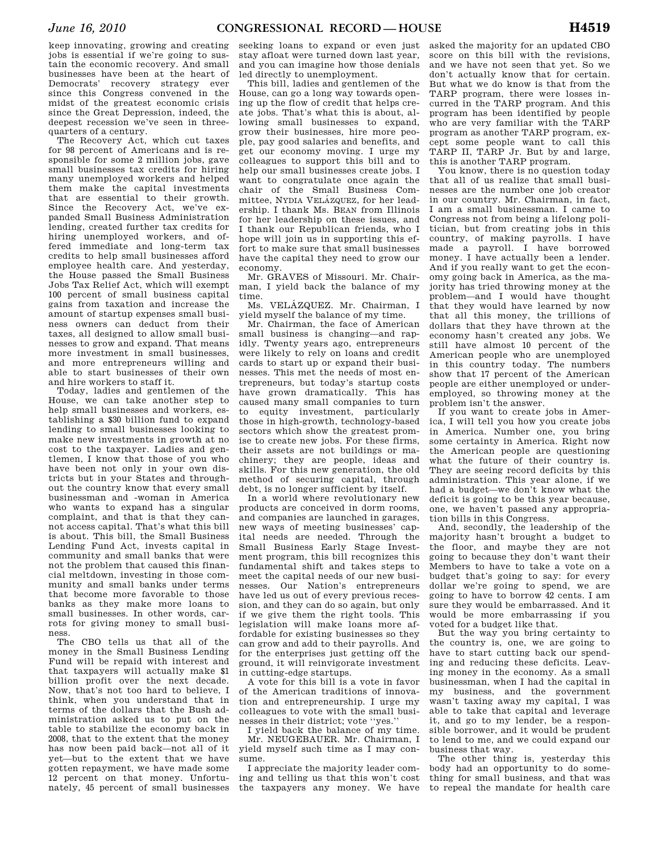keep innovating, growing and creating jobs is essential if we're going to sustain the economic recovery. And small businesses have been at the heart of Democrats' recovery strategy ever since this Congress convened in the midst of the greatest economic crisis since the Great Depression, indeed, the deepest recession we've seen in threequarters of a century.

The Recovery Act, which cut taxes for 98 percent of Americans and is responsible for some 2 million jobs, gave small businesses tax credits for hiring many unemployed workers and helped them make the capital investments that are essential to their growth. Since the Recovery Act, we've expanded Small Business Administration lending, created further tax credits for hiring unemployed workers, and offered immediate and long-term tax credits to help small businesses afford employee health care. And yesterday, the House passed the Small Business Jobs Tax Relief Act, which will exempt 100 percent of small business capital gains from taxation and increase the amount of startup expenses small business owners can deduct from their taxes, all designed to allow small businesses to grow and expand. That means more investment in small businesses, and more entrepreneurs willing and able to start businesses of their own and hire workers to staff it.

Today, ladies and gentlemen of the House, we can take another step to help small businesses and workers, establishing a \$30 billion fund to expand lending to small businesses looking to make new investments in growth at no cost to the taxpayer. Ladies and gentlemen, I know that those of you who have been not only in your own districts but in your States and throughout the country know that every small businessman and -woman in America who wants to expand has a singular complaint, and that is that they cannot access capital. That's what this bill is about. This bill, the Small Business Lending Fund Act, invests capital in community and small banks that were not the problem that caused this financial meltdown, investing in those community and small banks under terms that become more favorable to those banks as they make more loans to small businesses. In other words, carrots for giving money to small business.

The CBO tells us that all of the money in the Small Business Lending Fund will be repaid with interest and that taxpayers will actually make \$1 billion profit over the next decade. Now, that's not too hard to believe, I think, when you understand that in terms of the dollars that the Bush administration asked us to put on the table to stabilize the economy back in 2008, that to the extent that the money has now been paid back—not all of it yet—but to the extent that we have gotten repayment, we have made some 12 percent on that money. Unfortunately, 45 percent of small businesses

seeking loans to expand or even just stay afloat were turned down last year, and you can imagine how those denials led directly to unemployment.

This bill, ladies and gentlemen of the House, can go a long way towards opening up the flow of credit that helps create jobs. That's what this is about, allowing small businesses to expand, grow their businesses, hire more people, pay good salaries and benefits, and get our economy moving. I urge my colleagues to support this bill and to help our small businesses create jobs. I want to congratulate once again the chair of the Small Business Committee, NYDIA VELÁZQUEZ, for her leadership. I thank Ms. BEAN from Illinois for her leadership on these issues, and I thank our Republican friends, who I hope will join us in supporting this effort to make sure that small businesses have the capital they need to grow our economy.

Mr. GRAVES of Missouri. Mr. Chairman, I yield back the balance of my time.

Ms. VELÁZQUEZ. Mr. Chairman, I yield myself the balance of my time.

Mr. Chairman, the face of American small business is changing—and rapidly. Twenty years ago, entrepreneurs were likely to rely on loans and credit cards to start up or expand their businesses. This met the needs of most entrepreneurs, but today's startup costs have grown dramatically. This has caused many small companies to turn to equity investment, particularly those in high-growth, technology-based sectors which show the greatest promise to create new jobs. For these firms, their assets are not buildings or machinery; they are people, ideas and skills. For this new generation, the old method of securing capital, through debt, is no longer sufficient by itself.

In a world where revolutionary new products are conceived in dorm rooms, and companies are launched in garages, new ways of meeting businesses' capital needs are needed. Through the Small Business Early Stage Investment program, this bill recognizes this fundamental shift and takes steps to meet the capital needs of our new businesses. Our Nation's entrepreneurs have led us out of every previous recession, and they can do so again, but only if we give them the right tools. This legislation will make loans more affordable for existing businesses so they can grow and add to their payrolls. And for the enterprises just getting off the ground, it will reinvigorate investment in cutting-edge startups.

A vote for this bill is a vote in favor of the American traditions of innovation and entrepreneurship. I urge my colleagues to vote with the small businesses in their district; vote ''yes.''

I yield back the balance of my time. Mr. NEUGEBAUER. Mr. Chairman, I yield myself such time as I may consume.

I appreciate the majority leader coming and telling us that this won't cost the taxpayers any money. We have asked the majority for an updated CBO score on this bill with the revisions, and we have not seen that yet. So we don't actually know that for certain. But what we do know is that from the TARP program, there were losses incurred in the TARP program. And this program has been identified by people who are very familiar with the TARP program as another TARP program, except some people want to call this TARP II, TARP Jr. But by and large, this is another TARP program.

You know, there is no question today that all of us realize that small businesses are the number one job creator in our country. Mr. Chairman, in fact, I am a small businessman. I came to Congress not from being a lifelong politician, but from creating jobs in this country, of making payrolls. I have made a payroll. I have borrowed money. I have actually been a lender. And if you really want to get the economy going back in America, as the majority has tried throwing money at the problem—and I would have thought that they would have learned by now that all this money, the trillions of dollars that they have thrown at the economy hasn't created any jobs. We still have almost 10 percent of the American people who are unemployed in this country today. The numbers show that 17 percent of the American people are either unemployed or underemployed, so throwing money at the problem isn't the answer.

If you want to create jobs in America, I will tell you how you create jobs in America. Number one, you bring some certainty in America. Right now the American people are questioning what the future of their country is. They are seeing record deficits by this administration. This year alone, if we had a budget—we don't know what the deficit is going to be this year because, one, we haven't passed any appropriation bills in this Congress.

And, secondly, the leadership of the majority hasn't brought a budget to the floor, and maybe they are not going to because they don't want their Members to have to take a vote on a budget that's going to say: for every dollar we're going to spend, we are going to have to borrow 42 cents. I am sure they would be embarrassed. And it would be more embarrassing if you voted for a budget like that.

But the way you bring certainty to the country is, one, we are going to have to start cutting back our spending and reducing these deficits. Leaving money in the economy. As a small businessman, when I had the capital in my business, and the government wasn't taxing away my capital, I was able to take that capital and leverage it, and go to my lender, be a responsible borrower, and it would be prudent to lend to me, and we could expand our business that way.

The other thing is, yesterday this body had an opportunity to do something for small business, and that was to repeal the mandate for health care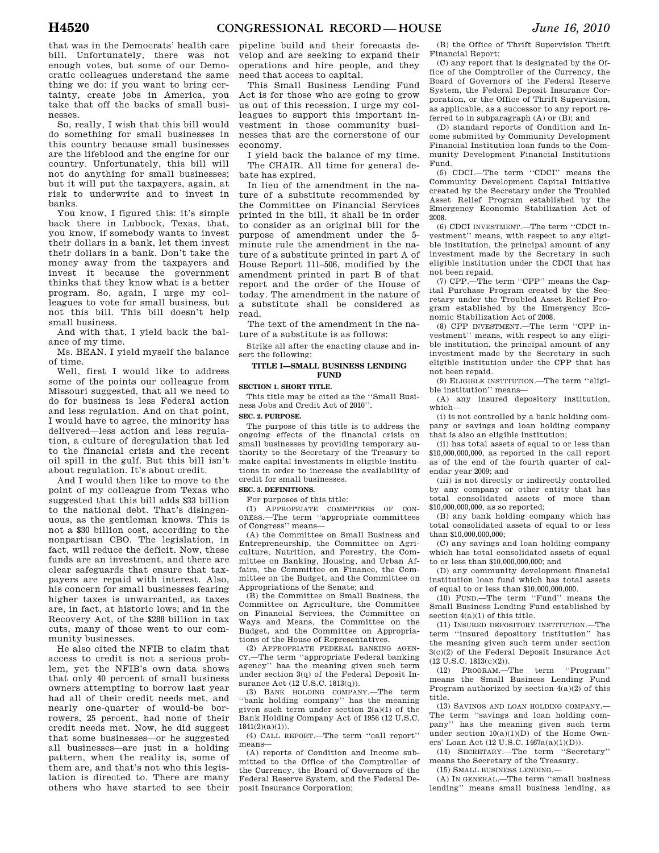that was in the Democrats' health care bill. Unfortunately, there was not enough votes, but some of our Democratic colleagues understand the same thing we do: if you want to bring certainty, create jobs in America, you take that off the backs of small businesses.

So, really, I wish that this bill would do something for small businesses in this country because small businesses are the lifeblood and the engine for our country. Unfortunately, this bill will not do anything for small businesses; but it will put the taxpayers, again, at risk to underwrite and to invest in banks.

You know, I figured this: it's simple back there in Lubbock, Texas, that, you know, if somebody wants to invest their dollars in a bank, let them invest their dollars in a bank. Don't take the money away from the taxpayers and invest it because the government thinks that they know what is a better program. So, again, I urge my colleagues to vote for small business, but not this bill. This bill doesn't help small business.

And with that, I yield back the balance of my time.

Ms. BEAN. I yield myself the balance of time.

Well, first I would like to address some of the points our colleague from Missouri suggested, that all we need to do for business is less Federal action and less regulation. And on that point, I would have to agree, the minority has delivered—less action and less regulation, a culture of deregulation that led to the financial crisis and the recent oil spill in the gulf. But this bill isn't about regulation. It's about credit.

And I would then like to move to the point of my colleague from Texas who suggested that this bill adds \$33 billion to the national debt. That's disingenuous, as the gentleman knows. This is not a \$30 billion cost, according to the nonpartisan CBO. The legislation, in fact, will reduce the deficit. Now, these funds are an investment, and there are clear safeguards that ensure that taxpayers are repaid with interest. Also, his concern for small businesses fearing higher taxes is unwarranted, as taxes are, in fact, at historic lows; and in the Recovery Act, of the \$288 billion in tax cuts, many of those went to our community businesses.

He also cited the NFIB to claim that access to credit is not a serious problem, yet the NFIB's own data shows that only 40 percent of small business owners attempting to borrow last year had all of their credit needs met, and nearly one-quarter of would-be borrowers, 25 percent, had none of their credit needs met. Now, he did suggest that some businesses—or he suggested all businesses—are just in a holding pattern, when the reality is, some of them are, and that's not who this legislation is directed to. There are many others who have started to see their

pipeline build and their forecasts develop and are seeking to expand their operations and hire people, and they need that access to capital.

This Small Business Lending Fund Act is for those who are going to grow us out of this recession. I urge my colleagues to support this important investment in those community businesses that are the cornerstone of our economy.

I yield back the balance of my time. The CHAIR. All time for general debate has expired.

In lieu of the amendment in the nature of a substitute recommended by the Committee on Financial Services printed in the bill, it shall be in order to consider as an original bill for the purpose of amendment under the 5 minute rule the amendment in the nature of a substitute printed in part A of House Report 111–506, modified by the amendment printed in part B of that report and the order of the House of today. The amendment in the nature of a substitute shall be considered as read.

The text of the amendment in the nature of a substitute is as follows:

Strike all after the enacting clause and insert the following:

## **TITLE I—SMALL BUSINESS LENDING FUND**

#### **SECTION 1. SHORT TITLE.**

This title may be cited as the ''Small Business Jobs and Credit Act of 2010''.

## **SEC. 2. PURPOSE.**

The purpose of this title is to address the ongoing effects of the financial crisis on small businesses by providing temporary authority to the Secretary of the Treasury to make capital investments in eligible institutions in order to increase the availability of credit for small businesses.

#### **SEC. 3. DEFINITIONS.**

For purposes of this title:

(1) APPROPRIATE COMMITTEES OF CON-GRESS.—The term ''appropriate committees of Congress'' means—

(A) the Committee on Small Business and Entrepreneurship, the Committee on Agriculture, Nutrition, and Forestry, the Committee on Banking, Housing, and Urban Affairs, the Committee on Finance, the Committee on the Budget, and the Committee on Appropriations of the Senate; and

(B) the Committee on Small Business, the Committee on Agriculture, the Committee on Financial Services, the Committee on Ways and Means, the Committee on the Budget, and the Committee on Appropriations of the House of Representatives.

(2) APPROPRIATE FEDERAL BANKING AGEN-CY.—The term ''appropriate Federal banking agency'' has the meaning given such term under section 3(q) of the Federal Deposit Insurance Act (12 U.S.C. 1813(q)).

(3) BANK HOLDING COMPANY.—The term 'bank holding company'' has the meaning given such term under section 2(a)(1) of the Bank Holding Company Act of 1956 (12 U.S.C.  $1841(2)(a)(1)$ ).

(4) CALL REPORT.—The term ''call report'' means—

(A) reports of Condition and Income submitted to the Office of the Comptroller of the Currency, the Board of Governors of the Federal Reserve System, and the Federal Deposit Insurance Corporation;

(B) the Office of Thrift Supervision Thrift Financial Report;

(C) any report that is designated by the Office of the Comptroller of the Currency, the Board of Governors of the Federal Reserve System, the Federal Deposit Insurance Corporation, or the Office of Thrift Supervision, as applicable, as a successor to any report referred to in subparagraph (A) or (B); and

(D) standard reports of Condition and Income submitted by Community Development Financial Institution loan funds to the Community Development Financial Institutions Fund.

(5) CDCI.—The term ''CDCI'' means the Community Development Capital Initiative created by the Secretary under the Troubled Asset Relief Program established by the Emergency Economic Stabilization Act of 2008.

(6) CDCI INVESTMENT.—The term ''CDCI investment'' means, with respect to any eligible institution, the principal amount of any investment made by the Secretary in such eligible institution under the CDCI that has not been repaid.

(7) CPP.—The term ''CPP'' means the Capital Purchase Program created by the Secretary under the Troubled Asset Relief Program established by the Emergency Economic Stabilization Act of 2008.

(8) CPP INVESTMENT.—The term ''CPP investment'' means, with respect to any eligible institution, the principal amount of any investment made by the Secretary in such eligible institution under the CPP that has not been repaid.

(9) ELIGIBLE INSTITUTION.—The term ''eligible institution'' means—

(A) any insured depository institution, which—

(i) is not controlled by a bank holding company or savings and loan holding company that is also an eligible institution;

(ii) has total assets of equal to or less than \$10,000,000,000, as reported in the call report as of the end of the fourth quarter of calendar year 2009; and

(iii) is not directly or indirectly controlled by any company or other entity that has total consolidated assets of more than  $$10,000,000,000,08$  so reported;

(B) any bank holding company which has total consolidated assets of equal to or less than \$10,000,000,000;

(C) any savings and loan holding company which has total consolidated assets of equal to or less than \$10,000,000,000; and

(D) any community development financial institution loan fund which has total assets of equal to or less than \$10,000,000,000.

(10) FUND.—The term ''Fund'' means the Small Business Lending Fund established by section  $4(a)(1)$  of this title.

(11) INSURED DEPOSITORY INSTITUTION.—The term ''insured depository institution'' has the meaning given such term under section 3(c)(2) of the Federal Deposit Insurance Act (12 U.S.C. 1813(c)(2)).

(12) PROGRAM.—The term ''Program'' means the Small Business Lending Fund Program authorized by section 4(a)(2) of this title.

(13) SAVINGS AND LOAN HOLDING COMPANY.— The term "savings and loan holding company'' has the meaning given such term under section  $10(a)(1)(D)$  of the Home Owners' Loan Act (12 U.S.C. 1467a(a)(1)(D)).

(14) SECRETARY.—The term ''Secretary'' means the Secretary of the Treasury.

(15) SMALL BUSINESS LENDING.—

(A) IN GENERAL.—The term ''small business lending'' means small business lending, as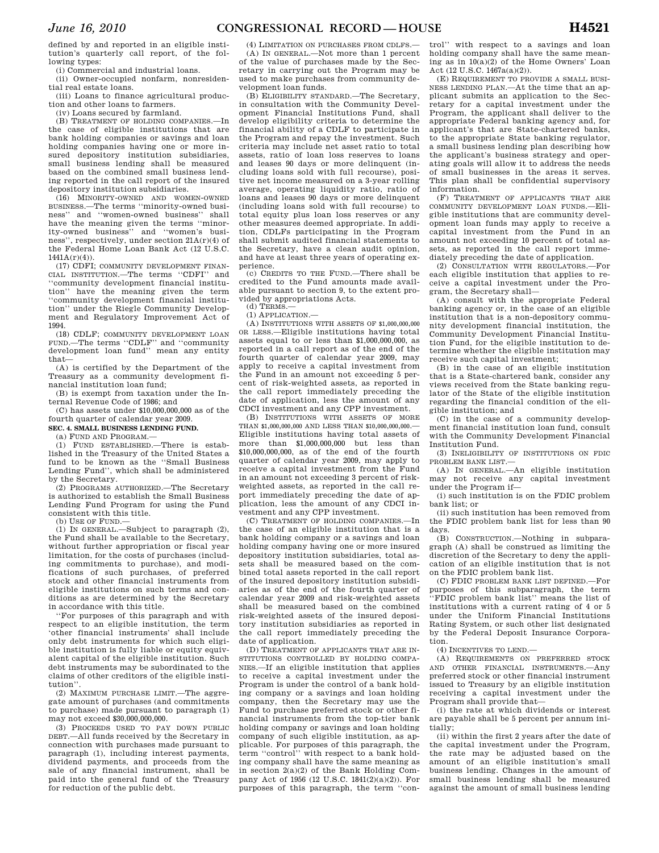defined by and reported in an eligible institution's quarterly call report, of the following types:

(i) Commercial and industrial loans.

(ii) Owner-occupied nonfarm, nonresiden-

tial real estate loans. (iii) Loans to finance agricultural production and other loans to farmers.

(iv) Loans secured by farmland.

(B) TREATMENT OF HOLDING COMPANIES.—In the case of eligible institutions that are bank holding companies or savings and loan holding companies having one or more insured depository institution subsidiaries, small business lending shall be measured based on the combined small business lending reported in the call report of the insured depository institution subsidiaries.

(16) MINORITY-OWNED AND WOMEN-OWNED BUSINESS.—The terms ''minority-owned business'' and ''women-owned business'' shall have the meaning given the terms ''minor-ity-owned business'' and ''women's business'', respectively, under section 21A(r)(4) of the Federal Home Loan Bank Act (12 U.S.C.  $1441A(r)(4)$ 

(17) CDFI; COMMUNITY DEVELOPMENT FINAN-CIAL INSTITUTION.—The terms ''CDFI'' and ''community development financial institution'' have the meaning given the term ''community development financial institution'' under the Riegle Community Development and Regulatory Improvement Act of 1994.

(18) CDLF; COMMUNITY DEVELOPMENT LOAN FUND.—The terms ''CDLF'' and ''community development loan fund'' mean any entity that—

(A) is certified by the Department of the Treasury as a community development financial institution loan fund;

(B) is exempt from taxation under the Internal Revenue Code of 1986; and

(C) has assets under \$10,000,000,000 as of the fourth quarter of calendar year 2009.

**SEC. 4. SMALL BUSINESS LENDING FUND.** 

(a) FUND AND PROGRAM.—

(1) FUND ESTABLISHED.—There is established in the Treasury of the United States a fund to be known as the ''Small Business Lending Fund'', which shall be administered by the Secretary.

(2) PROGRAMS AUTHORIZED.—The Secretary is authorized to establish the Small Business Lending Fund Program for using the Fund consistent with this title.

(b) USE OF FUND.—

(1) IN GENERAL.—Subject to paragraph (2), the Fund shall be available to the Secretary, without further appropriation or fiscal year limitation, for the costs of purchases (including commitments to purchase), and modifications of such purchases, of preferred stock and other financial instruments from eligible institutions on such terms and conditions as are determined by the Secretary in accordance with this title.

''For purposes of this paragraph and with respect to an eligible institution, the term 'other financial instruments' shall include only debt instruments for which such eligible institution is fully liable or equity equivalent capital of the eligible institution. Such debt instruments may be subordinated to the claims of other creditors of the eligible institution''.

(2) MAXIMUM PURCHASE LIMIT.—The aggregate amount of purchases (and commitments to purchase) made pursuant to paragraph (1) may not exceed \$30,000,000,000.

(3) PROCEEDS USED TO PAY DOWN PUBLIC DEBT.—All funds received by the Secretary in connection with purchases made pursuant to paragraph (1), including interest payments, dividend payments, and proceeds from the sale of any financial instrument, shall be paid into the general fund of the Treasury for reduction of the public debt.

(4) LIMITATION ON PURCHASES FROM CDLFS.— (A) IN GENERAL.—Not more than 1 percent of the value of purchases made by the Secretary in carrying out the Program may be used to make purchases from community development loan funds.

(B) ELIGIBILITY STANDARD.—The Secretary, in consultation with the Community Development Financial Institutions Fund, shall develop eligibility criteria to determine the financial ability of a CDLF to participate in the Program and repay the investment. Such criteria may include net asset ratio to total assets, ratio of loan loss reserves to loans and leases 90 days or more delinquent (including loans sold with full recourse), positive net income measured on a 3-year rolling average, operating liquidity ratio, ratio of loans and leases 90 days or more delinquent (including loans sold with full recourse) to total equity plus loan loss reserves or any other measures deemed appropriate. In addition, CDLFs participating in the Program shall submit audited financial statements to the Secretary, have a clean audit opinion, and have at least three years of operating experience.

(c) CREDITS TO THE FUND.—There shall be credited to the Fund amounts made available pursuant to section 9, to the extent provided by appropriations Acts.

 $(d)$  TERMS $-$ 

(1) APPLICATION.—

(A) INSTITUTIONS WITH ASSETS OF \$1,000,000,000 OR LESS.—Eligible institutions having total assets equal to or less than \$1,000,000,000, as reported in a call report as of the end of the fourth quarter of calendar year 2009, may apply to receive a capital investment from the Fund in an amount not exceeding 5 percent of risk-weighted assets, as reported in the call report immediately preceding the date of application, less the amount of any CDCI investment and any CPP investment.

(B) INSTITUTIONS WITH ASSETS OF MORE THAN \$1,000,000,000 AND LESS THAN \$10,000,000,000.— Eligible institutions having total assets of more than \$1,000,000,000 but less than \$10,000,000,000, as of the end of the fourth quarter of calendar year 2009, may apply to receive a capital investment from the Fund in an amount not exceeding 3 percent of riskweighted assets, as reported in the call report immediately preceding the date of application, less the amount of any CDCI investment and any CPP investment.

(C) TREATMENT OF HOLDING COMPANIES.—In the case of an eligible institution that is a bank holding company or a savings and loan holding company having one or more insured depository institution subsidiaries, total assets shall be measured based on the combined total assets reported in the call report of the insured depository institution subsidiaries as of the end of the fourth quarter of calendar year 2009 and risk-weighted assets shall be measured based on the combined risk-weighted assets of the insured depository institution subsidiaries as reported in the call report immediately preceding the date of application.

(D) TREATMENT OF APPLICANTS THAT ARE IN-STITUTIONS CONTROLLED BY HOLDING COMPA-NIES.—If an eligible institution that applies to receive a capital investment under the Program is under the control of a bank holding company or a savings and loan holding company, then the Secretary may use the Fund to purchase preferred stock or other financial instruments from the top-tier bank holding company or savings and loan holding company of such eligible institution, as applicable. For purposes of this paragraph, the term ''control'' with respect to a bank holding company shall have the same meaning as in section 2(a)(2) of the Bank Holding Company Act of 1956 (12 U.S.C. 1841(2)(a)(2)). For purposes of this paragraph, the term ''con-

trol'' with respect to a savings and loan holding company shall have the same meaning as in 10(a)(2) of the Home Owners' Loan Act (12 U.S.C. 1467a(a)(2)).

(E) REQUIREMENT TO PROVIDE A SMALL BUSI-NESS LENDING PLAN.—At the time that an applicant submits an application to the Secretary for a capital investment under the Program, the applicant shall deliver to the appropriate Federal banking agency and, for applicant's that are State-chartered banks, to the appropriate State banking regulator, a small business lending plan describing how the applicant's business strategy and operating goals will allow it to address the needs of small businesses in the areas it serves. This plan shall be confidential supervisory information.

(F) TREATMENT OF APPLICANTS THAT ARE COMMUNITY DEVELOPMENT LOAN FUNDS.—Eligible institutions that are community development loan funds may apply to receive a capital investment from the Fund in an amount not exceeding 10 percent of total assets, as reported in the call report immediately preceding the date of application.

(2) CONSULTATION WITH REGULATORS.—For each eligible institution that applies to receive a capital investment under the Program, the Secretary shall—

(A) consult with the appropriate Federal banking agency or, in the case of an eligible institution that is a non-depository community development financial institution, the Community Development Financial Institution Fund, for the eligible institution to determine whether the eligible institution may receive such capital investment;

(B) in the case of an eligible institution that is a State-chartered bank, consider any views received from the State banking regulator of the State of the eligible institution regarding the financial condition of the eligible institution; and

(C) in the case of a community development financial institution loan fund, consult with the Community Development Financial Institution Fund.

(3) INELIGIBILITY OF INSTITUTIONS ON FDIC PROBLEM BANK LIST-

(A) IN GENERAL.—An eligible institution may not receive any capital investment under the Program if—

(i) such institution is on the FDIC problem bank list; or

(ii) such institution has been removed from the FDIC problem bank list for less than 90 days.

(B) CONSTRUCTION.—Nothing in subparagraph (A) shall be construed as limiting the discretion of the Secretary to deny the application of an eligible institution that is not on the FDIC problem bank list.

(C) FDIC PROBLEM BANK LIST DEFINED.—For purposes of this subparagraph, the term ''FDIC problem bank list'' means the list of institutions with a current rating of 4 or 5 under the Uniform Financial Institutions Rating System, or such other list designated by the Federal Deposit Insurance Corporation.

(4) INCENTIVES TO LEND.—

(A) REQUIREMENTS ON PREFERRED STOCK AND OTHER FINANCIAL INSTRUMENTS.—Any preferred stock or other financial instrument issued to Treasury by an eligible institution receiving a capital investment under the Program shall provide that—

(i) the rate at which dividends or interest are payable shall be 5 percent per annum initially;

(ii) within the first 2 years after the date of the capital investment under the Program, the rate may be adjusted based on the amount of an eligible institution's small business lending. Changes in the amount of small business lending shall be measured against the amount of small business lending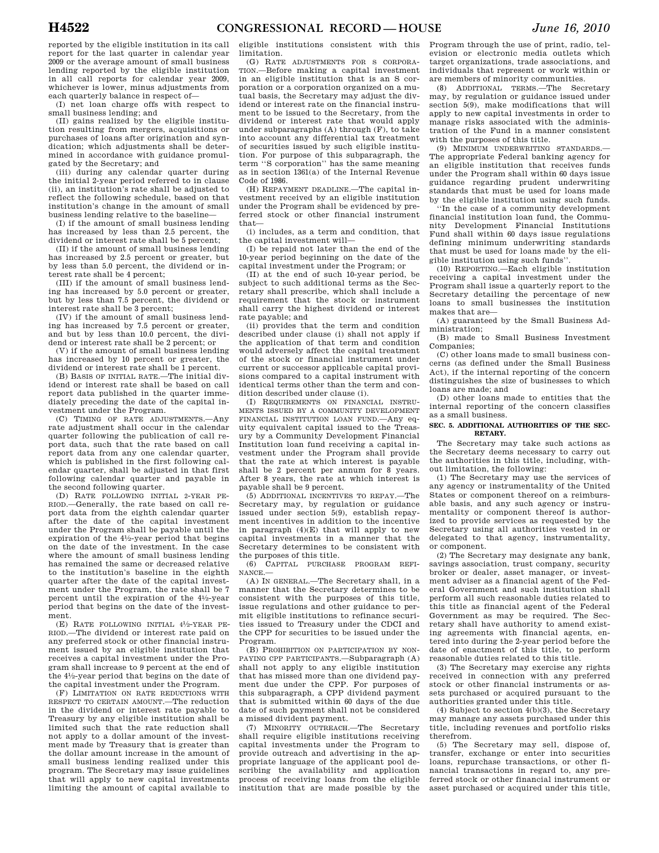reported by the eligible institution in its call report for the last quarter in calendar year 2009 or the average amount of small business lending reported by the eligible institution in all call reports for calendar year 2009, whichever is lower, minus adjustments from each quarterly balance in respect of—

(I) net loan charge offs with respect to small business lending; and

(II) gains realized by the eligible institution resulting from mergers, acquisitions or purchases of loans after origination and syndication; which adjustments shall be determined in accordance with guidance promulgated by the Secretary; and

(iii) during any calendar quarter during the initial 2-year period referred to in clause (ii), an institution's rate shall be adjusted to reflect the following schedule, based on that institution's change in the amount of small business lending relative to the baseline—

(I) if the amount of small business lending has increased by less than 2.5 percent, the dividend or interest rate shall be 5 percent;

(II) if the amount of small business lending has increased by 2.5 percent or greater, but by less than 5.0 percent, the dividend or interest rate shall be 4 percent;

(III) if the amount of small business lending has increased by 5.0 percent or greater, but by less than 7.5 percent, the dividend or interest rate shall be 3 percent;

(IV) if the amount of small business lending has increased by 7.5 percent or greater, and but by less than 10.0 percent, the dividend or interest rate shall be 2 percent; or

(V) if the amount of small business lending has increased by 10 percent or greater, the dividend or interest rate shall be 1 percent.

(B) BASIS OF INITIAL RATE.—The initial dividend or interest rate shall be based on call report data published in the quarter immediately preceding the date of the capital investment under the Program.

(C) TIMING OF RATE ADJUSTMENTS.—Any rate adjustment shall occur in the calendar quarter following the publication of call report data, such that the rate based on call report data from any one calendar quarter, which is published in the first following calendar quarter, shall be adjusted in that first following calendar quarter and payable in the second following quarter.

(D) RATE FOLLOWING INITIAL 2-YEAR PE-RIOD.—Generally, the rate based on call report data from the eighth calendar quarter after the date of the capital investment under the Program shall be payable until the expiration of the 41⁄2-year period that begins on the date of the investment. In the case where the amount of small business lending has remained the same or decreased relative to the institution's baseline in the eighth quarter after the date of the capital investment under the Program, the rate shall be 7 percent until the expiration of the 41⁄2-year period that begins on the date of the investment.

(E) RATE FOLLOWING INITIAL 41⁄2-YEAR PE-RIOD.—The dividend or interest rate paid on any preferred stock or other financial instrument issued by an eligible institution that receives a capital investment under the Program shall increase to 9 percent at the end of the 41⁄2-year period that begins on the date of the capital investment under the Program.

(F) LIMITATION ON RATE REDUCTIONS WITH RESPECT TO CERTAIN AMOUNT.—The reduction in the dividend or interest rate payable to Treasury by any eligible institution shall be limited such that the rate reduction shall not apply to a dollar amount of the investment made by Treasury that is greater than the dollar amount increase in the amount of small business lending realized under this program. The Secretary may issue guidelines that will apply to new capital investments limiting the amount of capital available to

eligible institutions consistent with this limitation.

(G) RATE ADJUSTMENTS FOR S CORPORA-TION.—Before making a capital investment in an eligible institution that is an S corporation or a corporation organized on a mutual basis, the Secretary may adjust the dividend or interest rate on the financial instrument to be issued to the Secretary, from the dividend or interest rate that would apply under subparagraphs (A) through (F), to take into account any differential tax treatment of securities issued by such eligible institution. For purpose of this subparagraph, the term ''S corporation'' has the same meaning as in section 1361(a) of the Internal Revenue Code of 1986.

(H) REPAYMENT DEADLINE.—The capital investment received by an eligible institution under the Program shall be evidenced by preferred stock or other financial instrument that—

(i) includes, as a term and condition, that the capital investment will—

(I) be repaid not later than the end of the 10-year period beginning on the date of the capital investment under the Program; or

(II) at the end of such 10-year period, be subject to such additional terms as the Secretary shall prescribe, which shall include a requirement that the stock or instrument shall carry the highest dividend or interest rate payable; and

(ii) provides that the term and condition described under clause (i) shall not apply if the application of that term and condition would adversely affect the capital treatment of the stock or financial instrument under current or successor applicable capital provisions compared to a capital instrument with identical terms other than the term and condition described under clause (i).

(I) REQUIREMENTS ON FINANCIAL INSTRU-MENTS ISSUED BY A COMMUNITY DEVELOPMENT FINANCIAL INSTITUTION LOAN FUND.—Any equity equivalent capital issued to the Treasury by a Community Development Financial Institution loan fund receiving a capital investment under the Program shall provide that the rate at which interest is payable shall be 2 percent per annum for 8 years. After 8 years, the rate at which interest is payable shall be 9 percent.

(5) ADDITIONAL INCENTIVES TO REPAY.—The Secretary may, by regulation or guidance issued under section 5(9), establish repayment incentives in addition to the incentive in paragraph (4)(E) that will apply to new capital investments in a manner that the Secretary determines to be consistent with the purposes of this title.

(6) CAPITAL PURCHASE PROGRAM REFI-NANCE.—

(A) IN GENERAL.—The Secretary shall, in a manner that the Secretary determines to be consistent with the purposes of this title, issue regulations and other guidance to permit eligible institutions to refinance securities issued to Treasury under the CDCI and the CPP for securities to be issued under the Program.

(B) PROHIBITION ON PARTICIPATION BY NON-PAYING CPP PARTICIPANTS.—Subparagraph (A) shall not apply to any eligible institution that has missed more than one dividend payment due under the CPP. For purposes of this subparagraph, a CPP dividend payment that is submitted within 60 days of the due date of such payment shall not be considered a missed divident payment.

(7) MINORITY OUTREACH.—The Secretary shall require eligible institutions receiving capital investments under the Program to provide outreach and advertising in the appropriate language of the applicant pool describing the availability and application process of receiving loans from the eligible institution that are made possible by the

Program through the use of print, radio, television or electronic media outlets which target organizations, trade associations, and individuals that represent or work within or are members of minority communities.

(8) ADDITIONAL TERMS.—The Secretary may, by regulation or guidance issued under section 5(9), make modifications that will apply to new capital investments in order to manage risks associated with the administration of the Fund in a manner consistent with the purposes of this title.

(9) MINIMUM UNDERWRITING STANDARDS.— The appropriate Federal banking agency for an eligible institution that receives funds under the Program shall within 60 days issue guidance regarding prudent underwriting standards that must be used for loans made by the eligible institution using such funds.

''In the case of a community development financial institution loan fund, the Community Development Financial Institutions Fund shall within 60 days issue regulations defining minimum underwriting standards that must be used for loans made by the eligible institution using such funds''.

(10) REPORTING.—Each eligible institution receiving a capital investment under the Program shall issue a quarterly report to the Secretary detailing the percentage of new loans to small businesses the institution makes that are—

(A) guaranteed by the Small Business Administration;

(B) made to Small Business Investment Companies;

(C) other loans made to small business concerns (as defined under the Small Business Act), if the internal reporting of the concern distinguishes the size of businesses to which loans are made; and

(D) other loans made to entities that the internal reporting of the concern classifies as a small business.

#### **SEC. 5. ADDITIONAL AUTHORITIES OF THE SEC-RETARY.**

The Secretary may take such actions as the Secretary deems necessary to carry out the authorities in this title, including, without limitation, the following:

(1) The Secretary may use the services of any agency or instrumentality of the United States or component thereof on a reimbursable basis, and any such agency or instrumentality or component thereof is authorized to provide services as requested by the Secretary using all authorities vested in or delegated to that agency, instrumentality, or component.

(2) The Secretary may designate any bank, savings association, trust company, security broker or dealer, asset manager, or investment adviser as a financial agent of the Federal Government and such institution shall perform all such reasonable duties related to this title as financial agent of the Federal Government as may be required. The Secretary shall have authority to amend existing agreements with financial agents, entered into during the 2-year period before the date of enactment of this title, to perform reasonable duties related to this title.

(3) The Secretary may exercise any rights received in connection with any preferred stock or other financial instruments or assets purchased or acquired pursuant to the authorities granted under this title.

(4) Subject to section 4(b)(3), the Secretary may manage any assets purchased under this title, including revenues and portfolio risks therefrom.

(5) The Secretary may sell, dispose of, transfer, exchange or enter into securities loans, repurchase transactions, or other financial transactions in regard to, any preferred stock or other financial instrument or asset purchased or acquired under this title,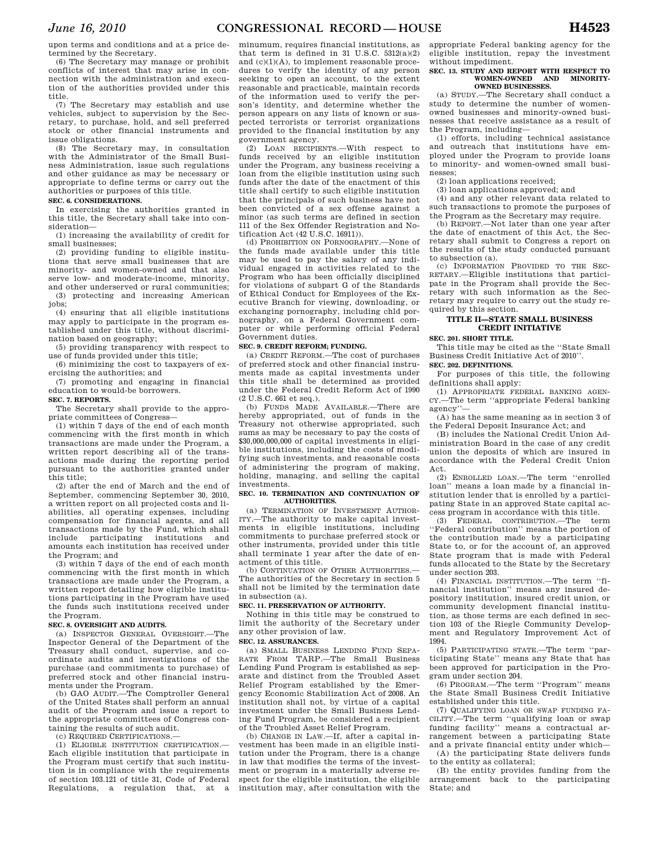upon terms and conditions and at a price determined by the Secretary.

(6) The Secretary may manage or prohibit conflicts of interest that may arise in connection with the administration and execution of the authorities provided under this title.

(7) The Secretary may establish and use vehicles, subject to supervision by the Secretary, to purchase, hold, and sell preferred stock or other financial instruments and issue obligations.

(8) The Secretary may, in consultation with the Administrator of the Small Business Administration, issue such regulations and other guidance as may be necessary or appropriate to define terms or carry out the authorities or purposes of this title.

## **SEC. 6. CONSIDERATIONS.**

In exercising the authorities granted in this title, the Secretary shall take into consideration—

(1) increasing the availability of credit for small businesses;

(2) providing funding to eligible institutions that serve small businesses that are minority- and women-owned and that also serve low- and moderate-income, minority, and other underserved or rural communities; (3) protecting and increasing American

jobs;

(4) ensuring that all eligible institutions may apply to participate in the program established under this title, without discrimination based on geography;

(5) providing transparency with respect to use of funds provided under this title;

(6) minimizing the cost to taxpayers of exercising the authorities; and

(7) promoting and engaging in financial education to would-be borrowers.

#### **SEC. 7. REPORTS.**

The Secretary shall provide to the appropriate committees of Congress—

(1) within 7 days of the end of each month commencing with the first month in which transactions are made under the Program, a written report describing all of the transactions made during the reporting period pursuant to the authorities granted under this title;

(2) after the end of March and the end of September, commencing September 30, 2010, a written report on all projected costs and liabilities, all operating expenses, including compensation for financial agents, and all transactions made by the Fund, which shall include participating institutions and amounts each institution has received under the Program; and

(3) within 7 days of the end of each month commencing with the first month in which transactions are made under the Program, a written report detailing how eligible institutions participating in the Program have used the funds such institutions received under the Program.

#### **SEC. 8. OVERSIGHT AND AUDITS.**

(a) INSPECTOR GENERAL OVERSIGHT.—The Inspector General of the Department of the Treasury shall conduct, supervise, and coordinate audits and investigations of the purchase (and commitments to purchase) of preferred stock and other financial instruments under the Program.

(b) GAO AUDIT.—The Comptroller General of the United States shall perform an annual audit of the Program and issue a report to the appropriate committees of Congress containing the results of such audit.

(c) REQUIRED CERTIFICATIONS.—

(1) ELIGIBLE INSTITUTION CERTIFICATION.— Each eligible institution that participate in the Program must certify that such institution is in compliance with the requirements of section 103.121 of title 31, Code of Federal Regulations, a regulation that, at a

minumum, requires financial institutions, as that term is defined in  $31$  U.S.C.  $5312(a)(2)$ and  $(c)(1)(A)$ , to implement reasonable procedures to verify the identity of any person seeking to open an account, to the extent reasonable and practicable, maintain records of the information used to verify the person's identity, and determine whether the person appears on any lists of known or suspected terrorists or terrorist organizations provided to the financial institution by any government agency.

(2) LOAN RECIPIENTS.—With respect to funds received by an eligible institution under the Program, any business receiving a loan from the eligible institution using such funds after the date of the enactment of this title shall certify to such eligible institution that the principals of such business have not been convicted of a sex offense against a minor (as such terms are defined in section 111 of the Sex Offender Registration and Notification Act (42 U.S.C. 16911)).

(d) PROHIBITION ON PORNOGRAPHY.—None of the funds made available under this title may be used to pay the salary of any individual engaged in activities related to the Program who has been officially disciplined for violations of subpart G of the Standards of Ethical Conduct for Employees of the Executive Branch for viewing, downloading, or exchanging pornography, including chld pornography, on a Federal Government computer or while performing official Federal Government duties.

#### **SEC. 9. CREDIT REFORM; FUNDING.**

(a) CREDIT REFORM.—The cost of purchases of preferred stock and other financial instruments made as capital investments under this title shall be determined as provided under the Federal Credit Reform Act of 1990 (2 U.S.C. 661 et seq.).

(b) FUNDS MADE AVAILABLE.—There are hereby appropriated, out of funds in the Treasury not otherwise appropriated, such sums as may be necessary to pay the costs of \$30,000,000,000 of capital investments in eligible institutions, including the costs of modifying such investments, and reasonable costs of administering the program of making, holding, managing, and selling the capital investments.

#### **SEC. 10. TERMINATION AND CONTINUATION OF AUTHORITIES.**

(a) TERMINATION OF INVESTMENT AUTHOR-ITY.—The authority to make capital investments in eligible institutions, including commitments to purchase preferred stock or other instruments, provided under this title shall terminate 1 year after the date of enactment of this title.

(b) CONTINUATION OF OTHER AUTHORITIES.— The authorities of the Secretary in section 5 shall not be limited by the termination date in subsection (a).

#### **SEC. 11. PRESERVATION OF AUTHORITY.**

Nothing in this title may be construed to limit the authority of the Secretary under any other provision of law. **SEC. 12. ASSURANCES.** 

(a) SMALL BUSINESS LENDING FUND SEPA-RATE FROM TARP.—The Small Business Lending Fund Program is established as separate and distinct from the Troubled Asset Relief Program established by the Emergency Economic Stabilization Act of 2008. An institution shall not, by virtue of a capital investment under the Small Business Lending Fund Program, be considered a recipient of the Troubled Asset Relief Program.

(b) CHANGE IN LAW.—If, after a capital investment has been made in an eligible institution under the Program, there is a change in law that modifies the terms of the investment or program in a materially adverse respect for the eligible institution, the eligible institution may, after consultation with the appropriate Federal banking agency for the eligible institution, repay the investment without impediment.

#### **SEC. 13. STUDY AND REPORT WITH RESPECT TO WOMEN-OWNED AND MINORITY-OWNED BUSINESSES.**

(a) STUDY.—The Secretary shall conduct a study to determine the number of womenowned businesses and minority-owned businesses that receive assistance as a result of the Program, including—

(1) efforts, including technical assistance and outreach that institutions have employed under the Program to provide loans to minority- and women-owned small businesses;

(2) loan applications received;

(3) loan applications approved; and (4) and any other relevant data related to such transactions to promote the purposes of the Program as the Secretary may require.

(b) REPORT.—Not later than one year after the date of enactment of this Act, the Secretary shall submit to Congress a report on the results of the study conducted pursuant to subsection (a).

(c) INFORMATION PROVIDED TO THE SEC-RETARY.—Eligible institutions that participate in the Program shall provide the Secretary with such information as the Secretary may require to carry out the study required by this section.

### **TITLE II—STATE SMALL BUSINESS CREDIT INITIATIVE**

## **SEC. 201. SHORT TITLE.**

This title may be cited as the ''State Small Business Credit Initiative Act of 2010''.

## **SEC. 202. DEFINITIONS.**

For purposes of this title, the following definitions shall apply:

(1) APPROPRIATE FEDERAL BANKING AGEN-CY.—The term ''appropriate Federal banking agency''—

(A) has the same meaning as in section 3 of the Federal Deposit Insurance Act; and

(B) includes the National Credit Union Administration Board in the case of any credit union the deposits of which are insured in accordance with the Federal Credit Union Act.

(2) ENROLLED LOAN.—The term ''enrolled loan'' means a loan made by a financial institution lender that is enrolled by a participating State in an approved State capital access program in accordance with this title.

(3) FEDERAL CONTRIBUTION.—The term ''Federal contribution'' means the portion of the contribution made by a participating State to, or for the account of, an approved State program that is made with Federal funds allocated to the State by the Secretary under section 203.

(4) FINANCIAL INSTITUTION.—The term ''financial institution'' means any insured depository institution, insured credit union, or community development financial institution, as those terms are each defined in section 103 of the Riegle Community Development and Regulatory Improvement Act of 1994.

(5) PARTICIPATING STATE.—The term ''participating State'' means any State that has been approved for participation in the Program under section 204.

(6) PROGRAM.—The term ''Program'' means the State Small Business Credit Initiative established under this title.

(7) QUALIFYING LOAN OR SWAP FUNDING FA-CILITY.—The term ''qualifying loan or swap funding facility'' means a contractual arrangement between a participating State and a private financial entity under which—

(A) the participating State delivers funds to the entity as collateral;

(B) the entity provides funding from the arrangement back to the participating State; and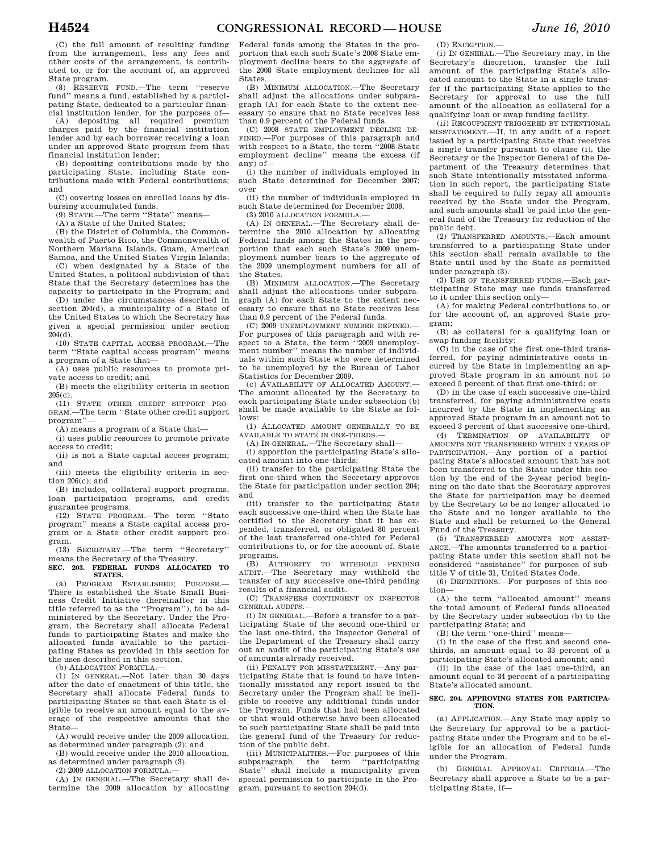(C) the full amount of resulting funding from the arrangement, less any fees and other costs of the arrangement, is contributed to, or for the account of, an approved State program.

(8) RESERVE FUND.—The term ''reserve fund'' means a fund, established by a participating State, dedicated to a particular financial institution lender, for the purposes of—

(A) depositing all required premium charges paid by the financial institution lender and by each borrower receiving a loan under an approved State program from that financial institution lender;

(B) depositing contributions made by the participating State, including State contributions made with Federal contributions; and

(C) covering losses on enrolled loans by disbursing accumulated funds.

(9) STATE.—The term ''State'' means—

(A) a State of the United States;

(B) the District of Columbia, the Commonwealth of Puerto Rico, the Commonwealth of Northern Mariana Islands, Guam, American Samoa, and the United States Virgin Islands;

(C) when designated by a State of the United States, a political subdivision of that State that the Secretary determines has the capacity to participate in the Program; and

(D) under the circumstances described in section 204(d), a municipality of a State of the United States to which the Secretary has given a special permission under section 204(d).

(10) STATE CAPITAL ACCESS PROGRAM.—The term ''State capital access program'' means a program of a State that—

(A) uses public resources to promote private access to credit; and

(B) meets the eligibility criteria in section 205(c).

(11) STATE OTHER CREDIT SUPPORT PRO-GRAM.—The term ''State other credit support program''—

(A) means a program of a State that—

(i) uses public resources to promote private access to credit;

(ii) is not a State capital access program; and (iii) meets the eligibility criteria in sec-

tion 206(c); and

(B) includes, collateral support programs, loan participation programs, and credit guarantee programs.

(12) STATE PROGRAM.—The term ''State program'' means a State capital access program or a State other credit support program.

(13) SECRETARY.—The term ''Secretary'' means the Secretary of the Treasury.

**SEC. 203. FEDERAL FUNDS ALLOCATED TO STATES.** 

(a) PROGRAM ESTABLISHED; PURPOSE.— There is established the State Small Business Credit Initiative (hereinafter in this title referred to as the ''Program''), to be administered by the Secretary. Under the Program, the Secretary shall allocate Federal funds to participating States and make the allocated funds available to the participating States as provided in this section for the uses described in this section.

(b) ALLOCATION FORMULA.—

(1) IN GENERAL.—Not later than 30 days after the date of enactment of this title, the Secretary shall allocate Federal funds to participating States so that each State is eligible to receive an amount equal to the average of the respective amounts that the State—

(A) would receive under the 2009 allocation, as determined under paragraph (2); and

(B) would receive under the 2010 allocation, as determined under paragraph (3).

(2) 2009 ALLOCATION FORMULA.—

(A) IN GENERAL.—The Secretary shall determine the 2009 allocation by allocating Federal funds among the States in the proportion that each such State's 2008 State employment decline bears to the aggregate of the 2008 State employment declines for all States.

(B) MINIMUM ALLOCATION.—The Secretary shall adjust the allocations under subparagraph (A) for each State to the extent necessary to ensure that no State receives less than 0.9 percent of the Federal funds.

(C) 2008 STATE EMPLOYMENT DECLINE DE-FINED.—For purposes of this paragraph and with respect to a State, the term ''2008 State employment decline'' means the excess (if any) of—

(i) the number of individuals employed in such State determined for December 2007; over

(ii) the number of individuals employed in such State determined for December 2008.

(3) 2010 ALLOCATION FORMULA.—

(A) IN GENERAL.—The Secretary shall determine the 2010 allocation by allocating Federal funds among the States in the proportion that each such State's 2009 unemployment number bears to the aggregate of the 2009 unemployment numbers for all of the States.

(B) MINIMUM ALLOCATION.—The Secretary shall adjust the allocations under subparagraph (A) for each State to the extent necessary to ensure that no State receives less than 0.9 percent of the Federal funds.

 $(C)$  2009 INEMPLOYMENT NUMBER DEFINED $-$ For purposes of this paragraph and with respect to a State, the term "2009 unemployment number" means the number of individuals within such State who were determined to be unemployed by the Bureau of Labor Statistics for December 2009.

(c) AVAILABILITY OF ALLOCATED AMOUNT. The amount allocated by the Secretary to each participating State under subsection (b) shall be made available to the State as follows:

(1) ALLOCATED AMOUNT GENERALLY TO BE AVAILABLE TO STATE IN ONE-THIRDS.—

(A) IN GENERAL.—The Secretary shall—

(i) apportion the participating State's allocated amount into one-thirds;

(ii) transfer to the participating State the first one-third when the Secretary approves the State for participation under section 204; and

(iii) transfer to the participating State each successive one-third when the State has certified to the Secretary that it has expended, transferred, or obligated 80 percent of the last transferred one-third for Federal contributions to, or for the account of, State programs.

(B) AUTHORITY TO WITHHOLD PENDING AUDIT.—The Secretary may withhold the transfer of any successive one-third pending results of a financial audit.

(C) TRANSFERS CONTINGENT ON INSPECTOR GENERAL AUDITS.—

(i) IN GENERAL.—Before a transfer to a participating State of the second one-third or the last one-third, the Inspector General of the Department of the Treasury shall carry out an audit of the participating State's use of amounts already received.

(ii) PENALTY FOR MISSTATEMENT.—Any participating State that is found to have intentionally misstated any report issued to the Secretary under the Program shall be ineligible to receive any additional funds under the Program. Funds that had been allocated or that would otherwise have been allocated to such participating State shall be paid into the general fund of the Treasury for reduction of the public debt.

(iii) MUNICIPALITIES.—For purposes of this<br>abparagraph, the term "participating" subparagraph, the term State'' shall include a municipality given special permission to participate in the Program, pursuant to section 204(d).

(D) EXCEPTION.—

(i) IN GENERAL.—The Secretary may, in the Secretary's discretion, transfer the full amount of the participating State's allocated amount to the State in a single transfer if the participating State applies to the Secretary for approval to use the full amount of the allocation as collateral for a qualifying loan or swap funding facility.

(ii) RECOUPMENT TRIGGERED BY INTENTIONAL MISSTATEMENT.—If, in any audit of a report issued by a participating State that receives a single transfer pursuant to clause (i), the Secretary or the Inspector General of the Department of the Treasury determines that such State intentionally misstated information in such report, the participating State shall be required to fully repay all amounts received by the State under the Program, and such amounts shall be paid into the general fund of the Treasury for reduction of the public debt.

(2) TRANSFERRED AMOUNTS.—Each amount transferred to a participating State under this section shall remain available to the State until used by the State as permitted under paragraph (3).

(3) USE OF TRANSFERRED FUNDS.—Each participating State may use funds transferred to it under this section only—

(A) for making Federal contributions to, or for the account of, an approved State program;

(B) as collateral for a qualifying loan or swap funding facility;

(C) in the case of the first one-third transferred, for paying administrative costs incurred by the State in implementing an approved State program in an amount not to exceed 5 percent of that first one-third; or

(D) in the case of each successive one-third transferred, for paying administrative costs incurred by the State in implementing an approved State program in an amount not to exceed 3 percent of that successive one-third.

(4) TERMINATION OF AVAILABILITY OF AMOUNTS NOT TRANSFERRED WITHIN 2 YEARS OF PARTICIPATION.—Any portion of a participating State's allocated amount that has not been transferred to the State under this section by the end of the 2-year period beginning on the date that the Secretary approves the State for participation may be deemed by the Secretary to be no longer allocated to the State and no longer available to the State and shall be returned to the General Fund of the Treasury.

(5) TRANSFERRED AMOUNTS NOT ASSIST-ANCE.—The amounts transferred to a participating State under this section shall not be considered ''assistance'' for purposes of subtitle V of title 31, United States Code.

(6) DEFINITIONS.—For purposes of this section—

(A) the term ''allocated amount'' means the total amount of Federal funds allocated by the Secretary under subsection (b) to the participating State; and

(B) the term ''one-third'' means—

(i) in the case of the first and second onethirds, an amount equal to 33 percent of a participating State's allocated amount; and

(ii) in the case of the last one-third, an amount equal to 34 percent of a participating State's allocated amount.

#### **SEC. 204. APPROVING STATES FOR PARTICIPA-TION.**

(a) APPLICATION.—Any State may apply to the Secretary for approval to be a participating State under the Program and to be eligible for an allocation of Federal funds under the Program.

(b) GENERAL APPROVAL CRITERIA.—The Secretary shall approve a State to be a participating State, if—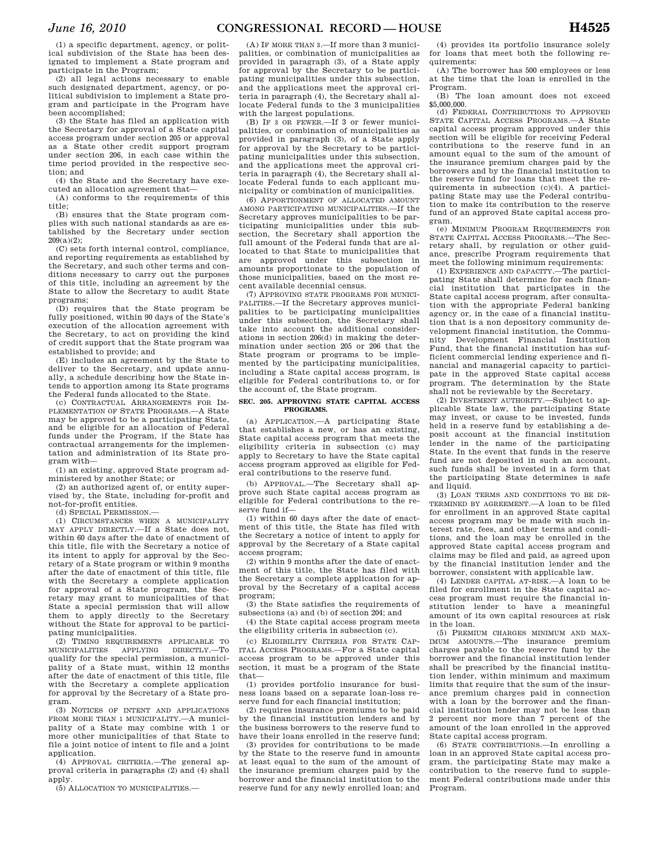(1) a specific department, agency, or political subdivision of the State has been designated to implement a State program and participate in the Program;

(2) all legal actions necessary to enable such designated department, agency, or political subdivision to implement a State program and participate in the Program have been accomplished;

(3) the State has filed an application with the Secretary for approval of a State capital access program under section 205 or approval as a State other credit support program under section 206, in each case within the time period provided in the respective section; and

(4) the State and the Secretary have executed an allocation agreement that—

(A) conforms to the requirements of this title;

(B) ensures that the State program complies with such national standards as are established by the Secretary under section  $209(a)(2)$ ;

(C) sets forth internal control, compliance, and reporting requirements as established by the Secretary, and such other terms and conditions necessary to carry out the purposes of this title, including an agreement by the State to allow the Secretary to audit State programs;

(D) requires that the State program be fully positioned, within 90 days of the State's execution of the allocation agreement with the Secretary, to act on providing the kind of credit support that the State program was established to provide; and

(E) includes an agreement by the State to deliver to the Secretary, and update annually, a schedule describing how the State intends to apportion among its State programs the Federal funds allocated to the State.

(c) CONTRACTUAL ARRANGEMENTS FOR IM-PLEMENTATION OF STATE PROGRAMS.—A State may be approved to be a participating State, and be eligible for an allocation of Federal funds under the Program, if the State has contractual arrangements for the implementation and administration of its State program with—

(1) an existing, approved State program administered by another State; or

(2) an authorized agent of, or entity supervised by, the State, including for-profit and not-for-profit entities.

(d) SPECIAL PERMISSION.—

(1) CIRCUMSTANCES WHEN A MUNICIPALITY MAY APPLY DIRECTLY.—If a State does not, within 60 days after the date of enactment of this title, file with the Secretary a notice of its intent to apply for approval by the Secretary of a State program or within 9 months after the date of enactment of this title, file with the Secretary a complete application for approval of a State program, the Secretary may grant to municipalities of that State a special permission that will allow them to apply directly to the Secretary without the State for approval to be participating municipalities.

(2) TIMING REQUIREMENTS APPLICABLE TO MUNICIPALITIES APPLYING DIRECTLY.—To qualify for the special permission, a municipality of a State must, within 12 months after the date of enactment of this title, file with the Secretary a complete application for approval by the Secretary of a State program.

(3) NOTICES OF INTENT AND APPLICATIONS FROM MORE THAN 1 MUNICIPALITY.—A municipality of a State may combine with 1 or more other municipalities of that State to file a joint notice of intent to file and a joint application.

(4) APPROVAL CRITERIA.—The general approval criteria in paragraphs (2) and (4) shall apply.

(5) ALLOCATION TO MUNICIPALITIES.—

(A) IF MORE THAN 3.—If more than 3 municipalities, or combination of municipalities as provided in paragraph (3), of a State apply for approval by the Secretary to be participating municipalities under this subsection, and the applications meet the approval criteria in paragraph (4), the Secretary shall allocate Federal funds to the 3 municipalities with the largest populations.

(B) IF 3 OR FEWER.—If 3 or fewer municipalities, or combination of municipalities as provided in paragraph (3), of a State apply for approval by the Secretary to be participating municipalities under this subsection, and the applications meet the approval criteria in paragraph (4), the Secretary shall allocate Federal funds to each applicant municipality or combination of municipalities.

(6) APPORTIONMENT OF ALLOCATED AMOUNT AMONG PARTICIPATING MUNICIPALITIES.—If the Secretary approves municipalities to be participating municipalities under this subsection, the Secretary shall apportion the full amount of the Federal funds that are allocated to that State to municipalities that are approved under this subsection in amounts proportionate to the population of those municipalities, based on the most recent available decennial census.

(7) APPROVING STATE PROGRAMS FOR MUNICI-PALITIES.—If the Secretary approves municipalities to be participating municipalities under this subsection, the Secretary shall take into account the additional considerations in section 206(d) in making the determination under section 205 or 206 that the State program or programs to be implemented by the participating municipalities, including a State capital access program, is eligible for Federal contributions to, or for the account of, the State program.

#### **SEC. 205. APPROVING STATE CAPITAL ACCESS PROGRAMS.**

(a) APPLICATION.—A participating State that establishes a new, or has an existing, State capital access program that meets the eligibility criteria in subsection (c) may apply to Secretary to have the State capital access program approved as eligible for Federal contributions to the reserve fund.

(b) APPROVAL.—The Secretary shall approve such State capital access program as eligible for Federal contributions to the reserve fund if—

(1) within 60 days after the date of enactment of this title, the State has filed with the Secretary a notice of intent to apply for approval by the Secretary of a State capital access program;

(2) within 9 months after the date of enactment of this title, the State has filed with the Secretary a complete application for approval by the Secretary of a capital access program;

(3) the State satisfies the requirements of subsections (a) and (b) of section 204; and

(4) the State capital access program meets the eligibility criteria in subsection (c).

(c) ELIGIBILITY CRITERIA FOR STATE CAP-ITAL ACCESS PROGRAMS.—For a State capital access program to be approved under this section, it must be a program of the State that—

(1) provides portfolio insurance for business loans based on a separate loan-loss reserve fund for each financial institution;

(2) requires insurance premiums to be paid by the financial institution lenders and by the business borrowers to the reserve fund to have their loans enrolled in the reserve fund;

(3) provides for contributions to be made by the State to the reserve fund in amounts at least equal to the sum of the amount of the insurance premium charges paid by the borrower and the financial institution to the reserve fund for any newly enrolled loan; and

(4) provides its portfolio insurance solely for loans that meet both the following requirements:

(A) The borrower has 500 employees or less at the time that the loan is enrolled in the Program.

(B) The loan amount does not exceed \$5,000,000

(d) FEDERAL CONTRIBUTIONS TO APPROVED STATE CAPITAL ACCESS PROGRAMS.—A State capital access program approved under this section will be eligible for receiving Federal contributions to the reserve fund in an amount equal to the sum of the amount of the insurance premium charges paid by the borrowers and by the financial institution to the reserve fund for loans that meet the requirements in subsection (c)(4). A participating State may use the Federal contribution to make its contribution to the reserve fund of an approved State capital access program.

(e) MINIMUM PROGRAM REQUIREMENTS FOR STATE CAPITAL ACCESS PROGRAMS.—The Secretary shall, by regulation or other guid-ance, prescribe Program requirements that meet the following minimum requirements:

(1) EXPERIENCE AND CAPACITY.—The participating State shall determine for each financial institution that participates in the State capital access program, after consultation with the appropriate Federal banking agency or, in the case of a financial institution that is a non depository community development financial institution, the Community Development Financial Institution Fund, that the financial institution has sufficient commercial lending experience and financial and managerial capacity to participate in the approved State capital access program. The determination by the State shall not be reviewable by the Secretary.

(2) INVESTMENT AUTHORITY.—Subject to applicable State law, the participating State may invest, or cause to be invested, funds held in a reserve fund by establishing a deposit account at the financial institution lender in the name of the participating State. In the event that funds in the reserve fund are not deposited in such an account, such funds shall be invested in a form that the participating State determines is safe and liquid.

(3) LOAN TERMS AND CONDITIONS TO BE DE-TERMINED BY AGREEMENT.—A loan to be filed for enrollment in an approved State capital access program may be made with such interest rate, fees, and other terms and conditions, and the loan may be enrolled in the approved State capital access program and claims may be filed and paid, as agreed upon by the financial institution lender and the borrower, consistent with applicable law.

(4) LENDER CAPITAL AT-RISK.—A loan to be filed for enrollment in the State capital access program must require the financial institution lender to have a meaningful amount of its own capital resources at risk in the loan.

(5) PREMIUM CHARGES MINIMUM AND MAX-IMUM AMOUNTS.—The insurance premium charges payable to the reserve fund by the borrower and the financial institution lender shall be prescribed by the financial institution lender, within minimum and maximum limits that require that the sum of the insurance premium charges paid in connection with a loan by the borrower and the financial institution lender may not be less than 2 percent nor more than 7 percent of the amount of the loan enrolled in the approved State capital access program.

(6) STATE CONTRIBUTIONS.—In enrolling a loan in an approved State capital access program, the participating State may make a contribution to the reserve fund to supplement Federal contributions made under this Program.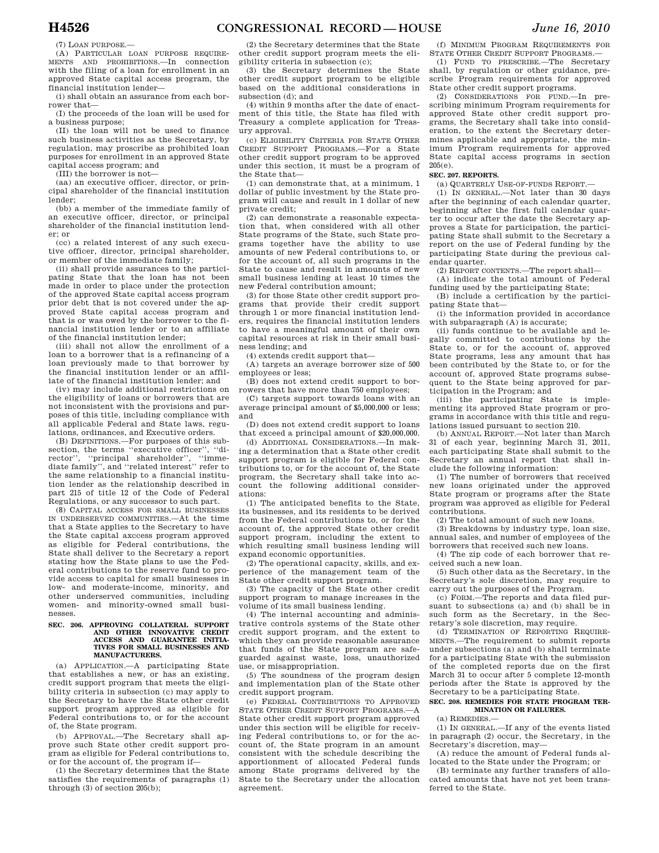(7) LOAN PURPOSE.—

(A) PARTICULAR LOAN PURPOSE REQUIRE-MENTS AND PROHIBITIONS.—In connection with the filing of a loan for enrollment in an approved State capital access program, the financial institution lender—

(i) shall obtain an assurance from each borrower that—

(I) the proceeds of the loan will be used for a business purpose;

(II) the loan will not be used to finance such business activities as the Secretary, by regulation, may proscribe as prohibited loan purposes for enrollment in an approved State capital access program; and

(III) the borrower is not—

(aa) an executive officer, director, or principal shareholder of the financial institution lender;

(bb) a member of the immediate family of an executive officer, director, or principal shareholder of the financial institution lender; or

(cc) a related interest of any such executive officer, director, principal shareholder, or member of the immediate family;

(ii) shall provide assurances to the participating State that the loan has not been made in order to place under the protection of the approved State capital access program prior debt that is not covered under the approved State capital access program and that is or was owed by the borrower to the financial institution lender or to an affiliate of the financial institution lender;

(iii) shall not allow the enrollment of a loan to a borrower that is a refinancing of a loan previously made to that borrower by the financial institution lender or an affiliate of the financial institution lender; and

(iv) may include additional restrictions on the eligibility of loans or borrowers that are not inconsistent with the provisions and purposes of this title, including compliance with all applicable Federal and State laws, regulations, ordinances, and Executive orders.

(B) DEFINITIONS.—For purposes of this subsection, the terms "executive officer", "di-<br>rector", "principal shareholder", "immerector", "principal shareholder", diate family'', and ''related interest'' refer to the same relationship to a financial institution lender as the relationship described in part 215 of title 12 of the Code of Federal Regulations, or any successor to such part.

(8) CAPITAL ACCESS FOR SMALL BUSINESSES IN UNDERSERVED COMMUNITIES.—At the time that a State applies to the Secretary to have the State capital axccess program approved as eligible for Federal contributions, the State shall deliver to the Secretary a report stating how the State plans to use the Federal contributions to the reserve fund to provide access to capital for small businesses in low- and moderate-income, minority, and other underserved communities, including women- and minority-owned small businesses.

#### **SEC. 206. APPROVING COLLATERAL SUPPORT AND OTHER INNOVATIVE CREDIT ACCESS AND GUARANTEE INITIA-TIVES FOR SMALL BUSINESSES AND MANUFACTURERS.**

(a) APPLICATION.—A participating State that establishes a new, or has an existing, credit support program that meets the eligibility criteria in subsection (c) may apply to the Secretary to have the State other credit support program approved as eligible for Federal contributions to, or for the account of, the State program.

(b) APPROVAL.—The Secretary shall approve such State other credit support program as eligible for Federal contributions to, or for the account of, the program if—

(1) the Secretary determines that the State satisfies the requirements of paragraphs (1) through (3) of section 205(b);

(2) the Secretary determines that the State other credit support program meets the eligibility criteria in subsection (c);

(3) the Secretary determines the State other credit support program to be eligible based on the additional considerations in subsection (d); and

(4) within 9 months after the date of enactment of this title, the State has filed with Treasury a complete application for Treasury approval.

(c) ELIGIBILITY CRITERIA FOR STATE OTHER CREDIT SUPPORT PROGRAMS.—For a State other credit support program to be approved under this section, it must be a program of the State that—

(1) can demonstrate that, at a minimum, 1 dollar of public investment by the State program will cause and result in 1 dollar of new private credit;

(2) can demonstrate a reasonable expectation that, when considered with all other State programs of the State, such State programs together have the ability to use amounts of new Federal contributions to, or for the account of, all such programs in the State to cause and result in amounts of new small business lending at least 10 times the new Federal contribution amount;

(3) for those State other credit support programs that provide their credit support through 1 or more financial institution lenders, requires the financial institution lenders to have a meaningful amount of their own capital resources at risk in their small business lending; and

(4) extends credit support that—

(A) targets an average borrower size of 500 employees or less;

(B) does not extend credit support to borrowers that have more than 750 employees;

(C) targets support towards loans with an average principal amount of \$5,000,000 or less; and

(D) does not extend credit support to loans that exceed a principal amount of \$20,000,000.

(d) ADDITIONAL CONSIDERATIONS.—In making a determination that a State other credit support program is eligible for Federal contributions to, or for the account of, the State program, the Secretary shall take into account the following additional considerations:

(1) The anticipated benefits to the State, its businesses, and its residents to be derived from the Federal contributions to, or for the account of, the approved State other credit support program, including the extent to which resulting small business lending will expand economic opportunities.

(2) The operational capacity, skills, and experience of the management team of the State other credit support program.

(3) The capacity of the State other credit support program to manage increases in the volume of its small business lending.

(4) The internal accounting and administrative controls systems of the State other credit support program, and the extent to which they can provide reasonable assurance that funds of the State program are safeguarded against waste, loss, unauthorized use, or misappropriation.

(5) The soundness of the program design and implementation plan of the State other credit support program.

(e) FEDERAL CONTRIBUTIONS TO APPROVED STATE OTHER CREDIT SUPPORT PROGRAMS.—A State other credit support program approved under this section will be eligible for receiving Federal contributions to, or for the account of, the State program in an amount consistent with the schedule describing the apportionment of allocated Federal funds among State programs delivered by the State to the Secretary under the allocation agreement.

(f) MINIMUM PROGRAM REQUIREMENTS FOR STATE OTHER CREDIT SUPPORT PROGRAMS.—

(1) FUND TO PRESCRIBE.—The Secretary shall, by regulation or other guidance, prescribe Program requirements for approved State other credit support programs.

(2) CONSIDERATIONS FOR FUND.—In prescribing minimum Program requirements for approved State other credit support programs, the Secretary shall take into consideration, to the extent the Secretary determines applicable and appropriate, the minimum Program requirements for approved State capital access programs in section 205(e).

#### **SEC. 207. REPORTS.**

(a) QUARTERLY USE-OF-FUNDS REPORT.—

(1) IN GENERAL.—Not later than 30 days after the beginning of each calendar quarter, beginning after the first full calendar quarter to occur after the date the Secretary approves a State for participation, the participating State shall submit to the Secretary a report on the use of Federal funding by the participating State during the previous calendar quarter.

(2) REPORT CONTENTS.—The report shall—

(A) indicate the total amount of Federal funding used by the participating State;

(B) include a certification by the participating State that—

(i) the information provided in accordance with subparagraph (A) is accurate;

(ii) funds continue to be available and legally committed to contributions by the State to, or for the account of, approved State programs, less any amount that has been contributed by the State to, or for the account of, approved State programs subsequent to the State being approved for participation in the Program; and

(iii) the participating State is implementing its approved State program or programs in accordance with this title and regulations issued pursuant to section 210.

(b) ANNUAL REPORT.—Not later than March 31 of each year, beginning March 31, 2011, each participating State shall submit to the Secretary an annual report that shall include the following information:

(1) The number of borrowers that received new loans originated under the approved State program or programs after the State program was approved as eligible for Federal contributions.

(2) The total amount of such new loans.

(3) Breakdowns by industry type, loan size, annual sales, and number of employees of the borrowers that received such new loans.

(4) The zip code of each borrower that received such a new loan.

(5) Such other data as the Secretary, in the Secretary's sole discretion, may require to carry out the purposes of the Program.

(c) FORM.—The reports and data filed pursuant to subsections (a) and (b) shall be in such form as the Secretary, in the Secretary's sole discretion, may require.

(d) TERMINATION OF REPORTING REQUIRE-MENTS.—The requirement to submit reports under subsections (a) and (b) shall terminate for a participating State with the submission of the completed reports due on the first March 31 to occur after 5 complete 12-month periods after the State is approved by the Secretary to be a participating State.

#### **SEC. 208. REMEDIES FOR STATE PROGRAM TER-MINATION OR FAILURES.**

(a) REMEDIES.—

(1) IN GENERAL.—If any of the events listed in paragraph (2) occur, the Secretary, in the Secretary's discretion, may—

(A) reduce the amount of Federal funds allocated to the State under the Program; or

(B) terminate any further transfers of allocated amounts that have not yet been transferred to the State.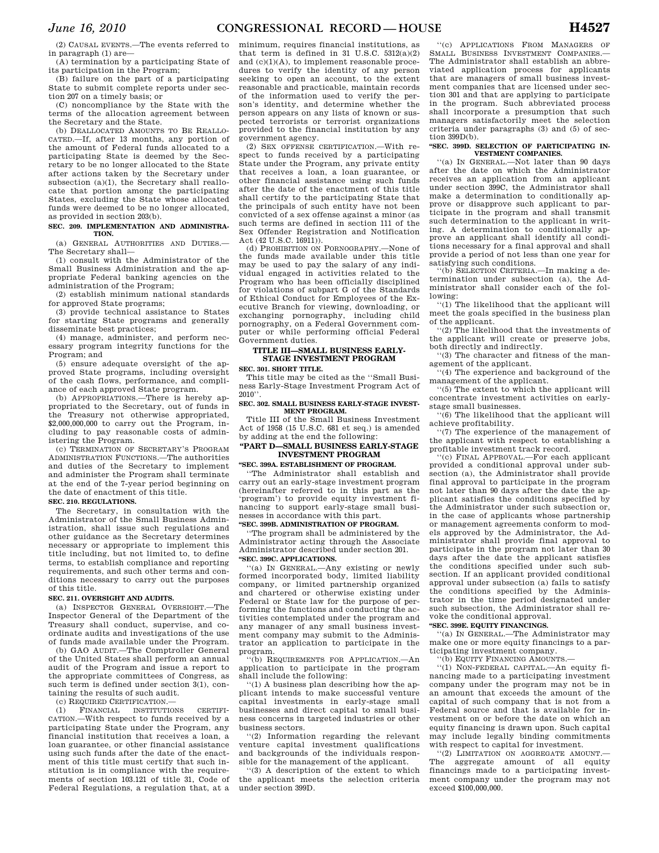(2) CAUSAL EVENTS.—The events referred to in paragraph (1) are—

(A) termination by a participating State of its participation in the Program;

(B) failure on the part of a participating State to submit complete reports under section 207 on a timely basis; or

(C) noncompliance by the State with the terms of the allocation agreement between the Secretary and the State.

(b) DEALLOCATED AMOUNTS TO BE REALLO-CATED.—If, after 13 months, any portion of the amount of Federal funds allocated to a participating State is deemed by the Secretary to be no longer allocated to the State after actions taken by the Secretary under subsection (a)(1), the Secretary shall reallocate that portion among the participating States, excluding the State whose allocated funds were deemed to be no longer allocated, as provided in section 203(b).

#### **SEC. 209. IMPLEMENTATION AND ADMINISTRA-TION.**

(a) GENERAL AUTHORITIES AND DUTIES.— The Secretary shall—

(1) consult with the Administrator of the Small Business Administration and the appropriate Federal banking agencies on the administration of the Program;

(2) establish minimum national standards for approved State programs;

(3) provide technical assistance to States for starting State programs and generally disseminate best practices;

(4) manage, administer, and perform necessary program integrity functions for the Program; and

(5) ensure adequate oversight of the approved State programs, including oversight of the cash flows, performance, and compliance of each approved State program.

(b) APPROPRIATIONS.—There is hereby appropriated to the Secretary, out of funds in the Treasury not otherwise appropriated, \$2,000,000,000 to carry out the Program, including to pay reasonable costs of administering the Program.

(c) TERMINATION OF SECRETARY'S PROGRAM ADMINISTRATION FUNCTIONS.—The authorities and duties of the Secretary to implement and administer the Program shall terminate at the end of the 7-year period beginning on the date of enactment of this title.

## **SEC. 210. REGULATIONS.**

The Secretary, in consultation with the Administrator of the Small Business Administration, shall issue such regulations and other guidance as the Secretary determines necessary or appropriate to implement this title including, but not limited to, to define terms, to establish compliance and reporting requirements, and such other terms and conditions necessary to carry out the purposes of this title.

#### **SEC. 211. OVERSIGHT AND AUDITS.**

(a) INSPECTOR GENERAL OVERSIGHT.—The Inspector General of the Department of the Treasury shall conduct, supervise, and coordinate audits and investigations of the use of funds made available under the Program.

(b) GAO AUDIT.—The Comptroller General of the United States shall perform an annual audit of the Program and issue a report to the appropriate committees of Congress, as such term is defined under section 3(1), containing the results of such audit.

(c) REQUIRED CERTIFICATION.—

(1) FINANCIAL INSTITUTIONS CERTIFI-CATION.—With respect to funds received by a participating State under the Program, any financial institution that receives a loan, a loan guarantee, or other financial assistance using such funds after the date of the enactment of this title must certify that such institution is in compliance with the requirements of section 103.121 of title 31, Code of Federal Regulations, a regulation that, at a

minimum, requires financial institutions, as that term is defined in 31 U.S.C.  $5312(a)(2)$ and (c)(1)(A), to implement reasonable procedures to verify the identity of any person seeking to open an account, to the extent reasonable and practicable, maintain records of the information used to verify the person's identity, and determine whether the person appears on any lists of known or suspected terrorists or terrorist organizations provided to the financial institution by any government agency.

(2) SEX OFFENSE CERTIFICATION.—With respect to funds received by a participating State under the Program, any private entity that receives a loan, a loan guarantee, or other financial assistance using such funds after the date of the enactment of this title shall certify to the participating State that the principals of such entity have not been convicted of a sex offense against a minor (as such terms are defined in section 111 of the Sex Offender Registration and Notification Act (42 U.S.C. 16911)).

(d) PROHIBITION ON PORNOGRAPHY.—None of the funds made available under this title may be used to pay the salary of any individual engaged in activities related to the Program who has been officially disciplined for violations of subpart G of the Standards of Ethical Conduct for Employees of the Executive Branch for viewing, downloading, or exchanging pornography, including child pornography, on a Federal Government computer or while performing official Federal Government duties.

## **TITLE III—SMALL BUSINESS EARLY-STAGE INVESTMENT PROGRAM**

**SEC. 301. SHORT TITLE.** 

This title may be cited as the ''Small Business Early-Stage Investment Program Act of  $2010$ 

#### **SEC. 302. SMALL BUSINESS EARLY-STAGE INVEST-MENT PROGRAM.**

Title III of the Small Business Investment Act of 1958 (15 U.S.C. 681 et seq.) is amended by adding at the end the following:

#### **''PART D—SMALL BUSINESS EARLY-STAGE INVESTMENT PROGRAM**

#### **''SEC. 399A. ESTABLISHMENT OF PROGRAM.**

''The Administrator shall establish and carry out an early-stage investment program (hereinafter referred to in this part as the 'program') to provide equity investment financing to support early-stage small businesses in accordance with this part.

## **''SEC. 399B. ADMINISTRATION OF PROGRAM.**

''The program shall be administered by the Administrator acting through the Associate Administrator described under section 201. **''SEC. 399C. APPLICATIONS.** 

''(a) IN GENERAL.—Any existing or newly formed incorporated body, limited liability company, or limited partnership organized and chartered or otherwise existing under Federal or State law for the purpose of performing the functions and conducting the activities contemplated under the program and any manager of any small business investment company may submit to the Administrator an application to participate in the program.

'(b) REQUIREMENTS FOR APPLICATION.—An application to participate in the program shall include the following:

''(1) A business plan describing how the applicant intends to make successful venture capital investments in early-stage small businesses and direct capital to small business concerns in targeted industries or other business sectors.

''(2) Information regarding the relevant venture capital investment qualifications and backgrounds of the individuals responsible for the management of the applicant.

''(3) A description of the extent to which the applicant meets the selection criteria under section 399D.

''(c) APPLICATIONS FROM MANAGERS OF SMALL BUSINESS INVESTMENT COMPANIES.— The Administrator shall establish an abbreviated application process for applicants that are managers of small business investment companies that are licensed under section 301 and that are applying to participate in the program. Such abbreviated process shall incorporate a presumption that such managers satisfactorily meet the selection criteria under paragraphs (3) and (5) of section 399D(b).

#### **''SEC. 399D. SELECTION OF PARTICIPATING IN-VESTMENT COMPANIES.**

''(a) IN GENERAL.—Not later than 90 days after the date on which the Administrator receives an application from an applicant under section 399C, the Administrator shall make a determination to conditionally approve or disapprove such applicant to participate in the program and shall transmit such determination to the applicant in writing. A determination to conditionally approve an applicant shall identify all conditions necessary for a final approval and shall provide a period of not less than one year for satisfying such conditions.

''(b) SELECTION CRITERIA.—In making a determination under subsection (a), the Administrator shall consider each of the following:

''(1) The likelihood that the applicant will meet the goals specified in the business plan of the applicant.

''(2) The likelihood that the investments of the applicant will create or preserve jobs, both directly and indirectly.

''(3) The character and fitness of the management of the applicant.

''(4) The experience and background of the management of the applicant.

''(5) The extent to which the applicant will concentrate investment activities on earlystage small businesses.

''(6) The likelihood that the applicant will achieve profitability.

''(7) The experience of the management of the applicant with respect to establishing a profitable investment track record.

''(c) FINAL APPROVAL.—For each applicant provided a conditional approval under subsection (a), the Administrator shall provide final approval to participate in the program not later than 90 days after the date the applicant satisfies the conditions specified by the Administrator under such subsection or, in the case of applicants whose partnership or management agreements conform to models approved by the Administrator, the Administrator shall provide final approval to participate in the program not later than 30 days after the date the applicant satisfies the conditions specified under such subsection. If an applicant provided conditional approval under subsection (a) fails to satisfy the conditions specified by the Administrator in the time period designated under such subsection, the Administrator shall revoke the conditional approval.

#### **''SEC. 399E. EQUITY FINANCINGS.**

''(a) IN GENERAL.—The Administrator may make one or more equity financings to a participating investment company.

''(b) EQUITY FINANCING AMOUNTS.—

''(1) NON-FEDERAL CAPITAL.—An equity financing made to a participating investment company under the program may not be in an amount that exceeds the amount of the capital of such company that is not from a Federal source and that is available for investment on or before the date on which an equity financing is drawn upon. Such capital may include legally binding commitments with respect to capital for investment.

''(2) LIMITATION ON AGGREGATE AMOUNT.— The aggregate amount of all equity financings made to a participating investment company under the program may not exceed \$100,000,000.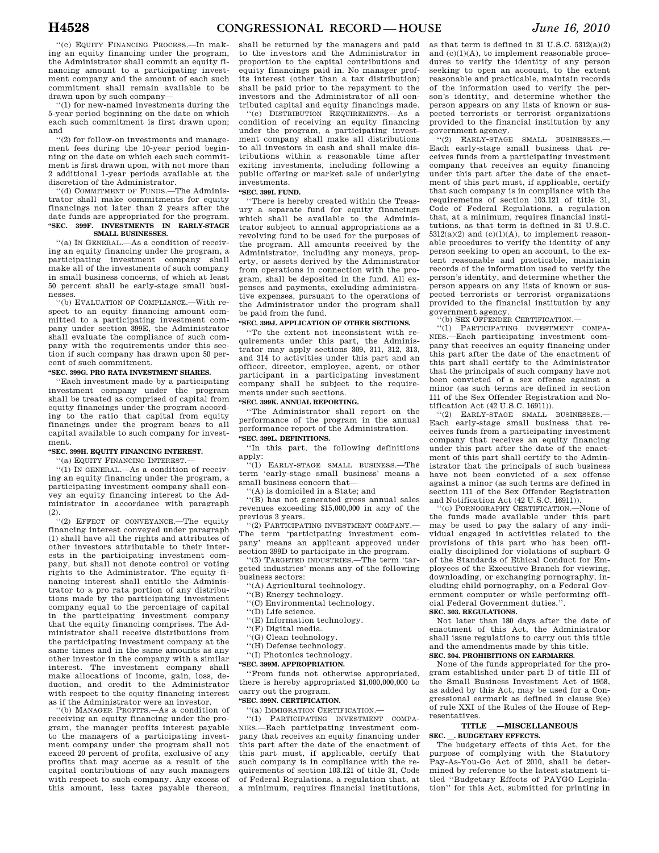''(c) EQUITY FINANCING PROCESS.—In making an equity financing under the program, the Administrator shall commit an equity financing amount to a participating investment company and the amount of each such commitment shall remain available to be drawn upon by such company—

''(1) for new-named investments during the 5-year period beginning on the date on which each such commitment is first drawn upon; and

''(2) for follow-on investments and management fees during the 10-year period beginning on the date on which each such commitment is first drawn upon, with not more than 2 additional 1-year periods available at the discretion of the Administrator.

''(d) COMMITMENT OF FUNDS.—The Administrator shall make commitments for equity financings not later than 2 years after the date funds are appropriated for the program. **''SEC. 399F. INVESTMENTS IN EARLY-STAGE SMALL BUSINESSES.** 

''(a) IN GENERAL.—As a condition of receiving an equity financing under the program, a participating investment company shall make all of the investments of such company in small business concerns, of which at least 50 percent shall be early-stage small businesses.

''(b) EVALUATION OF COMPLIANCE.—With respect to an equity financing amount committed to a participating investment company under section 399E, the Administrator shall evaluate the compliance of such company with the requirements under this section if such company has drawn upon 50 percent of such commitment.

#### **''SEC. 399G. PRO RATA INVESTMENT SHARES.**

''Each investment made by a participating investment company under the program shall be treated as comprised of capital from equity financings under the program according to the ratio that capital from equity financings under the program bears to all capital available to such company for investment.

#### **''SEC. 399H. EQUITY FINANCING INTEREST.**

''(a) EQUITY FINANCING INTEREST.—

''(1) IN GENERAL.—As a condition of receiving an equity financing under the program, a participating investment company shall convey an equity financing interest to the Administrator in accordance with paragraph (2).

''(2) EFFECT OF CONVEYANCE.—The equity financing interest conveyed under paragraph (1) shall have all the rights and attributes of other investors attributable to their interests in the participating investment company, but shall not denote control or voting rights to the Administrator. The equity financing interest shall entitle the Administrator to a pro rata portion of any distributions made by the participating investment company equal to the percentage of capital in the participating investment company that the equity financing comprises. The Administrator shall receive distributions from the participating investment company at the same times and in the same amounts as any other investor in the company with a similar interest. The investment company shall make allocations of income, gain, loss, deduction, and credit to the Administrator with respect to the equity financing interest as if the Administrator were an investor.

''(b) MANAGER PROFITS.—As a condition of receiving an equity financing under the program, the manager profits interest payable to the managers of a participating investment company under the program shall not exceed 20 percent of profits, exclusive of any profits that may accrue as a result of the capital contributions of any such managers with respect to such company. Any excess of this amount, less taxes payable thereon,

shall be returned by the managers and paid to the investors and the Administrator in proportion to the capital contributions and equity financings paid in. No manager profits interest (other than a tax distribution) shall be paid prior to the repayment to the investors and the Administrator of all contributed capital and equity financings made.

''(c) DISTRIBUTION REQUIREMENTS.—As a condition of receiving an equity financing under the program, a participating investment company shall make all distributions to all investors in cash and shall make distributions within a reasonable time after exiting investments, including following a public offering or market sale of underlying investments.

#### **''SEC. 399I. FUND.**

''There is hereby created within the Treasury a separate fund for equity financings which shall be available to the Administrator subject to annual appropriations as a revolving fund to be used for the purposes of the program. All amounts received by the Administrator, including any moneys, property, or assets derived by the Administrator from operations in connection with the program, shall be deposited in the fund. All expenses and payments, excluding administrative expenses, pursuant to the operations of the Administrator under the program shall be paid from the fund.

#### **''SEC. 399J. APPLICATION OF OTHER SECTIONS.**

''To the extent not inconsistent with requirements under this part, the Administrator may apply sections 309, 311, 312, 313, and 314 to activities under this part and an officer, director, employee, agent, or other participant in a participating investment company shall be subject to the requirements under such sections.

#### **''SEC. 399K. ANNUAL REPORTING.**

''The Administrator shall report on the performance of the program in the annual performance report of the Administration. **''SEC. 399L. DEFINITIONS.** 

''In this part, the following definitions apply:

''(1) EARLY-STAGE SMALL BUSINESS.—The term 'early-stage small business' means a small business concern that—

''(A) is domiciled in a State; and

''(B) has not generated gross annual sales revenues exceeding \$15,000,000 in any of the previous 3 years.

''(2) PARTICIPATING INVESTMENT COMPANY.— The term 'participating investment company' means an applicant approved under section 399D to participate in the program.

''(3) TARGETED INDUSTRIES.—The term 'targeted industries' means any of the following business sectors:

- ''(A) Agricultural technology.
- ''(B) Energy technology.
- ''(C) Environmental technology.
- $\lq\lq$  . Life science.
- ''(E) Information technology.
- ''(F) Digital media.
- ''(G) Clean technology.
- ''(H) Defense technology.
- ''(I) Photonics technology.
- **''SEC. 399M. APPROPRIATION.**

''From funds not otherwise appropriated, there is hereby appropriated \$1,000,000,000 to carry out the program.

#### **''SEC. 399N. CERTIFICATION.**

''(a) IMMIGRATION CERTIFICATION.—

''(1) PARTICIPATING INVESTMENT COMPA-NIES.—Each participating investment company that receives an equity financing under this part after the date of the enactment of this part must, if applicable, certify that such company is in compliance with the requirements of section 103.121 of title 31, Code of Federal Regulations, a regulation that, at a minimum, requires financial institutions, as that term is defined in 31 U.S.C. 5312(a)(2) and (c)(1)(A), to implement reasonable procedures to verify the identity of any person seeking to open an account, to the extent reasonable and practicable, maintain records of the information used to verify the person's identity, and determine whether the person appears on any lists of known or suspected terrorists or terrorist organizations provided to the financial institution by any government agency.

''(2) EARLY-STAGE SMALL BUSINESSES.— Each early-stage small business that receives funds from a participating investment company that receives an equity financing under this part after the date of the enactment of this part must, if applicable, certify that such company is in compliance with the requiremetns of section 103.121 of title 31, Code of Federal Regulations, a regulation that, at a minimum, requires financial institutions, as that term is defined in 31 U.S.C.  $5312(a)(2)$  and  $(c)(1)(A)$ , to implement reasonable procedures to verify the identity of any person seeking to open an account, to the extent reasonable and practicable, maintain records of the information used to verify the person's identity, and determine whether the person appears on any lists of known or suspected terrorists or terrorist organizations provided to the financial institution by any government agency.

''(b) SEX OFFENDER CERTIFICATION.—

''(1) PARTICIPATING INVESTMENT COMPA-NIES.—Each participating investment company that receives an equity financing under this part after the date of the enactment of this part shall certify to the Administrator that the principals of such company have not been convicted of a sex offense against a minor (as such terms are defined in section 111 of the Sex Offender Registration and Notification Act (42 U.S.C. 16911)).

''(2) EARLY-STAGE SMALL BUSINESSES.— Each early-stage small business that receives funds from a participating investment company that receives an equity financing under this part after the date of the enactment of this part shall certify to the Administrator that the principals of such business have not been convicted of a sex offense against a minor (as such terms are defined in section 111 of the Sex Offender Registration and Notification Act (42 U.S.C. 16911)).

''(c) PORNOGRAPHY CERTIFICATION.—None of the funds made available under this part may be used to pay the salary of any individual engaged in activities related to the provisions of this part who has been officially disciplined for violations of supbart G of the Standards of Ethical Conduct for Employees of the Executive Branch for viewing, downloading, or exchanging pornography, including child pornography, on a Federal Government computer or while performing official Federal Government duties.''.

#### **SEC. 303. REGULATIONS.**

Not later than 180 days after the date of enactment of this Act, the Administrator shall issue regulations to carry out this title and the amendments made by this title. **SEC. 304. PROHIBITIONS ON EARMARKS.** 

None of the funds appropriated for the program established under part D of title III of the Small Business Investment Act of 1958, as added by this Act, may be used for a Congressional earmark as defined in clause 9(e) of rule XXI of the Rules of the House of Representatives.

# **TITLE \_\_MISCELLANEOUS**<br> **BUDGETARY EFFECTS.**

**SEC. SUDGETARY EFFECTS.**<br>The budgetary effects of this Act, for the purpose of complying with the Statutory Pay-As-You-Go Act of 2010, shall be determined by reference to the latest statment titled ''Budgetary Effects of PAYGO Legislation'' for this Act, submitted for printing in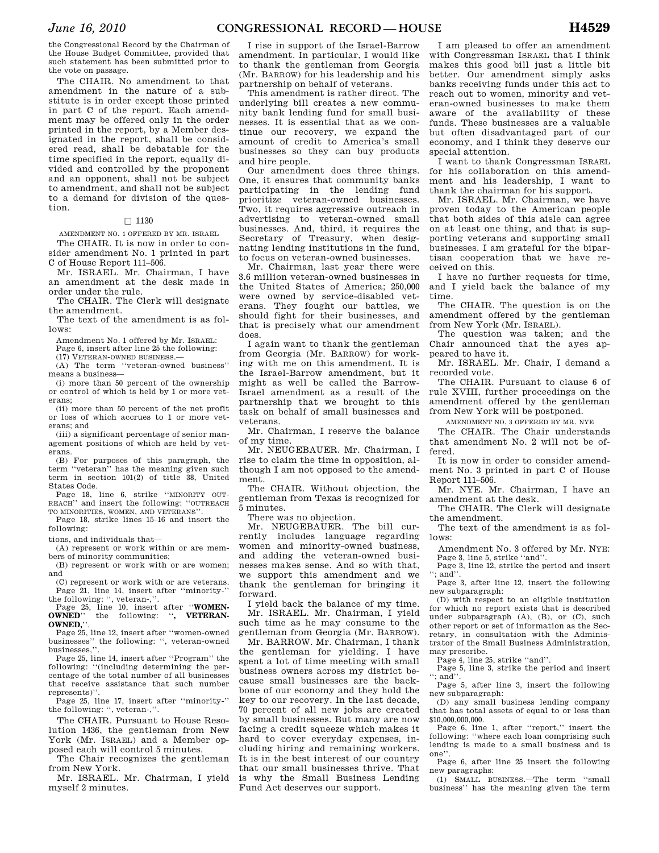the Congressional Record by the Chairman of the House Budget Committee, provided that such statement has been submitted prior to the vote on passage.

The CHAIR. No amendment to that amendment in the nature of a substitute is in order except those printed in part C of the report. Each amendment may be offered only in the order printed in the report, by a Member designated in the report, shall be considered read, shall be debatable for the time specified in the report, equally divided and controlled by the proponent and an opponent, shall not be subject to amendment, and shall not be subject to a demand for division of the question.

#### $\square$  1130

AMENDMENT NO. 1 OFFERED BY MR. ISRAEL

The CHAIR. It is now in order to consider amendment No. 1 printed in part C of House Report 111–506.

Mr. ISRAEL. Mr. Chairman, I have an amendment at the desk made in order under the rule.

The CHAIR. The Clerk will designate the amendment.

The text of the amendment is as follows:

Amendment No. 1 offered by Mr. ISRAEL:

Page 6, insert after line 25 the following:

(17) VETERAN-OWNED BUSINESS.—

(A) The term ''veteran-owned business'' means a business—

(i) more than 50 percent of the ownership or control of which is held by 1 or more veterans;

(ii) more than 50 percent of the net profit or loss of which accrues to 1 or more veterans; and

(iii) a significant percentage of senior management positions of which are held by veterans.

(B) For purposes of this paragraph, the term ''veteran'' has the meaning given such term in section 101(2) of title 38, United States Code.

Page 18, line 6, strike ''MINORITY OUT-REACH'' and insert the following: ''OUTREACH TO MINORITIES, WOMEN, AND VETERANS''.

Page 18, strike lines 15–16 and insert the following:

tions, and individuals that—

(A) represent or work within or are members of minority communities;

(B) represent or work with or are women; and

(C) represent or work with or are veterans. Page 21, line 14, insert after ''minority-'' the following: '', veteran-,''.

Page 25, line 10, insert after "**WOMEN-**<br> **OWNED**" the following: " **VETERAN**the following: ", **VETERAN-OWNED,**''.

Page 25, line 12, insert after ''women-owned businesses'' the following: '', veteran-owned businesses,''.

Page 25, line 14, insert after ''Program'' the following: ''(including determining the percentage of the total number of all businesses that receive assistance that such number represents)''.

Page 25, line 17, insert after ''minority-'' the following: '', veteran-,''.

The CHAIR. Pursuant to House Resolution 1436, the gentleman from New York (Mr. ISRAEL) and a Member opposed each will control 5 minutes.

The Chair recognizes the gentleman from New York.

Mr. ISRAEL. Mr. Chairman, I yield myself 2 minutes.

I rise in support of the Israel-Barrow amendment. In particular, I would like to thank the gentleman from Georgia (Mr. BARROW) for his leadership and his partnership on behalf of veterans.

This amendment is rather direct. The underlying bill creates a new community bank lending fund for small businesses. It is essential that as we continue our recovery, we expand the amount of credit to America's small businesses so they can buy products and hire people.

Our amendment does three things. One, it ensures that community banks participating in the lending fund prioritize veteran-owned businesses. Two, it requires aggressive outreach in advertising to veteran-owned small businesses. And, third, it requires the Secretary of Treasury, when designating lending institutions in the fund, to focus on veteran-owned businesses.

Mr. Chairman, last year there were 3.6 million veteran-owned businesses in the United States of America; 250,000 were owned by service-disabled veterans. They fought our battles, we should fight for their businesses, and that is precisely what our amendment does.

I again want to thank the gentleman from Georgia (Mr. BARROW) for working with me on this amendment. It is the Israel-Barrow amendment, but it might as well be called the Barrow-Israel amendment as a result of the partnership that we brought to this task on behalf of small businesses and veterans.

Mr. Chairman, I reserve the balance of my time.

Mr. NEUGEBAUER. Mr. Chairman, I rise to claim the time in opposition, although I am not opposed to the amendment.

The CHAIR. Without objection, the gentleman from Texas is recognized for 5 minutes.

There was no objection.

Mr. NEUGEBAUER. The bill currently includes language regarding women and minority-owned business, and adding the veteran-owned businesses makes sense. And so with that, we support this amendment and we thank the gentleman for bringing it forward.

I yield back the balance of my time. Mr. ISRAEL. Mr. Chairman, I yield such time as he may consume to the gentleman from Georgia (Mr. BARROW).

Mr. BARROW. Mr. Chairman, I thank the gentleman for yielding. I have spent a lot of time meeting with small business owners across my district because small businesses are the backbone of our economy and they hold the key to our recovery. In the last decade, 70 percent of all new jobs are created by small businesses. But many are now facing a credit squeeze which makes it hard to cover everyday expenses, including hiring and remaining workers. It is in the best interest of our country that our small businesses thrive. That is why the Small Business Lending Fund Act deserves our support.

I am pleased to offer an amendment with Congressman ISRAEL that I think makes this good bill just a little bit better. Our amendment simply asks banks receiving funds under this act to reach out to women, minority and veteran-owned businesses to make them aware of the availability of these funds. These businesses are a valuable but often disadvantaged part of our economy, and I think they deserve our special attention.

I want to thank Congressman ISRAEL for his collaboration on this amendment and his leadership, I want to thank the chairman for his support.

Mr. ISRAEL. Mr. Chairman, we have proven today to the American people that both sides of this aisle can agree on at least one thing, and that is supporting veterans and supporting small businesses. I am grateful for the bipartisan cooperation that we have received on this.

I have no further requests for time, and I yield back the balance of my time.

The CHAIR. The question is on the amendment offered by the gentleman from New York (Mr. ISRAEL).

The question was taken; and the Chair announced that the ayes appeared to have it.

Mr. ISRAEL. Mr. Chair, I demand a recorded vote.

The CHAIR. Pursuant to clause 6 of rule XVIII, further proceedings on the amendment offered by the gentleman from New York will be postponed.

AMENDMENT NO. 3 OFFERED BY MR. NYE

The CHAIR. The Chair understands that amendment No. 2 will not be offered.

It is now in order to consider amendment No. 3 printed in part C of House Report 111–506.

Mr. NYE. Mr. Chairman, I have an amendment at the desk.

The CHAIR. The Clerk will designate the amendment.

The text of the amendment is as follows:

Amendment No. 3 offered by Mr. NYE: Page 3, line 5, strike ''and''.

Page 3, line 12, strike the period and insert  $\therefore$  and"

Page 3, after line 12, insert the following new subparagraph:

(D) with respect to an eligible institution for which no report exists that is described under subparagraph (A), (B), or (C), such other report or set of information as the Secretary, in consultation with the Administrator of the Small Business Administration, may prescribe.

Page 4, line 25, strike "and".

Page 5, line 3, strike the period and insert  $\cdots$  and"

Page 5, after line 3, insert the following new subparagraph:

(D) any small business lending company that has total assets of equal to or less than \$10,000,000,000.

Page 6, line 1, after ''report,'' insert the following: ''where each loan comprising such lending is made to a small business and is one''.

Page 6, after line 25 insert the following new paragraphs:

(1) SMALL BUSINESS.—The term ''small business'' has the meaning given the term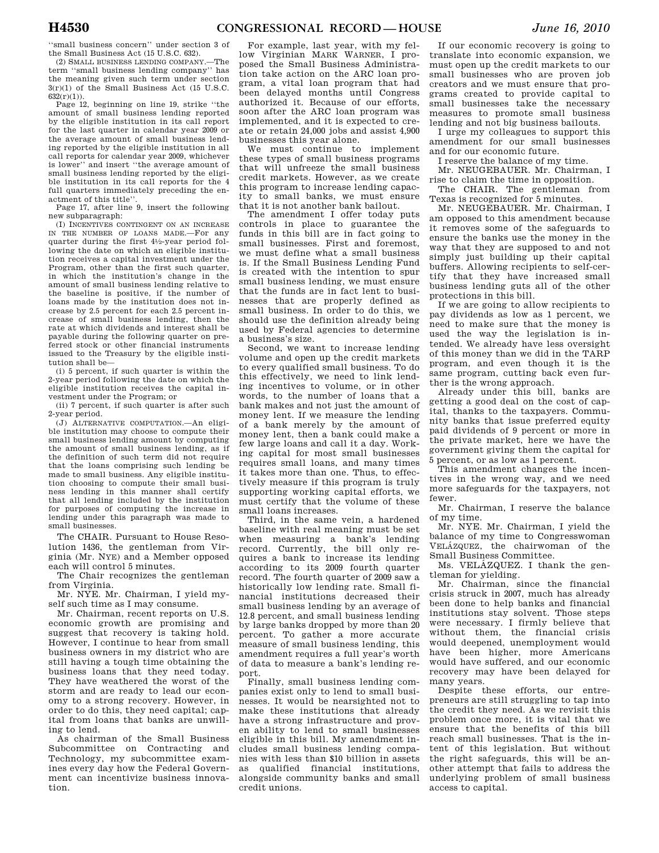''small business concern'' under section 3 of the Small Business Act (15 U.S.C. 632).

(2) SMALL BUSINESS LENDING COMPANY.—The term ''small business lending company'' has the meaning given such term under section  $3(r)(1)$  of the Small Business Act (15 U.S.C.  $632(r)(1)$ ).

Page 12, beginning on line 19, strike ''the amount of small business lending reported by the eligible institution in its call report for the last quarter in calendar year 2009 or the average amount of small business lending reported by the eligible institution in all call reports for calendar year 2009, whichever is lower'' and insert ''the average amount of small business lending reported by the eligible institution in its call reports for the 4 full quarters immediately preceding the enactment of this title''.

Page 17, after line 9, insert the following new subparagraph:

(I) INCENTIVES CONTINGENT ON AN INCREASE IN THE NUMBER OF LOANS MADE.—For any quarter during the first 41⁄2-year period following the date on which an eligible institution receives a capital investment under the Program, other than the first such quarter, in which the institution's change in the amount of small business lending relative to the baseline is positive, if the number of loans made by the institution does not increase by 2.5 percent for each 2.5 percent increase of small business lending, then the rate at which dividends and interest shall be payable during the following quarter on preferred stock or other financial instruments issued to the Treasury by the eligible institution shall be—

(i) 5 percent, if such quarter is within the 2-year period following the date on which the eligible institution receives the capital investment under the Program; or

(ii) 7 percent, if such quarter is after such 2-year period.

(J) ALTERNATIVE COMPUTATION.—An eligible institution may choose to compute their small business lending amount by computing the amount of small business lending, as if the definition of such term did not require that the loans comprising such lending be made to small business. Any eligible institution choosing to compute their small business lending in this manner shall certify that all lending included by the institution for purposes of computing the increase in lending under this paragraph was made to small businesses.

The CHAIR. Pursuant to House Resolution 1436, the gentleman from Virginia (Mr. NYE) and a Member opposed each will control 5 minutes.

The Chair recognizes the gentleman from Virginia.

Mr. NYE. Mr. Chairman, I yield myself such time as I may consume.

Mr. Chairman, recent reports on U.S. economic growth are promising and suggest that recovery is taking hold. However, I continue to hear from small business owners in my district who are still having a tough time obtaining the business loans that they need today. They have weathered the worst of the storm and are ready to lead our economy to a strong recovery. However, in order to do this, they need capital; capital from loans that banks are unwilling to lend.

As chairman of the Small Business Subcommittee on Contracting and Technology, my subcommittee examines every day how the Federal Government can incentivize business innovation.

For example, last year, with my fellow Virginian MARK WARNER, I proposed the Small Business Administration take action on the ARC loan program, a vital loan program that had been delayed months until Congress authorized it. Because of our efforts, soon after the ARC loan program was implemented, and it is expected to create or retain 24,000 jobs and assist 4,900 businesses this year alone.

We must continue to implement these types of small business programs that will unfreeze the small business credit markets. However, as we create this program to increase lending capacity to small banks, we must ensure that it is not another bank bailout.

The amendment I offer today puts controls in place to guarantee the funds in this bill are in fact going to small businesses. First and foremost, we must define what a small business is. If the Small Business Lending Fund is created with the intention to spur small business lending, we must ensure that the funds are in fact lent to businesses that are properly defined as small business. In order to do this, we should use the definition already being used by Federal agencies to determine a business's size.

Second, we want to increase lending volume and open up the credit markets to every qualified small business. To do this effectively, we need to link lending incentives to volume, or in other words, to the number of loans that a bank makes and not just the amount of money lent. If we measure the lending of a bank merely by the amount of money lent, then a bank could make a few large loans and call it a day. Working capital for most small businesses requires small loans, and many times it takes more than one. Thus, to effectively measure if this program is truly supporting working capital efforts, we must certify that the volume of these small loans increases.

Third, in the same vein, a hardened baseline with real meaning must be set when measuring a bank's lending record. Currently, the bill only requires a bank to increase its lending according to its 2009 fourth quarter record. The fourth quarter of 2009 saw a historically low lending rate. Small financial institutions decreased their small business lending by an average of 12.8 percent, and small business lending by large banks dropped by more than 20 percent. To gather a more accurate measure of small business lending, this amendment requires a full year's worth of data to measure a bank's lending report.

Finally, small business lending companies exist only to lend to small businesses. It would be nearsighted not to make these institutions that already have a strong infrastructure and proven ability to lend to small businesses eligible in this bill. My amendment includes small business lending companies with less than \$10 billion in assets as qualified financial institutions, alongside community banks and small credit unions.

If our economic recovery is going to translate into economic expansion, we must open up the credit markets to our small businesses who are proven job creators and we must ensure that programs created to provide capital to small businesses take the necessary measures to promote small business lending and not big business bailouts.

I urge my colleagues to support this amendment for our small businesses and for our economic future.

I reserve the balance of my time.

Mr. NEUGEBAUER. Mr. Chairman, I rise to claim the time in opposition.

The CHAIR. The gentleman from Texas is recognized for 5 minutes.

Mr. NEUGEBAUER. Mr. Chairman, I am opposed to this amendment because it removes some of the safeguards to ensure the banks use the money in the way that they are supposed to and not simply just building up their capital buffers. Allowing recipients to self-certify that they have increased small business lending guts all of the other protections in this bill.

If we are going to allow recipients to pay dividends as low as 1 percent, we need to make sure that the money is used the way the legislation is intended. We already have less oversight of this money than we did in the TARP program, and even though it is the same program, cutting back even further is the wrong approach.

Already under this bill, banks are getting a good deal on the cost of capital, thanks to the taxpayers. Community banks that issue preferred equity paid dividends of 9 percent or more in the private market, here we have the government giving them the capital for 5 percent, or as low as 1 percent.

This amendment changes the incentives in the wrong way, and we need more safeguards for the taxpayers, not fewer.

Mr. Chairman, I reserve the balance of my time.

Mr. NYE. Mr. Chairman, I yield the balance of my time to Congresswoman VELÁZQUEZ, the chairwoman of the Small Business Committee.

Ms. VELAZQUEZ. I thank the gentleman for yielding.

Mr. Chairman, since the financial crisis struck in 2007, much has already been done to help banks and financial institutions stay solvent. Those steps were necessary. I firmly believe that without them, the financial crisis would deepened, unemployment would have been higher, more Americans would have suffered, and our economic recovery may have been delayed for many years.

Despite these efforts, our entrepreneurs are still struggling to tap into the credit they need. As we revisit this problem once more, it is vital that we ensure that the benefits of this bill reach small businesses. That is the intent of this legislation. But without the right safeguards, this will be another attempt that fails to address the underlying problem of small business access to capital.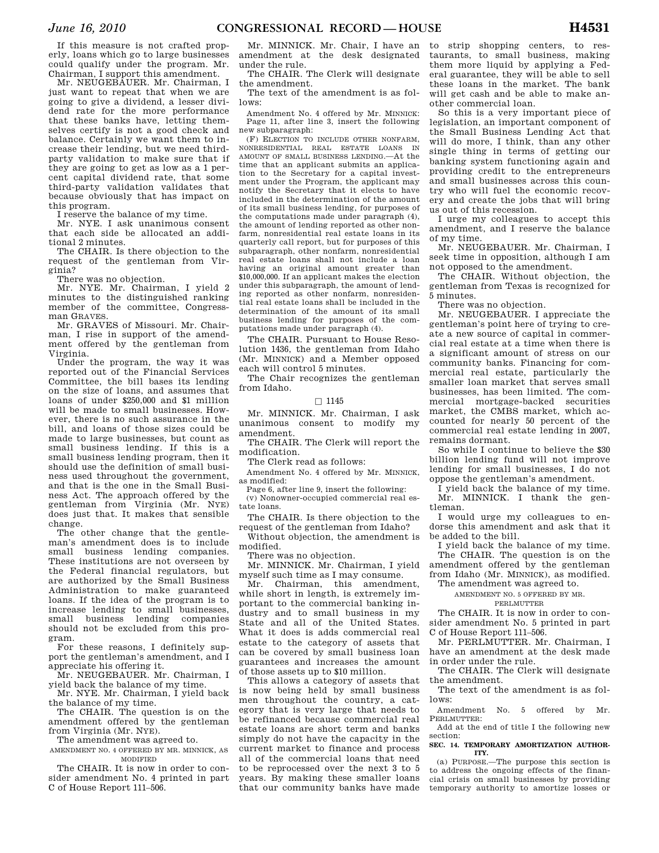If this measure is not crafted properly, loans which go to large businesses could qualify under the program. Mr. Chairman, I support this amendment.

Mr. NEUGEBAUER. Mr. Chairman, I just want to repeat that when we are going to give a dividend, a lesser dividend rate for the more performance that these banks have, letting themselves certify is not a good check and balance. Certainly we want them to increase their lending, but we need thirdparty validation to make sure that if they are going to get as low as a 1 percent capital dividend rate, that some third-party validation validates that because obviously that has impact on this program.

I reserve the balance of my time.

Mr. NYE. I ask unanimous consent that each side be allocated an additional 2 minutes.

The CHAIR. Is there objection to the request of the gentleman from Virginia?

There was no objection.

Mr. NYE. Mr. Chairman, I yield 2 minutes to the distinguished ranking member of the committee, Congressman GRAVES.

Mr. GRAVES of Missouri. Mr. Chairman, I rise in support of the amendment offered by the gentleman from Virginia.

Under the program, the way it was reported out of the Financial Services Committee, the bill bases its lending on the size of loans, and assumes that loans of under \$250,000 and \$1 million will be made to small businesses. However, there is no such assurance in the bill, and loans of those sizes could be made to large businesses, but count as small business lending. If this is a small business lending program, then it should use the definition of small business used throughout the government, and that is the one in the Small Business Act. The approach offered by the gentleman from Virginia (Mr. NYE) does just that. It makes that sensible change.

The other change that the gentleman's amendment does is to include small business lending companies. These institutions are not overseen by the Federal financial regulators, but are authorized by the Small Business Administration to make guaranteed loans. If the idea of the program is to increase lending to small businesses, small business lending companies should not be excluded from this program.

For these reasons, I definitely support the gentleman's amendment, and I appreciate his offering it.

Mr. NEUGEBAUER. Mr. Chairman, I yield back the balance of my time.

Mr. NYE. Mr. Chairman, I yield back the balance of my time.

The CHAIR. The question is on the amendment offered by the gentleman from Virginia (Mr. NYE).

The amendment was agreed to.

AMENDMENT NO. 4 OFFERED BY MR. MINNICK, AS MODIFIED

The CHAIR. It is now in order to consider amendment No. 4 printed in part C of House Report 111–506.

Mr. MINNICK. Mr. Chair, I have an amendment at the desk designated under the rule.

The CHAIR. The Clerk will designate the amendment.

The text of the amendment is as follows:

Amendment No. 4 offered by Mr. MINNICK: Page 11, after line 3, insert the following new subparagraph:

(F) ELECTION TO INCLUDE OTHER NONFARM, NONRESIDENTIAL REAL ESTATE LOANS IN AMOUNT OF SMALL BUSINESS LENDING.—At the time that an applicant submits an application to the Secretary for a capital investment under the Program, the applicant may notify the Secretary that it elects to have included in the determination of the amount of its small business lending, for purposes of the computations made under paragraph (4), the amount of lending reported as other nonfarm, nonresidential real estate loans in its quarterly call report, but for purposes of this subparagraph, other nonfarm, nonresidential real estate loans shall not include a loan having an original amount greater than \$10,000,000. If an applicant makes the election under this subparagraph, the amount of lending reported as other nonfarm, nonresidential real estate loans shall be included in the determination of the amount of its small business lending for purposes of the computations made under paragraph (4).

The CHAIR. Pursuant to House Resolution 1436, the gentleman from Idaho (Mr. MINNICK) and a Member opposed each will control 5 minutes.

The Chair recognizes the gentleman from Idaho.

### $\Box$  1145

Mr. MINNICK. Mr. Chairman, I ask unanimous consent to modify my amendment.

The CHAIR. The Clerk will report the modification.

The Clerk read as follows:

Amendment No. 4 offered by Mr. MINNICK, as modified:

Page 6, after line 9, insert the following:

(v) Nonowner-occupied commercial real estate loans.

The CHAIR. Is there objection to the request of the gentleman from Idaho?

Without objection, the amendment is modified.

There was no objection.

Mr. MINNICK. Mr. Chairman, I yield myself such time as I may consume.

Mr. Chairman, this amendment, while short in length, is extremely important to the commercial banking industry and to small business in my State and all of the United States. What it does is adds commercial real estate to the category of assets that can be covered by small business loan guarantees and increases the amount of those assets up to \$10 million.

This allows a category of assets that is now being held by small business men throughout the country, a category that is very large that needs to be refinanced because commercial real estate loans are short term and banks simply do not have the capacity in the current market to finance and process all of the commercial loans that need to be reprocessed over the next 3 to 5 years. By making these smaller loans that our community banks have made

to strip shopping centers, to restaurants, to small business, making them more liquid by applying a Federal guarantee, they will be able to sell these loans in the market. The bank will get cash and be able to make another commercial loan.

So this is a very important piece of legislation, an important component of the Small Business Lending Act that will do more, I think, than any other single thing in terms of getting our banking system functioning again and providing credit to the entrepreneurs and small businesses across this country who will fuel the economic recovery and create the jobs that will bring us out of this recession.

I urge my colleagues to accept this amendment, and I reserve the balance of my time.

Mr. NEUGEBAUER. Mr. Chairman, I seek time in opposition, although I am not opposed to the amendment.

The CHAIR. Without objection, the gentleman from Texas is recognized for 5 minutes.

There was no objection.

Mr. NEUGEBAUER. I appreciate the gentleman's point here of trying to create a new source of capital in commercial real estate at a time when there is a significant amount of stress on our community banks. Financing for commercial real estate, particularly the smaller loan market that serves small businesses, has been limited. The commercial mortgage-backed securities market, the CMBS market, which accounted for nearly 50 percent of the commercial real estate lending in 2007, remains dormant.

So while I continue to believe the \$30 billion lending fund will not improve lending for small businesses, I do not oppose the gentleman's amendment.

I yield back the balance of my time. Mr. MINNICK. I thank the gentleman.

I would urge my colleagues to endorse this amendment and ask that it be added to the bill.

I yield back the balance of my time. The CHAIR. The question is on the

amendment offered by the gentleman from Idaho (Mr. MINNICK), as modified.

The amendment was agreed to.

AMENDMENT NO. 5 OFFERED BY MR.

PERLMUTTER

The CHAIR. It is now in order to consider amendment No. 5 printed in part C of House Report 111–506.

Mr. PERLMUTTER. Mr. Chairman, I have an amendment at the desk made in order under the rule.

The CHAIR. The Clerk will designate the amendment.

The text of the amendment is as follows:

Amendment No. 5 offered by Mr. PERLMUTTER:

Add at the end of title I the following new section:

#### **SEC. 14. TEMPORARY AMORTIZATION AUTHOR-ITY.**

(a) PURPOSE.—The purpose this section is to address the ongoing effects of the financial crisis on small businesses by providing temporary authority to amortize losses or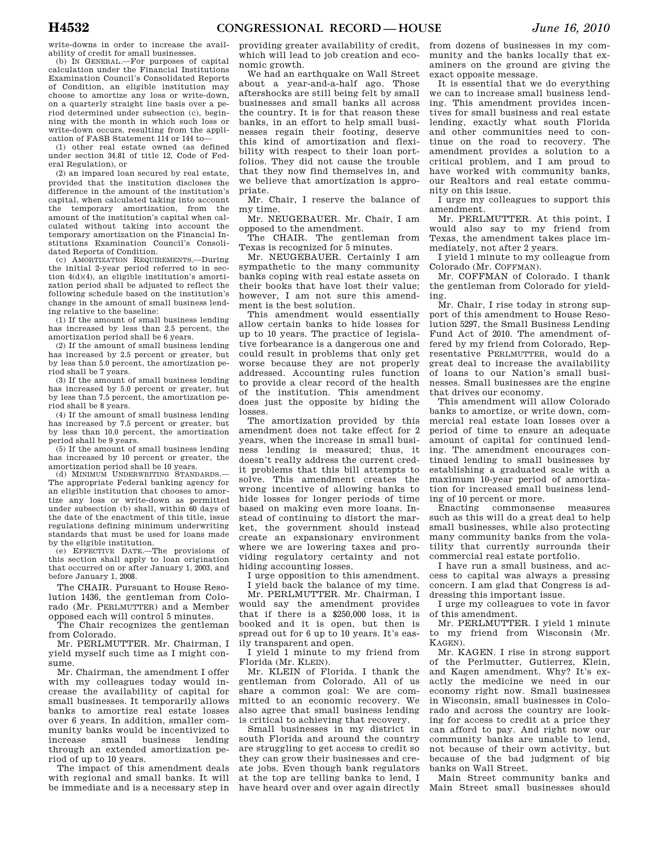write-downs in order to increase the availability of credit for small businesses.

(b) IN GENERAL.—For purposes of capital calculation under the Financial Institutions Examination Council's Consolidated Reports of Condition, an eligible institution may choose to amortize any loss or write-down, on a quarterly straight line basis over a period determined under subsection (c), beginning with the month in which such loss or write-down occurs, resulting from the application of FASB Statement 114 or 144 to—

(1) other real estate owned (as defined under section 34.81 of title 12, Code of Federal Regulation), or

(2) an impared loan secured by real estate, provided that the institution discloses the difference in the amount of the institution's capital, when calculated taking into account the temporary amortization, from the amount of the institution's capital when calculated without taking into account the temporary amortization on the Financial Institutions Examination Council's Consolidated Reports of Condition.

(c) AMORTIZATION REQUIREMENTS.—During the initial 2-year period referred to in section 4(d)(4), an eligible institution's amortization period shall be adjusted to reflect the following schedule based on the institution's change in the amount of small business lending relative to the baseline:

(1) If the amount of small business lending has increased by less than 2.5 percent, the amortization period shall be 6 years.

(2) If the amount of small business lending has increased by 2.5 percent or greater, but by less than 5.0 percent, the amortization period shall be 7 years.

(3) If the amount of small business lending has increased by 5.0 percent or greater, but by less than 7.5 percent, the amortization period shall be 8 years.

(4) If the amount of small business lending has increased by 7.5 percent or greater, but by less than 10.0 percent, the amortization period shall be 9 years.

(5) If the amount of small business lending has increased by 10 percent or greater, the amortization period shall be 10 years.

(d) MINIMUM UNDERWRITING STANDARDS.— The appropriate Federal banking agency for an eligible institution that chooses to amortize any loss or write-down as permitted under subsection (b) shall, within 60 days of the date of the enactment of this title, issue regulations defining minimum underwriting standards that must be used for loans made by the eligible institution.

(e) EFFECTIVE DATE.—The provisions of this section shall apply to loan origination that occurred on or after January 1, 2003, and before January 1, 2008.

The CHAIR. Pursuant to House Resolution 1436, the gentleman from Colorado (Mr. PERLMUTTER) and a Member opposed each will control 5 minutes.

The Chair recognizes the gentleman from Colorado.

Mr. PERLMUTTER. Mr. Chairman, I yield myself such time as I might consume.

Mr. Chairman, the amendment I offer with my colleagues today would increase the availability of capital for small businesses. It temporarily allows banks to amortize real estate losses over 6 years. In addition, smaller community banks would be incentivized to increase small business lending through an extended amortization period of up to 10 years.

The impact of this amendment deals with regional and small banks. It will be immediate and is a necessary step in

providing greater availability of credit, which will lead to job creation and economic growth.

We had an earthquake on Wall Street about a year-and-a-half ago. Those aftershocks are still being felt by small businesses and small banks all across the country. It is for that reason these banks, in an effort to help small businesses regain their footing, deserve this kind of amortization and flexibility with respect to their loan portfolios. They did not cause the trouble that they now find themselves in, and we believe that amortization is appropriate.

Mr. Chair, I reserve the balance of my time.

Mr. NEUGEBAUER. Mr. Chair, I am opposed to the amendment.

The CHAIR. The gentleman from Texas is recognized for 5 minutes.

Mr. NEUGEBAUER. Certainly I am sympathetic to the many community banks coping with real estate assets on their books that have lost their value; however, I am not sure this amendment is the best solution.

This amendment would essentially allow certain banks to hide losses for up to 10 years. The practice of legislative forbearance is a dangerous one and could result in problems that only get worse because they are not properly addressed. Accounting rules function to provide a clear record of the health of the institution. This amendment does just the opposite by hiding the losses.

The amortization provided by this amendment does not take effect for 2 years, when the increase in small business lending is measured; thus, it doesn't really address the current credit problems that this bill attempts to solve. This amendment creates the wrong incentive of allowing banks to hide losses for longer periods of time based on making even more loans. Instead of continuing to distort the market, the government should instead create an expansionary environment where we are lowering taxes and providing regulatory certainty and not hiding accounting losses.

I urge opposition to this amendment. I yield back the balance of my time.

Mr. PERLMUTTER. Mr. Chairman, I would say the amendment provides that if there is a \$250,000 loss, it is booked and it is open, but then is spread out for 6 up to 10 years. It's easily transparent and open.

I yield 1 minute to my friend from Florida (Mr. KLEIN).

Mr. KLEIN of Florida. I thank the gentleman from Colorado. All of us share a common goal: We are committed to an economic recovery. We also agree that small business lending is critical to achieving that recovery.

Small businesses in my district in south Florida and around the country are struggling to get access to credit so they can grow their businesses and create jobs. Even though bank regulators at the top are telling banks to lend, I have heard over and over again directly

from dozens of businesses in my community and the banks locally that examiners on the ground are giving the exact opposite message.

It is essential that we do everything we can to increase small business lending. This amendment provides incentives for small business and real estate lending, exactly what south Florida and other communities need to continue on the road to recovery. The amendment provides a solution to a critical problem, and I am proud to have worked with community banks, our Realtors and real estate community on this issue.

I urge my colleagues to support this amendment.

Mr. PERLMUTTER. At this point, I would also say to my friend from Texas, the amendment takes place immediately, not after 2 years.

I yield 1 minute to my colleague from Colorado (Mr. COFFMAN).

Mr. COFFMAN of Colorado. I thank the gentleman from Colorado for yielding.

Mr. Chair, I rise today in strong support of this amendment to House Resolution 5297, the Small Business Lending Fund Act of 2010. The amendment offered by my friend from Colorado, Representative PERLMUTTER, would do a great deal to increase the availability of loans to our Nation's small businesses. Small businesses are the engine that drives our economy.

This amendment will allow Colorado banks to amortize, or write down, commercial real estate loan losses over a period of time to ensure an adequate amount of capital for continued lending. The amendment encourages continued lending to small businesses by establishing a graduated scale with a maximum 10-year period of amortization for increased small business lending of 10 percent or more.

Enacting commonsense measures such as this will do a great deal to help small businesses, while also protecting many community banks from the volatility that currently surrounds their commercial real estate portfolio.

I have run a small business, and access to capital was always a pressing concern. I am glad that Congress is addressing this important issue.

I urge my colleagues to vote in favor of this amendment.

Mr. PERLMUTTER. I yield 1 minute to my friend from Wisconsin (Mr. KAGEN).

Mr. KAGEN. I rise in strong support of the Perlmutter, Gutierrez, Klein, and Kagen amendment. Why? It's exactly the medicine we need in our economy right now. Small businesses in Wisconsin, small businesses in Colorado and across the country are looking for access to credit at a price they can afford to pay. And right now our community banks are unable to lend, not because of their own activity, but because of the bad judgment of big banks on Wall Street.

Main Street community banks and Main Street small businesses should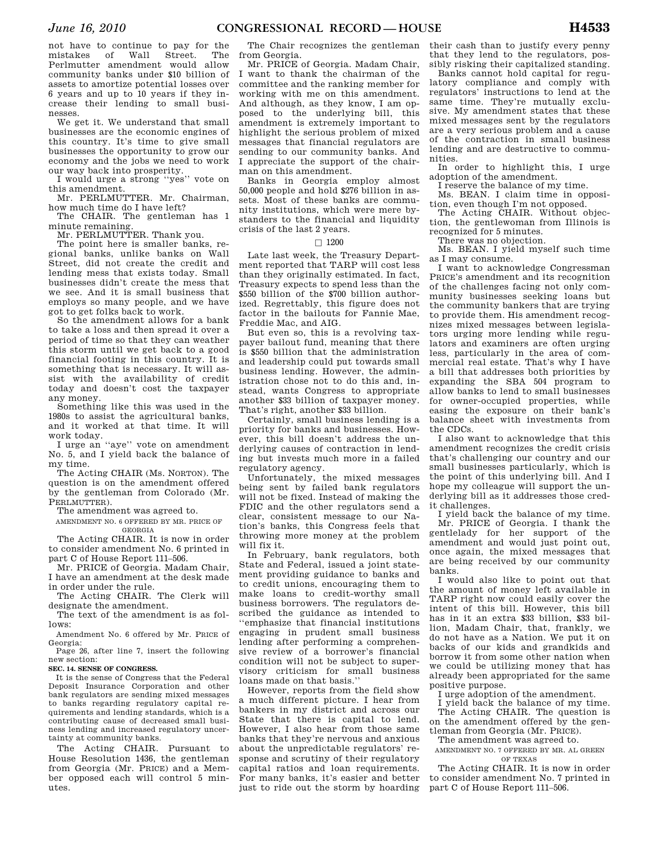not have to continue to pay for the mistakes of Wall Street. The Perlmutter amendment would allow community banks under \$10 billion of assets to amortize potential losses over 6 years and up to 10 years if they increase their lending to small businesses.

We get it. We understand that small businesses are the economic engines of this country. It's time to give small businesses the opportunity to grow our economy and the jobs we need to work our way back into prosperity.

I would urge a strong ''yes'' vote on this amendment.

Mr. PERLMUTTER. Mr. Chairman, how much time do I have left?

The CHAIR. The gentleman has 1 minute remaining.

Mr. PERLMUTTER. Thank you.

The point here is smaller banks, regional banks, unlike banks on Wall Street, did not create the credit and lending mess that exists today. Small businesses didn't create the mess that we see. And it is small business that employs so many people, and we have got to get folks back to work.

So the amendment allows for a bank to take a loss and then spread it over a period of time so that they can weather this storm until we get back to a good financial footing in this country. It is something that is necessary. It will assist with the availability of credit today and doesn't cost the taxpayer any money.

Something like this was used in the 1980s to assist the agricultural banks, and it worked at that time. It will work today.

I urge an ''aye'' vote on amendment No. 5, and I yield back the balance of my time.

The Acting CHAIR (Ms. NORTON). The question is on the amendment offered by the gentleman from Colorado (Mr. PERLMUTTER)

The amendment was agreed to.

AMENDMENT NO. 6 OFFERED BY MR. PRICE OF GEORGIA

The Acting CHAIR. It is now in order to consider amendment No. 6 printed in part C of House Report 111–506.

Mr. PRICE of Georgia. Madam Chair, I have an amendment at the desk made in order under the rule.

The Acting CHAIR. The Clerk will designate the amendment.

The text of the amendment is as follows:

Amendment No. 6 offered by Mr. PRICE of Georgia:

Page 26, after line 7, insert the following new section:

## **SEC. 14. SENSE OF CONGRESS.**

It is the sense of Congress that the Federal Deposit Insurance Corporation and other bank regulators are sending mixed messages to banks regarding regulatory capital requirements and lending standards, which is a contributing cause of decreased small business lending and increased regulatory uncertainty at community banks.

The Acting CHAIR. Pursuant to House Resolution 1436, the gentleman from Georgia (Mr. PRICE) and a Member opposed each will control 5 minutes.

The Chair recognizes the gentleman from Georgia.

Mr. PRICE of Georgia. Madam Chair, I want to thank the chairman of the committee and the ranking member for working with me on this amendment. And although, as they know, I am opposed to the underlying bill, this amendment is extremely important to highlight the serious problem of mixed messages that financial regulators are sending to our community banks. And I appreciate the support of the chairman on this amendment.

Banks in Georgia employ almost 50,000 people and hold \$276 billion in assets. Most of these banks are community institutions, which were mere bystanders to the financial and liquidity crisis of the last 2 years.

#### $\Box$  1200

Late last week, the Treasury Department reported that TARP will cost less than they originally estimated. In fact, Treasury expects to spend less than the \$550 billion of the \$700 billion authorized. Regrettably, this figure does not factor in the bailouts for Fannie Mae, Freddie Mac, and AIG.

But even so, this is a revolving taxpayer bailout fund, meaning that there is \$550 billion that the administration and leadership could put towards small business lending. However, the administration chose not to do this and, instead, wants Congress to appropriate another \$33 billion of taxpayer money. That's right, another \$33 billion.

Certainly, small business lending is a priority for banks and businesses. However, this bill doesn't address the underlying causes of contraction in lending but invests much more in a failed regulatory agency.

Unfortunately, the mixed messages being sent by failed bank regulators will not be fixed. Instead of making the FDIC and the other regulators send a clear, consistent message to our Nation's banks, this Congress feels that throwing more money at the problem will fix it.

In February, bank regulators, both State and Federal, issued a joint statement providing guidance to banks and to credit unions, encouraging them to make loans to credit-worthy small business borrowers. The regulators described the guidance as intended to ''emphasize that financial institutions engaging in prudent small business lending after performing a comprehensive review of a borrower's financial condition will not be subject to supervisory criticism for small business loans made on that basis.''

However, reports from the field show a much different picture. I hear from bankers in my district and across our State that there is capital to lend. However, I also hear from those same banks that they're nervous and anxious about the unpredictable regulators' response and scrutiny of their regulatory capital ratios and loan requirements. For many banks, it's easier and better just to ride out the storm by hoarding

their cash than to justify every penny that they lend to the regulators, possibly risking their capitalized standing.

Banks cannot hold capital for regulatory compliance and comply with regulators' instructions to lend at the same time. They're mutually exclusive. My amendment states that these mixed messages sent by the regulators are a very serious problem and a cause of the contraction in small business lending and are destructive to communities.

In order to highlight this, I urge adoption of the amendment.

I reserve the balance of my time.

Ms. BEAN. I claim time in opposition, even though I'm not opposed.

The Acting CHAIR. Without objection, the gentlewoman from Illinois is recognized for 5 minutes.

There was no objection.

Ms. BEAN. I yield myself such time as I may consume.

I want to acknowledge Congressman PRICE's amendment and its recognition of the challenges facing not only community businesses seeking loans but the community bankers that are trying to provide them. His amendment recognizes mixed messages between legislators urging more lending while regulators and examiners are often urging less, particularly in the area of commercial real estate. That's why I have a bill that addresses both priorities by expanding the SBA 504 program to allow banks to lend to small businesses for owner-occupied properties, while easing the exposure on their bank's balance sheet with investments from the CDCs.

I also want to acknowledge that this amendment recognizes the credit crisis that's challenging our country and our small businesses particularly, which is the point of this underlying bill. And I hope my colleague will support the underlying bill as it addresses those credit challenges.

I yield back the balance of my time. Mr. PRICE of Georgia. I thank the gentlelady for her support of the amendment and would just point out, once again, the mixed messages that are being received by our community banks.

I would also like to point out that the amount of money left available in TARP right now could easily cover the intent of this bill. However, this bill has in it an extra \$33 billion, \$33 billion, Madam Chair, that, frankly, we do not have as a Nation. We put it on backs of our kids and grandkids and borrow it from some other nation when we could be utilizing money that has already been appropriated for the same positive purpose.

I urge adoption of the amendment.

I yield back the balance of my time. The Acting CHAIR. The question is on the amendment offered by the gentleman from Georgia (Mr. PRICE).

The amendment was agreed to.

AMENDMENT NO. 7 OFFERED BY MR. AL GREEN OF TEXAS

The Acting CHAIR. It is now in order to consider amendment No. 7 printed in part C of House Report 111–506.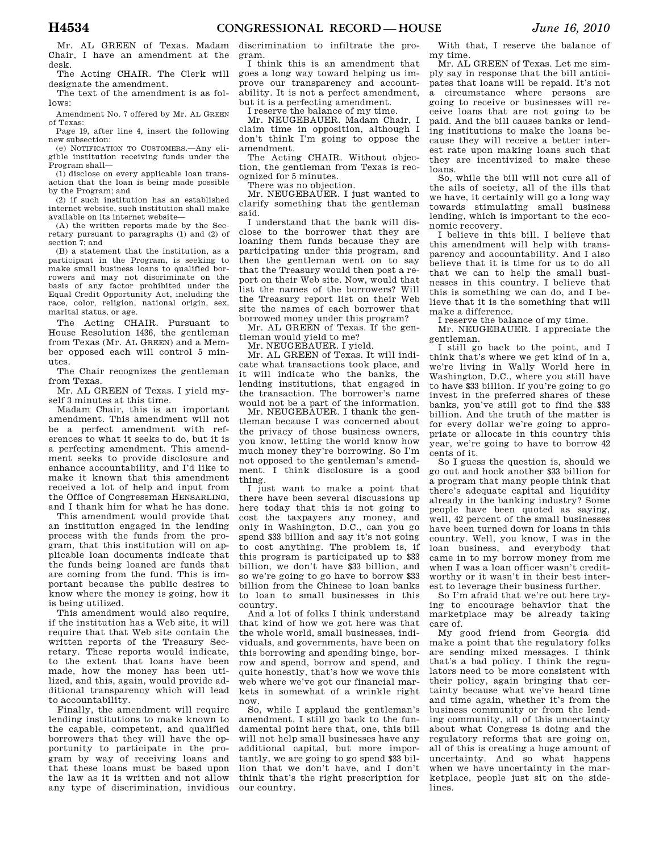The Acting CHAIR. The Clerk will designate the amendment.

The text of the amendment is as follows:

Amendment No. 7 offered by Mr. AL GREEN of Texas:

Page 19, after line 4, insert the following new subsection:

(e) NOTIFICATION TO CUSTOMERS.—Any eligible institution receiving funds under the Program shall—

(1) disclose on every applicable loan transaction that the loan is being made possible by the Program; and

(2) if such institution has an established internet website, such institution shall make available on its internet website—

(A) the written reports made by the Secretary pursuant to paragraphs (1) and (2) of section 7; and

(B) a statement that the institution, as a participant in the Program, is seeking to make small business loans to qualified borrowers and may not discriminate on the basis of any factor prohibited under the Equal Credit Opportunity Act, including the race, color, religion, national origin, sex, marital status, or age.

The Acting CHAIR. Pursuant to House Resolution 1436, the gentleman from Texas (Mr. AL GREEN) and a Member opposed each will control 5 minutes.

The Chair recognizes the gentleman from Texas.

Mr. AL GREEN of Texas. I yield myself 3 minutes at this time.

Madam Chair, this is an important amendment. This amendment will not be a perfect amendment with references to what it seeks to do, but it is a perfecting amendment. This amendment seeks to provide disclosure and enhance accountability, and I'd like to make it known that this amendment received a lot of help and input from the Office of Congressman HENSARLING, and I thank him for what he has done.

This amendment would provide that an institution engaged in the lending process with the funds from the program, that this institution will on applicable loan documents indicate that the funds being loaned are funds that are coming from the fund. This is important because the public desires to know where the money is going, how it is being utilized.

This amendment would also require, if the institution has a Web site, it will require that that Web site contain the written reports of the Treasury Secretary. These reports would indicate, to the extent that loans have been made, how the money has been utilized, and this, again, would provide additional transparency which will lead to accountability.

Finally, the amendment will require lending institutions to make known to the capable, competent, and qualified borrowers that they will have the opportunity to participate in the program by way of receiving loans and that these loans must be based upon the law as it is written and not allow any type of discrimination, invidious

discrimination to infiltrate the program.

I think this is an amendment that goes a long way toward helping us improve our transparency and accountability. It is not a perfect amendment, but it is a perfecting amendment.

I reserve the balance of my time.

Mr. NEUGEBAUER. Madam Chair, I claim time in opposition, although I don't think I'm going to oppose the amendment.

The Acting CHAIR. Without objection, the gentleman from Texas is recognized for 5 minutes.

There was no objection.

Mr. NEUGEBAUER. I just wanted to clarify something that the gentleman said.

I understand that the bank will disclose to the borrower that they are loaning them funds because they are participating under this program, and then the gentleman went on to say that the Treasury would then post a report on their Web site. Now, would that list the names of the borrowers? Will the Treasury report list on their Web site the names of each borrower that borrowed money under this program?

Mr. AL GREEN of Texas. If the gentleman would yield to me?

Mr. NEUGEBAUER. I yield.

Mr. AL GREEN of Texas. It will indicate what transactions took place, and it will indicate who the banks, the lending institutions, that engaged in the transaction. The borrower's name would not be a part of the information.

Mr. NEUGEBAUER. I thank the gentleman because I was concerned about the privacy of those business owners, you know, letting the world know how much money they're borrowing. So I'm not opposed to the gentleman's amendment. I think disclosure is a good thing.

I just want to make a point that there have been several discussions up here today that this is not going to cost the taxpayers any money, and only in Washington, D.C., can you go spend \$33 billion and say it's not going to cost anything. The problem is, if this program is participated up to \$33 billion, we don't have \$33 billion, and so we're going to go have to borrow \$33 billion from the Chinese to loan banks to loan to small businesses in this country.

And a lot of folks I think understand that kind of how we got here was that the whole world, small businesses, individuals, and governments, have been on this borrowing and spending binge, borrow and spend, borrow and spend, and quite honestly, that's how we wove this web where we've got our financial markets in somewhat of a wrinkle right now.

So, while I applaud the gentleman's amendment, I still go back to the fundamental point here that, one, this bill will not help small businesses have any additional capital, but more importantly, we are going to go spend \$33 billion that we don't have, and I don't think that's the right prescription for our country.

With that, I reserve the balance of my time.

Mr. AL GREEN of Texas. Let me simply say in response that the bill anticipates that loans will be repaid. It's not a circumstance where persons are going to receive or businesses will receive loans that are not going to be paid. And the bill causes banks or lending institutions to make the loans because they will receive a better interest rate upon making loans such that they are incentivized to make these loans.

So, while the bill will not cure all of the ails of society, all of the ills that we have, it certainly will go a long way towards stimulating small business lending, which is important to the economic recovery.

I believe in this bill. I believe that this amendment will help with transparency and accountability. And I also believe that it is time for us to do all that we can to help the small businesses in this country. I believe that this is something we can do, and I believe that it is the something that will make a difference.

I reserve the balance of my time.

Mr. NEUGEBAUER. I appreciate the gentleman.

I still go back to the point, and I think that's where we get kind of in a, we're living in Wally World here in Washington, D.C., where you still have to have \$33 billion. If you're going to go invest in the preferred shares of these banks, you've still got to find the \$33 billion. And the truth of the matter is for every dollar we're going to appropriate or allocate in this country this year, we're going to have to borrow 42 cents of it.

So I guess the question is, should we go out and hock another \$33 billion for a program that many people think that there's adequate capital and liquidity already in the banking industry? Some people have been quoted as saying, well, 42 percent of the small businesses have been turned down for loans in this country. Well, you know, I was in the loan business, and everybody that came in to my borrow money from me when I was a loan officer wasn't creditworthy or it wasn't in their best interest to leverage their business further.

So I'm afraid that we're out here trying to encourage behavior that the marketplace may be already taking care of.

My good friend from Georgia did make a point that the regulatory folks are sending mixed messages. I think that's a bad policy. I think the regulators need to be more consistent with their policy, again bringing that certainty because what we've heard time and time again, whether it's from the business community or from the lending community, all of this uncertainty about what Congress is doing and the regulatory reforms that are going on, all of this is creating a huge amount of uncertainty. And so what happens when we have uncertainty in the marketplace, people just sit on the sidelines.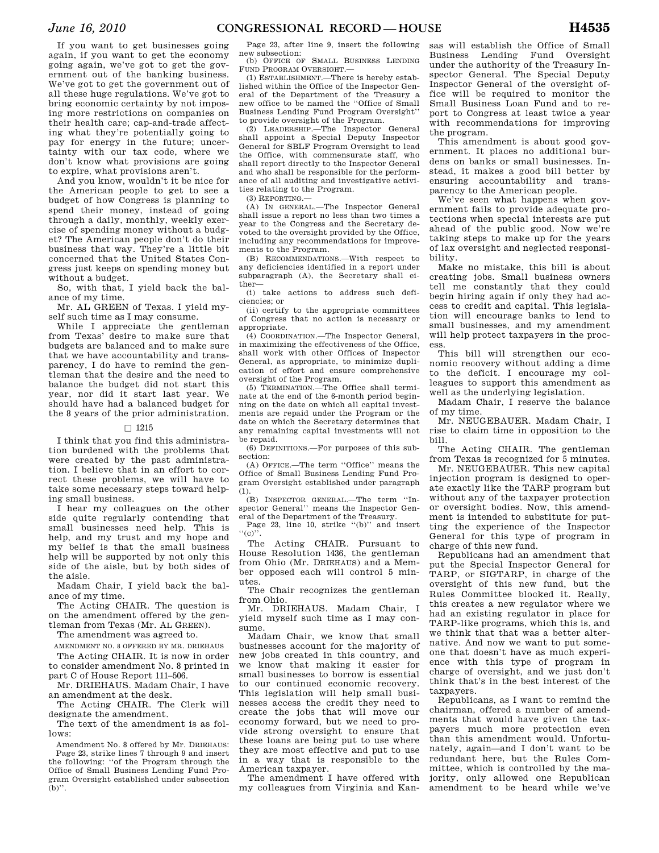If you want to get businesses going again, if you want to get the economy going again, we've got to get the government out of the banking business. We've got to get the government out of all these huge regulations. We've got to bring economic certainty by not imposing more restrictions on companies on their health care; cap-and-trade affecting what they're potentially going to pay for energy in the future; uncertainty with our tax code, where we don't know what provisions are going to expire, what provisions aren't.

And you know, wouldn't it be nice for the American people to get to see a budget of how Congress is planning to spend their money, instead of going through a daily, monthly, weekly exercise of spending money without a budget? The American people don't do their business that way. They're a little bit concerned that the United States Congress just keeps on spending money but without a budget.

So, with that, I yield back the balance of my time.

Mr. AL GREEN of Texas. I yield myself such time as I may consume.

While I appreciate the gentleman from Texas' desire to make sure that budgets are balanced and to make sure that we have accountability and transparency, I do have to remind the gentleman that the desire and the need to balance the budget did not start this year, nor did it start last year. We should have had a balanced budget for the 8 years of the prior administration.

### $\Box$  1215

I think that you find this administration burdened with the problems that were created by the past administration. I believe that in an effort to correct these problems, we will have to take some necessary steps toward helping small business.

I hear my colleagues on the other side quite regularly contending that small businesses need help. This is help, and my trust and my hope and my belief is that the small business help will be supported by not only this side of the aisle, but by both sides of the aisle.

Madam Chair, I yield back the balance of my time.

The Acting CHAIR. The question is on the amendment offered by the gentleman from Texas (Mr. AL GREEN).

The amendment was agreed to.

AMENDMENT NO. 8 OFFERED BY MR. DRIEHAUS

The Acting CHAIR. It is now in order to consider amendment No. 8 printed in part C of House Report 111–506.

Mr. DRIEHAUS. Madam Chair, I have an amendment at the desk.

The Acting CHAIR. The Clerk will designate the amendment.

The text of the amendment is as follows:

Amendment No. 8 offered by Mr. DRIEHAUS: Page 23, strike lines 7 through 9 and insert the following: ''of the Program through the Office of Small Business Lending Fund Program Oversight established under subsection (b)''.

Page 23, after line 9, insert the following new subsection: (b) OFFICE OF SMALL BUSINESS LENDING

FUND PROGRAM OVERSIGHT.—

(1) ESTABLISHMENT.—There is hereby established within the Office of the Inspector General of the Department of the Treasury a new office to be named the ''Office of Small Business Lending Fund Program Oversight''

to provide oversight of the Program. (2) LEADERSHIP.—The Inspector General shall appoint a Special Deputy Inspector General for SBLF Program Oversight to lead the Office, with commensurate staff, who shall report directly to the Inspector General and who shall be responsible for the performance of all auditing and investigative activities relating to the Program.

(3) REPORTING.—

(A) IN GENERAL.—The Inspector General shall issue a report no less than two times a year to the Congress and the Secretary devoted to the oversight provided by the Office, including any recommendations for improvements to the Program.

(B) RECOMMENDATIONS.—With respect to any deficiencies identified in a report under subparagraph (A), the Secretary shall either—

(i) take actions to address such deficiencies; or

(ii) certify to the appropriate committees of Congress that no action is necessary or appropriate.

(4) COORDINATION.—The Inspector General, in maximizing the effectiveness of the Office, shall work with other Offices of Inspector General, as appropriate, to minimize duplication of effort and ensure comprehensive oversight of the Program.

(5) TERMINATION.—The Office shall terminate at the end of the 6-month period beginning on the date on which all capital investments are repaid under the Program or the date on which the Secretary determines that any remaining capital investments will not be repaid.

(6) DEFINITIONS.—For purposes of this subsection:

(A) OFFICE.—The term ''Office'' means the Office of Small Business Lending Fund Program Oversight established under paragraph (1).

(B) INSPECTOR GENERAL.—The term ''Inspector General'' means the Inspector General of the Department of the Treasury.

Page 23, line 10, strike "(b)" and insert  $(c)$ ''. The Acting CHAIR. Pursuant to

House Resolution 1436, the gentleman from Ohio (Mr. DRIEHAUS) and a Member opposed each will control 5 minutes.

The Chair recognizes the gentleman from Ohio.

Mr. DRIEHAUS. Madam Chair, I yield myself such time as I may consume.

Madam Chair, we know that small businesses account for the majority of new jobs created in this country, and we know that making it easier for small businesses to borrow is essential to our continued economic recovery. This legislation will help small businesses access the credit they need to create the jobs that will move our economy forward, but we need to provide strong oversight to ensure that these loans are being put to use where they are most effective and put to use in a way that is responsible to the American taxpayer.

The amendment I have offered with my colleagues from Virginia and Kansas will establish the Office of Small Business Lending Fund Oversight under the authority of the Treasury Inspector General. The Special Deputy Inspector General of the oversight office will be required to monitor the Small Business Loan Fund and to report to Congress at least twice a year with recommendations for improving the program.

This amendment is about good government. It places no additional burdens on banks or small businesses. Instead, it makes a good bill better by ensuring accountability and transparency to the American people.

We've seen what happens when government fails to provide adequate protections when special interests are put ahead of the public good. Now we're taking steps to make up for the years of lax oversight and neglected responsibility.

Make no mistake, this bill is about creating jobs. Small business owners tell me constantly that they could begin hiring again if only they had access to credit and capital. This legislation will encourage banks to lend to small businesses, and my amendment will help protect taxpayers in the process.

This bill will strengthen our economic recovery without adding a dime to the deficit. I encourage my colleagues to support this amendment as well as the underlying legislation.

Madam Chair, I reserve the balance of my time.

Mr. NEUGEBAUER. Madam Chair, I rise to claim time in opposition to the bill.

The Acting CHAIR. The gentleman from Texas is recognized for 5 minutes.

Mr. NEUGEBAUER. This new capital injection program is designed to operate exactly like the TARP program but without any of the taxpayer protection or oversight bodies. Now, this amendment is intended to substitute for putting the experience of the Inspector General for this type of program in charge of this new fund.

Republicans had an amendment that put the Special Inspector General for TARP, or SIGTARP, in charge of the oversight of this new fund, but the Rules Committee blocked it. Really, this creates a new regulator where we had an existing regulator in place for TARP-like programs, which this is, and we think that that was a better alternative. And now we want to put someone that doesn't have as much experience with this type of program in charge of oversight, and we just don't think that's in the best interest of the taxpayers.

Republicans, as I want to remind the chairman, offered a number of amendments that would have given the taxpayers much more protection even than this amendment would. Unfortunately, again—and I don't want to be redundant here, but the Rules Committee, which is controlled by the majority, only allowed one Republican amendment to be heard while we've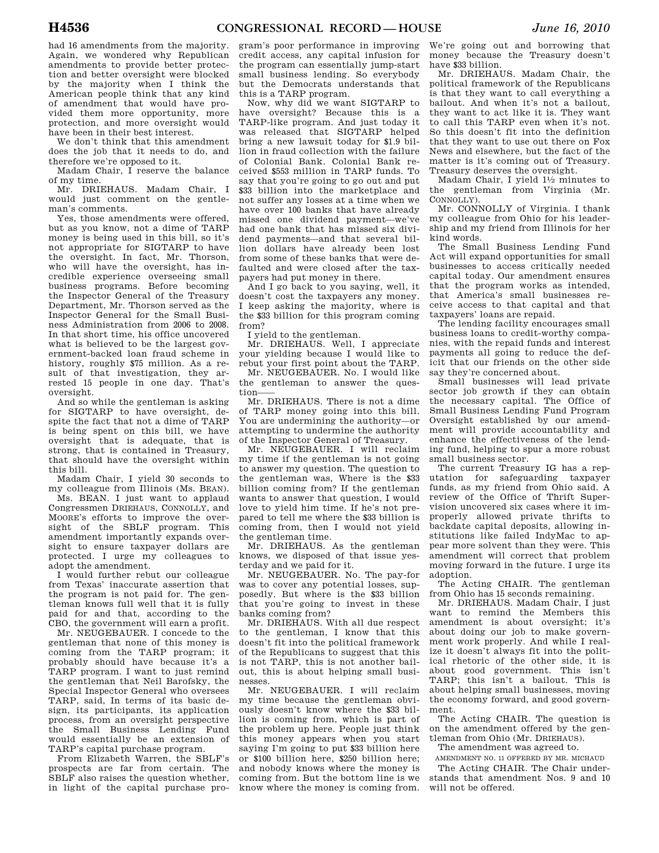had 16 amendments from the majority. Again, we wondered why Republican amendments to provide better protection and better oversight were blocked by the majority when I think the American people think that any kind of amendment that would have provided them more opportunity, more protection, and more oversight would have been in their best interest.

We don't think that this amendment does the job that it needs to do, and therefore we're opposed to it.

Madam Chair, I reserve the balance of my time.

Mr. DRIEHAUS. Madam Chair, I would just comment on the gentleman's comments.

Yes, those amendments were offered, but as you know, not a dime of TARP money is being used in this bill, so it's not appropriate for SIGTARP to have the oversight. In fact, Mr. Thorson, who will have the oversight, has incredible experience overseeing small business programs. Before becoming the Inspector General of the Treasury Department, Mr. Thorson served as the Inspector General for the Small Business Administration from 2006 to 2008. In that short time, his office uncovered what is believed to be the largest government-backed loan fraud scheme in history, roughly \$75 million. As a result of that investigation, they arrested 15 people in one day. That's oversight.

And so while the gentleman is asking for SIGTARP to have oversight, despite the fact that not a dime of TARP is being spent on this bill, we have oversight that is adequate, that is strong, that is contained in Treasury, that should have the oversight within this bill.

Madam Chair, I yield 30 seconds to my colleague from Illinois (Ms. BEAN). Ms. BEAN. I just want to applaud Congressmen DRIEHAUS, CONNOLLY, and MOORE's efforts to improve the oversight of the SBLF program. This amendment importantly expands oversight to ensure taxpayer dollars are protected. I urge my colleagues to adopt the amendment.

I would further rebut our colleague from Texas' inaccurate assertion that the program is not paid for. The gentleman knows full well that it is fully paid for and that, according to the CBO, the government will earn a profit.

Mr. NEUGEBAUER. I concede to the gentleman that none of this money is coming from the TARP program; it probably should have because it's a TARP program. I want to just remind the gentleman that Neil Barofsky, the Special Inspector General who oversees TARP, said, In terms of its basic design, its participants, its application process, from an oversight perspective the Small Business Lending Fund would essentially be an extension of TARP's capital purchase program.

From Elizabeth Warren, the SBLF's prospects are far from certain. The SBLF also raises the question whether, in light of the capital purchase pro-

gram's poor performance in improving credit access, any capital infusion for the program can essentially jump-start small business lending. So everybody but the Democrats understands that this is a TARP program.

Now, why did we want SIGTARP to have oversight? Because this is a TARP-like program. And just today it was released that SIGTARP helped bring a new lawsuit today for \$1.9 billion in fraud collection with the failure of Colonial Bank. Colonial Bank received \$553 million in TARP funds. To say that you're going to go out and put \$33 billion into the marketplace and not suffer any losses at a time when we have over 100 banks that have already missed one dividend payment—we've had one bank that has missed six dividend payments—and that several billion dollars have already been lost from some of these banks that were defaulted and were closed after the taxpayers had put money in there.

And I go back to you saying, well, it doesn't cost the taxpayers any money. I keep asking the majority, where is the \$33 billion for this program coming from?

I yield to the gentleman.

Mr. DRIEHAUS. Well, I appreciate your yielding because I would like to rebut your first point about the TARP.

Mr. NEUGEBAUER. No. I would like the gentleman to answer the question

Mr. DRIEHAUS. There is not a dime of TARP money going into this bill. You are undermining the authority—or attempting to undermine the authority of the Inspector General of Treasury.

Mr. NEUGEBAUER. I will reclaim my time if the gentleman is not going to answer my question. The question to the gentleman was, Where is the \$33 billion coming from? If the gentleman wants to answer that question, I would love to yield him time. If he's not prepared to tell me where the \$33 billion is coming from, then I would not yield the gentleman time.

Mr. DRIEHAUS. As the gentleman knows, we disposed of that issue yesterday and we paid for it.

Mr. NEUGEBAUER. No. The pay-for was to cover any potential losses, supposedly. But where is the \$33 billion that you're going to invest in these banks coming from?

Mr. DRIEHAUS. With all due respect to the gentleman, I know that this doesn't fit into the political framework of the Republicans to suggest that this is not TARP, this is not another bailout, this is about helping small businesses.

Mr. NEUGEBAUER. I will reclaim my time because the gentleman obviously doesn't know where the \$33 billion is coming from, which is part of the problem up here. People just think this money appears when you start saying I'm going to put \$33 billion here or \$100 billion here, \$250 billion here; and nobody knows where the money is coming from. But the bottom line is we know where the money is coming from.

We're going out and borrowing that money because the Treasury doesn't have \$33 billion.

Mr. DRIEHAUS. Madam Chair, the political framework of the Republicans is that they want to call everything a bailout. And when it's not a bailout, they want to act like it is. They want to call this TARP even when it's not. So this doesn't fit into the definition that they want to use out there on Fox News and elsewhere, but the fact of the matter is it's coming out of Treasury. Treasury deserves the oversight.

Madam Chair, I yield  $1\frac{1}{2}$  minutes to the gentleman from Virginia (Mr. CONNOLLY).

Mr. CONNOLLY of Virginia. I thank my colleague from Ohio for his leadership and my friend from Illinois for her kind words.

The Small Business Lending Fund Act will expand opportunities for small businesses to access critically needed capital today. Our amendment ensures that the program works as intended, that America's small businesses receive access to that capital and that taxpayers' loans are repaid.

The lending facility encourages small business loans to credit-worthy companies, with the repaid funds and interest payments all going to reduce the deficit that our friends on the other side say they're concerned about.

Small businesses will lead private sector job growth if they can obtain the necessary capital. The Office of Small Business Lending Fund Program Oversight established by our amendment will provide accountability and enhance the effectiveness of the lending fund, helping to spur a more robust small business sector.

The current Treasury IG has a reputation for safeguarding taxpayer funds, as my friend from Ohio said. A review of the Office of Thrift Supervision uncovered six cases where it improperly allowed private thrifts to backdate capital deposits, allowing institutions like failed IndyMac to appear more solvent than they were. This amendment will correct that problem moving forward in the future. I urge its adoption.

The Acting CHAIR. The gentleman from Ohio has 15 seconds remaining.

Mr. DRIEHAUS. Madam Chair, I just want to remind the Members this amendment is about oversight; it's about doing our job to make government work properly. And while I realize it doesn't always fit into the political rhetoric of the other side, it is about good government. This isn't TARP; this isn't a bailout. This is about helping small businesses, moving the economy forward, and good government.

The Acting CHAIR. The question is on the amendment offered by the gentleman from Ohio (Mr. DRIEHAUS).

The amendment was agreed to.

AMENDMENT NO. 11 OFFERED BY MR. MICHAUD The Acting CHAIR. The Chair understands that amendment Nos. 9 and 10 will not be offered.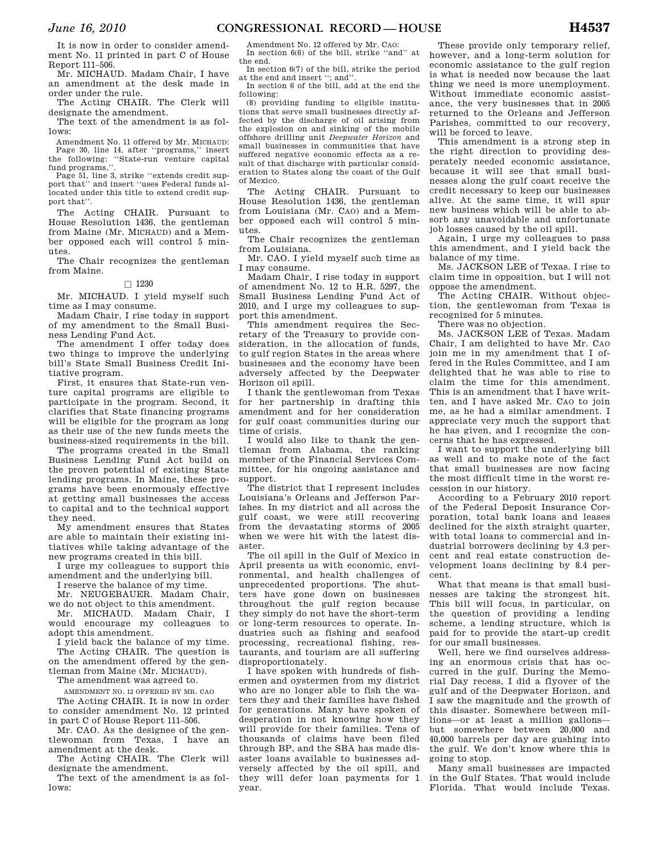It is now in order to consider amendment No. 11 printed in part C of House Report 111–506.

Mr. MICHAUD. Madam Chair, I have an amendment at the desk made in order under the rule.

The Acting CHAIR. The Clerk will designate the amendment.

The text of the amendment is as follows:

Amendment No. 11 offered by Mr. MICHAUD: Page 30, line 14, after ''programs,'' insert the following: ''State-run venture capital fund programs,''.

Page 51, line 3, strike ''extends credit support that'' and insert ''uses Federal funds allocated under this title to extend credit support that''.

The Acting CHAIR. Pursuant to House Resolution 1436, the gentleman from Maine (Mr. MICHAUD) and a Member opposed each will control 5 minutes.

The Chair recognizes the gentleman from Maine.

#### $\square$  1230

Mr. MICHAUD. I yield myself such time as I may consume.

Madam Chair, I rise today in support of my amendment to the Small Business Lending Fund Act.

The amendment I offer today does two things to improve the underlying bill's State Small Business Credit Initiative program.

First, it ensures that State-run venture capital programs are eligible to participate in the program. Second, it clarifies that State financing programs will be eligible for the program as long as their use of the new funds meets the business-sized requirements in the bill.

The programs created in the Small Business Lending Fund Act build on the proven potential of existing State lending programs. In Maine, these programs have been enormously effective at getting small businesses the access to capital and to the technical support they need.

My amendment ensures that States are able to maintain their existing initiatives while taking advantage of the new programs created in this bill.

I urge my colleagues to support this amendment and the underlying bill.

I reserve the balance of my time.

Mr. NEUGEBAUER. Madam Chair, we do not object to this amendment.

Mr. MICHAUD. Madam Chair, I would encourage my colleagues to adopt this amendment.

yield back the balance of my time. The Acting CHAIR. The question is on the amendment offered by the gentleman from Maine (Mr. MICHAUD).

The amendment was agreed to.

AMENDMENT NO. 12 OFFERED BY MR. CAO The Acting CHAIR. It is now in order

to consider amendment No. 12 printed in part C of House Report 111–506. Mr. CAO. As the designee of the gen-

tlewoman from Texas, I have an amendment at the desk.

The Acting CHAIR. The Clerk will designate the amendment.

The text of the amendment is as follows:

Amendment No. 12 offered by Mr. CAO: In section 6(6) of the bill, strike ''and'' at the end.

In section 6(7) of the bill, strike the period at the end and insert "; and"

In section 6 of the bill, add at the end the following:

(8) providing funding to eligible institutions that serve small businesses directly affected by the discharge of oil arising from the explosion on and sinking of the mobile offshore drilling unit *Deepwater Horizon* and small businesses in communities that have suffered negative economic effects as a result of that discharge with particular consideration to States along the coast of the Gulf of Mexico.

The Acting CHAIR. Pursuant to House Resolution 1436, the gentleman from Louisiana (Mr. CAO) and a Member opposed each will control 5 minutes.

The Chair recognizes the gentleman from Louisiana.

Mr. CAO. I yield myself such time as I may consume.

Madam Chair, I rise today in support of amendment No. 12 to H.R. 5297, the Small Business Lending Fund Act of 2010, and I urge my colleagues to support this amendment.

This amendment requires the Secretary of the Treasury to provide consideration, in the allocation of funds, to gulf region States in the areas where businesses and the economy have been adversely affected by the Deepwater Horizon oil spill.

I thank the gentlewoman from Texas for her partnership in drafting this amendment and for her consideration for gulf coast communities during our time of crisis.

I would also like to thank the gentleman from Alabama, the ranking member of the Financial Services Committee, for his ongoing assistance and support.

The district that I represent includes Louisiana's Orleans and Jefferson Parishes. In my district and all across the gulf coast, we were still recovering from the devastating storms of 2005 when we were hit with the latest disaster.

The oil spill in the Gulf of Mexico in April presents us with economic, environmental, and health challenges of unprecedented proportions. The shutters have gone down on businesses throughout the gulf region because they simply do not have the short-term or long-term resources to operate. Industries such as fishing and seafood processing, recreational fishing, restaurants, and tourism are all suffering disproportionately.

I have spoken with hundreds of fishermen and oystermen from my district who are no longer able to fish the waters they and their families have fished for generations. Many have spoken of desperation in not knowing how they will provide for their families. Tens of thousands of claims have been filed through BP, and the SBA has made disaster loans available to businesses adversely affected by the oil spill, and they will defer loan payments for 1 year.

These provide only temporary relief, however, and a long-term solution for economic assistance to the gulf region is what is needed now because the last thing we need is more unemployment. Without immediate economic assistance, the very businesses that in 2005 returned to the Orleans and Jefferson Parishes, committed to our recovery, will be forced to leave.

This amendment is a strong step in the right direction to providing desperately needed economic assistance, because it will see that small businesses along the gulf coast receive the credit necessary to keep our businesses alive. At the same time, it will spur new business which will be able to absorb any unavoidable and unfortunate job losses caused by the oil spill.

Again, I urge my colleagues to pass this amendment, and I yield back the balance of my time.

Ms. JACKSON LEE of Texas. I rise to claim time in opposition, but I will not oppose the amendment.

The Acting CHAIR. Without objection, the gentlewoman from Texas is recognized for 5 minutes.

There was no objection.

Ms. JACKSON LEE of Texas. Madam Chair, I am delighted to have Mr. CAO join me in my amendment that I offered in the Rules Committee, and I am delighted that he was able to rise to claim the time for this amendment. This is an amendment that I have written, and I have asked Mr. CAO to join me, as he had a similar amendment. I appreciate very much the support that he has given, and I recognize the concerns that he has expressed.

I want to support the underlying bill as well and to make note of the fact that small businesses are now facing the most difficult time in the worst recession in our history.

According to a February 2010 report of the Federal Deposit Insurance Corporation, total bank loans and leases declined for the sixth straight quarter, with total loans to commercial and industrial borrowers declining by 4.3 percent and real estate construction development loans declining by 8.4 percent.

What that means is that small businesses are taking the strongest hit. This bill will focus, in particular, on the question of providing a lending scheme, a lending structure, which is paid for to provide the start-up credit for our small businesses.

Well, here we find ourselves addressing an enormous crisis that has occurred in the gulf. During the Memorial Day recess, I did a flyover of the gulf and of the Deepwater Horizon, and I saw the magnitude and the growth of this disaster. Somewhere between millions—or at least a million gallons but somewhere between 20,000 and 40,000 barrels per day are gushing into the gulf. We don't know where this is going to stop.

Many small businesses are impacted in the Gulf States. That would include Florida. That would include Texas.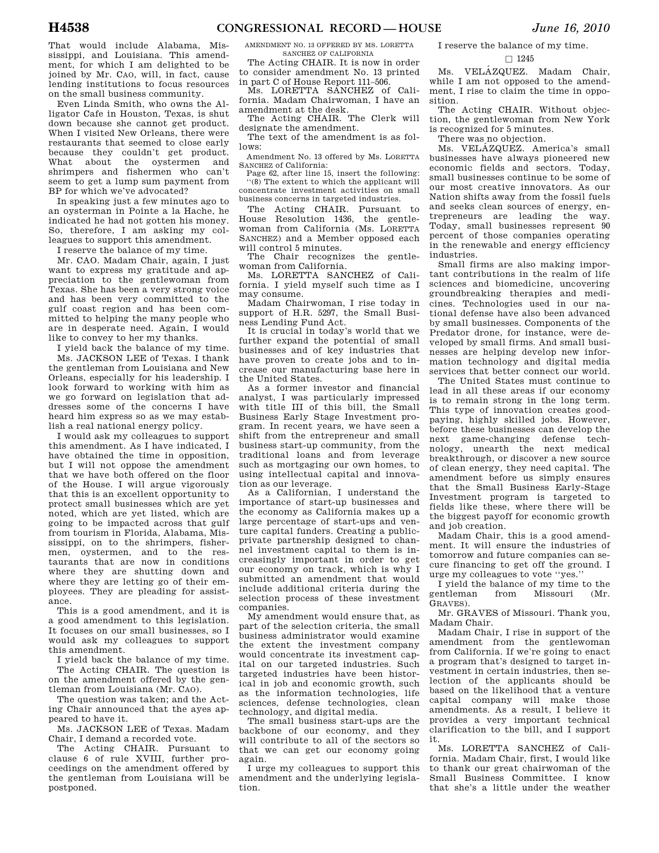That would include Alabama, Mississippi, and Louisiana. This amendment, for which I am delighted to be joined by Mr. CAO, will, in fact, cause lending institutions to focus resources on the small business community.

Even Linda Smith, who owns the Alligator Cafe in Houston, Texas, is shut down because she cannot get product. When I visited New Orleans, there were restaurants that seemed to close early because they couldn't get product. What about the oystermen and shrimpers and fishermen who can't seem to get a lump sum payment from BP for which we've advocated?

In speaking just a few minutes ago to an oysterman in Pointe a la Hache, he indicated he had not gotten his money. So, therefore, I am asking my colleagues to support this amendment.

I reserve the balance of my time.

Mr. CAO. Madam Chair, again, I just want to express my gratitude and appreciation to the gentlewoman from Texas. She has been a very strong voice and has been very committed to the gulf coast region and has been committed to helping the many people who are in desperate need. Again, I would like to convey to her my thanks.

I yield back the balance of my time.

Ms. JACKSON LEE of Texas. I thank the gentleman from Louisiana and New Orleans, especially for his leadership. I look forward to working with him as we go forward on legislation that addresses some of the concerns I have heard him express so as we may establish a real national energy policy.

I would ask my colleagues to support this amendment. As I have indicated, I have obtained the time in opposition, but I will not oppose the amendment that we have both offered on the floor of the House. I will argue vigorously that this is an excellent opportunity to protect small businesses which are yet noted, which are yet listed, which are going to be impacted across that gulf from tourism in Florida, Alabama, Mississippi, on to the shrimpers, fishermen, oystermen, and to the restaurants that are now in conditions where they are shutting down and where they are letting go of their employees. They are pleading for assistance.

This is a good amendment, and it is a good amendment to this legislation. It focuses on our small businesses, so I would ask my colleagues to support this amendment.

I yield back the balance of my time. The Acting CHAIR. The question is on the amendment offered by the gentleman from Louisiana (Mr. CAO).

The question was taken; and the Acting Chair announced that the ayes appeared to have it.

Ms. JACKSON LEE of Texas. Madam Chair, I demand a recorded vote.

The Acting CHAIR. Pursuant to clause 6 of rule XVIII, further proceedings on the amendment offered by the gentleman from Louisiana will be postponed.

AMENDMENT NO. 13 OFFERED BY MS. LORETTA SANCHEZ OF CALIFORNIA

The Acting CHAIR. It is now in order to consider amendment No. 13 printed in part C of House Report 111–506.

Ms. LORETTA SANCHEZ of California. Madam Chairwoman, I have an amendment at the desk.

The Acting CHAIR. The Clerk will designate the amendment.

The text of the amendment is as follows:

Amendment No. 13 offered by Ms. LORETTA SANCHEZ of California:

Page 62, after line 15, insert the following: ''(8) The extent to which the applicant will concentrate investment activities on small business concerns in targeted industries.

The Acting CHAIR. Pursuant to House Resolution 1436, the gentlewoman from California (Ms. LORETTA SANCHEZ) and a Member opposed each will control 5 minutes.

The Chair recognizes the gentlewoman from California.

Ms. LORETTA SANCHEZ of California. I yield myself such time as I may consume.

Madam Chairwoman, I rise today in support of H.R. 5297, the Small Business Lending Fund Act.

It is crucial in today's world that we further expand the potential of small businesses and of key industries that have proven to create jobs and to increase our manufacturing base here in the United States.

As a former investor and financial analyst, I was particularly impressed with title III of this bill, the Small Business Early Stage Investment program. In recent years, we have seen a shift from the entrepreneur and small business start-up community, from the traditional loans and from leverage such as mortgaging our own homes, to using intellectual capital and innovation as our leverage.

As a Californian, I understand the importance of start-up businesses and the economy as California makes up a large percentage of start-ups and venture capital funders. Creating a publicprivate partnership designed to channel investment capital to them is increasingly important in order to get our economy on track, which is why I submitted an amendment that would include additional criteria during the selection process of these investment companies.

My amendment would ensure that, as part of the selection criteria, the small business administrator would examine the extent the investment company would concentrate its investment capital on our targeted industries. Such targeted industries have been historical in job and economic growth, such as the information technologies, life sciences, defense technologies, clean technology, and digital media.

The small business start-ups are the backbone of our economy, and they will contribute to all of the sectors so that we can get our economy going again.

I urge my colleagues to support this amendment and the underlying legislation.

I reserve the balance of my time.

#### $\square$  1245

Ms. VELÁZQUEZ. Madam Chair, while I am not opposed to the amendment, I rise to claim the time in opposition.

The Acting CHAIR. Without objection, the gentlewoman from New York is recognized for 5 minutes.

There was no objection.

Ms. VELÁZQUEZ. America's small businesses have always pioneered new economic fields and sectors. Today, small businesses continue to be some of our most creative innovators. As our Nation shifts away from the fossil fuels and seeks clean sources of energy, entrepreneurs are leading the way. Today, small businesses represent 90 percent of those companies operating in the renewable and energy efficiency industries.

Small firms are also making important contributions in the realm of life sciences and biomedicine, uncovering groundbreaking therapies and medicines. Technologies used in our national defense have also been advanced by small businesses. Components of the Predator drone, for instance, were developed by small firms. And small businesses are helping develop new information technology and digital media services that better connect our world.

The United States must continue to lead in all these areas if our economy is to remain strong in the long term. This type of innovation creates goodpaying, highly skilled jobs. However, before these businesses can develop the next game-changing defense technology, unearth the next medical breakthrough, or discover a new source of clean energy, they need capital. The amendment before us simply ensures that the Small Business Early-Stage Investment program is targeted to fields like these, where there will be the biggest payoff for economic growth and job creation.

Madam Chair, this is a good amendment. It will ensure the industries of tomorrow and future companies can secure financing to get off the ground. I urge my colleagues to vote ''yes.''

I yield the balance of my time to the gentleman from Missouri (Mr. GRAVES).

Mr. GRAVES of Missouri. Thank you, Madam Chair.

Madam Chair, I rise in support of the amendment from the gentlewoman from California. If we're going to enact a program that's designed to target investment in certain industries, then selection of the applicants should be based on the likelihood that a venture capital company will make those amendments. As a result, I believe it provides a very important technical clarification to the bill, and I support it.

Ms. LORETTA SANCHEZ of California. Madam Chair, first, I would like to thank our great chairwoman of the Small Business Committee. I know that she's a little under the weather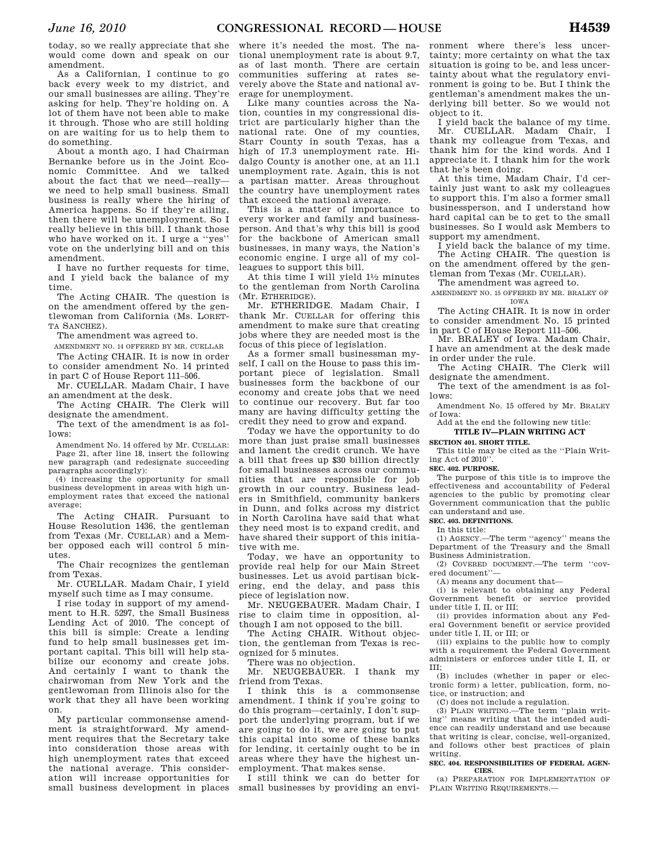today, so we really appreciate that she would come down and speak on our amendment.

As a Californian, I continue to go back every week to my district, and our small businesses are ailing. They're asking for help. They're holding on. A lot of them have not been able to make it through. Those who are still holding on are waiting for us to help them to do something.

About a month ago, I had Chairman Bernanke before us in the Joint Economic Committee. And we talked about the fact that we need—really we need to help small business. Small business is really where the hiring of America happens. So if they're ailing, then there will be unemployment. So I really believe in this bill. I thank those who have worked on it. I urge a ''yes'' vote on the underlying bill and on this amendment.

I have no further requests for time, and I yield back the balance of my time.

The Acting CHAIR. The question is on the amendment offered by the gentlewoman from California (Ms. LORET-TA SANCHEZ).

The amendment was agreed to.

AMENDMENT NO. 14 OFFERED BY MR. CUELLAR

The Acting CHAIR. It is now in order to consider amendment No. 14 printed in part C of House Report 111–506.

Mr. CUELLAR. Madam Chair, I have an amendment at the desk.

The Acting CHAIR. The Clerk will designate the amendment.

The text of the amendment is as follows:

Amendment No. 14 offered by Mr. CUELLAR: Page 21, after line 18, insert the following new paragraph (and redesignate succeeding paragraphs accordingly):

(4) increasing the opportunity for small business development in areas with high unemployment rates that exceed the national average;

The Acting CHAIR. Pursuant to House Resolution 1436, the gentleman from Texas (Mr. CUELLAR) and a Member opposed each will control 5 minutes.

The Chair recognizes the gentleman from Texas.

Mr. CUELLAR. Madam Chair, I yield myself such time as I may consume.

I rise today in support of my amendment to H.R. 5297, the Small Business Lending Act of 2010. The concept of this bill is simple: Create a lending fund to help small businesses get important capital. This bill will help stabilize our economy and create jobs. And certainly I want to thank the chairwoman from New York and the gentlewoman from Illinois also for the work that they all have been working on.

My particular commonsense amendment is straightforward. My amendment requires that the Secretary take into consideration those areas with high unemployment rates that exceed the national average. This consideration will increase opportunities for small business development in places

where it's needed the most. The national unemployment rate is about 9.7, as of last month. There are certain communities suffering at rates severely above the State and national average for unemployment.

Like many counties across the Nation, counties in my congressional district are particularly higher than the national rate. One of my counties, Starr County in south Texas, has a high of 17.3 unemployment rate. Hidalgo County is another one, at an 11.1 unemployment rate. Again, this is not a partisan matter. Areas throughout the country have unemployment rates that exceed the national average.

This is a matter of importance to every worker and family and businessperson. And that's why this bill is good for the backbone of American small businesses, in many ways, the Nation's economic engine. I urge all of my colleagues to support this bill.

At this time I will yield  $1\frac{1}{2}$  minutes to the gentleman from North Carolina (Mr. ETHERIDGE).

Mr. ETHERIDGE. Madam Chair, I thank Mr. CUELLAR for offering this amendment to make sure that creating jobs where they are needed most is the focus of this piece of legislation.

As a former small businessman myself, I call on the House to pass this important piece of legislation. Small businesses form the backbone of our economy and create jobs that we need to continue our recovery. But far too many are having difficulty getting the credit they need to grow and expand.

Today we have the opportunity to do more than just praise small businesses and lament the credit crunch. We have a bill that frees up \$30 billion directly for small businesses across our communities that are responsible for job growth in our country. Business leaders in Smithfield, community bankers in Dunn, and folks across my district in North Carolina have said that what they need most is to expand credit, and have shared their support of this initiative with me.

Today, we have an opportunity to provide real help for our Main Street businesses. Let us avoid partisan bickering, end the delay, and pass this piece of legislation now.

Mr. NEUGEBAUER. Madam Chair, I rise to claim time in opposition, although I am not opposed to the bill.

The Acting CHAIR. Without objection, the gentleman from Texas is recognized for 5 minutes.

There was no objection.

Mr. NEUGEBAUER. I thank my friend from Texas.

I think this is a commonsense amendment. I think if you're going to do this program—certainly, I don't support the underlying program, but if we are going to do it, we are going to put this capital into some of these banks for lending, it certainly ought to be in areas where they have the highest unemployment. That makes sense.

I still think we can do better for small businesses by providing an environment where there's less uncertainty; more certainty on what the tax situation is going to be, and less uncertainty about what the regulatory environment is going to be. But I think the gentleman's amendment makes the underlying bill better. So we would not object to it.

I yield back the balance of my time. Mr. CUELLAR. Madam Chair, I thank my colleague from Texas, and thank him for the kind words. And I appreciate it. I thank him for the work that he's been doing.

At this time, Madam Chair, I'd certainly just want to ask my colleagues to support this. I'm also a former small businessperson, and I understand how hard capital can be to get to the small businesses. So I would ask Members to support my amendment.

I yield back the balance of my time. The Acting CHAIR. The question is on the amendment offered by the gentleman from Texas (Mr. CUELLAR).

The amendment was agreed to. AMENDMENT NO. 15 OFFERED BY MR. BRALEY OF IOWA

The Acting CHAIR. It is now in order to consider amendment No. 15 printed in part C of House Report 111–506.

Mr. BRALEY of Iowa. Madam Chair, I have an amendment at the desk made in order under the rule.

The Acting CHAIR. The Clerk will designate the amendment.

The text of the amendment is as follows:

Amendment No. 15 offered by Mr. BRALEY of Iowa:

Add at the end the following new title:

**TITLE IV—PLAIN WRITING ACT** 

## **SECTION 401. SHORT TITLE.**

This title may be cited as the ''Plain Writing Act of 2010'

#### **SEC. 402. PURPOSE.**

The purpose of this title is to improve the effectiveness and accountability of Federal agencies to the public by promoting clear Government communication that the public can understand and use.

**SEC. 403. DEFINITIONS.** 

In this title:

(1) AGENCY.—The term ''agency'' means the Department of the Treasury and the Small Business Administration.

(2) COVERED DOCUMENT.—The term ''covered document''—

(A) means any document that—

(i) is relevant to obtaining any Federal Government benefit or service provided under title I, II, or III;

(ii) provides information about any Federal Government benefit or service provided under title I, II, or III; or

(iii) explains to the public how to comply with a requirement the Federal Government administers or enforces under title I, II, or III;

(B) includes (whether in paper or electronic form) a letter, publication, form, notice, or instruction; and

(C) does not include a regulation.

(3) PLAIN WRITING.—The term ''plain writing'' means writing that the intended audience can readily understand and use because that writing is clear, concise, well-organized, and follows other best practices of plain writing.

#### **SEC. 404. RESPONSIBILITIES OF FEDERAL AGEN-CIES.**

(a) PREPARATION FOR IMPLEMENTATION OF PLAIN WRITING REQUIREMENTS.—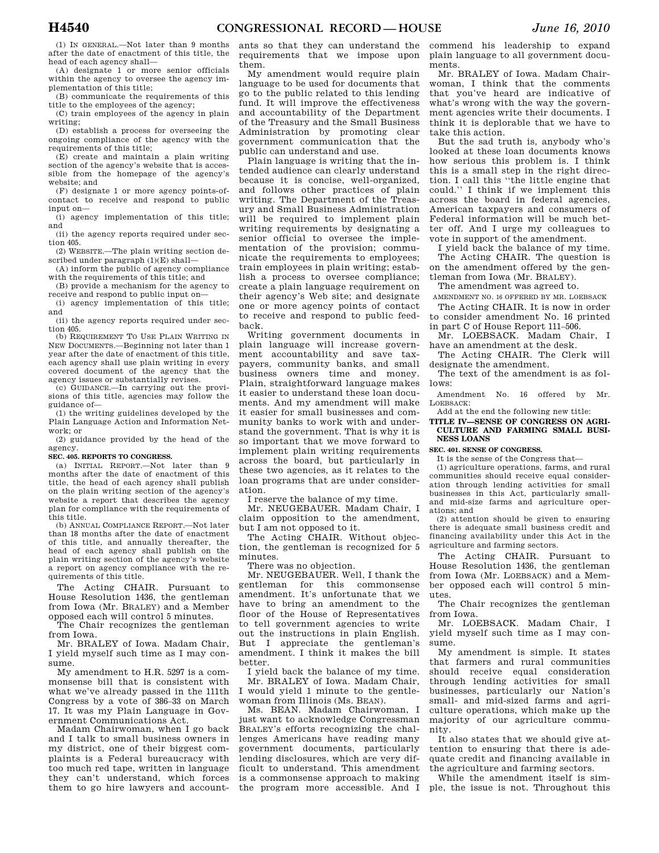(1) IN GENERAL.—Not later than 9 months after the date of enactment of this title, the head of each agency shall—

(A) designate 1 or more senior officials within the agency to oversee the agency implementation of this title;

(B) communicate the requirements of this title to the employees of the agency;

(C) train employees of the agency in plain writing;

(D) establish a process for overseeing the ongoing compliance of the agency with the requirements of this title;

(E) create and maintain a plain writing section of the agency's website that is accessible from the homepage of the agency's website; and

(F) designate 1 or more agency points-ofcontact to receive and respond to public input on—

(i) agency implementation of this title; and

(ii) the agency reports required under section 405.

(2) WEBSITE.—The plain writing section described under paragraph (1)(E) shall—

(A) inform the public of agency compliance with the requirements of this title; and

(B) provide a mechanism for the agency to receive and respond to public input on—

(i) agency implementation of this title; and

(ii) the agency reports required under section 405.

(b) REQUIREMENT TO USE PLAIN WRITING IN NEW DOCUMENTS.—Beginning not later than 1 year after the date of enactment of this title, each agency shall use plain writing in every covered document of the agency that the agency issues or substantially revises.

(c) GUIDANCE.—In carrying out the provisions of this title, agencies may follow the guidance of—

(1) the writing guidelines developed by the Plain Language Action and Information Network; or

(2) guidance provided by the head of the agency.

#### **SEC. 405. REPORTS TO CONGRESS.**

(a) INITIAL REPORT.—Not later than 9 months after the date of enactment of this title, the head of each agency shall publish on the plain writing section of the agency's website a report that describes the agency plan for compliance with the requirements of this title.

(b) ANNUAL COMPLIANCE REPORT.—Not later than 18 months after the date of enactment of this title, and annually thereafter, the head of each agency shall publish on the plain writing section of the agency's website a report on agency compliance with the requirements of this title.

The Acting CHAIR. Pursuant to House Resolution 1436, the gentleman from Iowa (Mr. BRALEY) and a Member opposed each will control 5 minutes.

The Chair recognizes the gentleman from Iowa.

Mr. BRALEY of Iowa. Madam Chair, I yield myself such time as I may consume.

My amendment to H.R. 5297 is a commonsense bill that is consistent with what we've already passed in the 111th Congress by a vote of 386–33 on March 17. It was my Plain Language in Government Communications Act.

Madam Chairwoman, when I go back and I talk to small business owners in my district, one of their biggest complaints is a Federal bureaucracy with too much red tape, written in language they can't understand, which forces them to go hire lawyers and account-

ants so that they can understand the requirements that we impose upon them.

My amendment would require plain language to be used for documents that go to the public related to this lending fund. It will improve the effectiveness and accountability of the Department of the Treasury and the Small Business Administration by promoting clear government communication that the public can understand and use.

Plain language is writing that the intended audience can clearly understand because it is concise, well-organized, and follows other practices of plain writing. The Department of the Treasury and Small Business Administration will be required to implement plain writing requirements by designating a senior official to oversee the implementation of the provision; communicate the requirements to employees; train employees in plain writing; establish a process to oversee compliance; create a plain language requirement on their agency's Web site; and designate one or more agency points of contact to receive and respond to public feedback.

Writing government documents in plain language will increase government accountability and save taxpayers, community banks, and small business owners time and money. Plain, straightforward language makes it easier to understand these loan documents. And my amendment will make it easier for small businesses and community banks to work with and understand the government. That is why it is so important that we move forward to implement plain writing requirements across the board, but particularly in these two agencies, as it relates to the loan programs that are under consideration.

I reserve the balance of my time.

Mr. NEUGEBAUER. Madam Chair, I claim opposition to the amendment, but I am not opposed to it.

The Acting CHAIR. Without objection, the gentleman is recognized for 5 minutes.

There was no objection.

Mr. NEUGEBAUER. Well, I thank the gentleman for this commonsense amendment. It's unfortunate that we have to bring an amendment to the floor of the House of Representatives to tell government agencies to write out the instructions in plain English. But I appreciate the gentleman's amendment. I think it makes the bill better.

I yield back the balance of my time. Mr. BRALEY of Iowa. Madam Chair, I would yield 1 minute to the gentlewoman from Illinois (Ms. BEAN).

Ms. BEAN. Madam Chairwoman, I just want to acknowledge Congressman BRALEY's efforts recognizing the challenges Americans have reading many government documents, particularly lending disclosures, which are very difficult to understand. This amendment is a commonsense approach to making the program more accessible. And I commend his leadership to expand plain language to all government documents.

Mr. BRALEY of Iowa. Madam Chairwoman, I think that the comments that you've heard are indicative of what's wrong with the way the government agencies write their documents. I think it is deplorable that we have to take this action.

But the sad truth is, anybody who's looked at these loan documents knows how serious this problem is. I think this is a small step in the right direction. I call this ''the little engine that could.'' I think if we implement this across the board in federal agencies, American taxpayers and consumers of Federal information will be much better off. And I urge my colleagues to vote in support of the amendment.

I yield back the balance of my time. The Acting CHAIR. The question is on the amendment offered by the gentleman from Iowa (Mr. BRALEY).

The amendment was agreed to.

AMENDMENT NO. 16 OFFERED BY MR. LOEBSACK The Acting CHAIR. It is now in order to consider amendment No. 16 printed

in part C of House Report 111–506. Mr. LOEBSACK. Madam Chair, I

have an amendment at the desk. The Acting CHAIR. The Clerk will

designate the amendment.

The text of the amendment is as follows:

Amendment No. 16 offered by Mr. LOEBSACK:

Add at the end the following new title:

#### **TITLE IV—SENSE OF CONGRESS ON AGRI-CULTURE AND FARMING SMALL BUSI-NESS LOANS**

**SEC. 401. SENSE OF CONGRESS.** 

It is the sense of the Congress that—

(1) agriculture operations, farms, and rural communities should receive equal consideration through lending activities for small businesses in this Act, particularly smalland mid-size farms and agriculture operations; and

(2) attention should be given to ensuring there is adequate small business credit and financing availability under this Act in the agriculture and farming sectors.

The Acting CHAIR. Pursuant to House Resolution 1436, the gentleman from Iowa (Mr. LOEBSACK) and a Member opposed each will control 5 minutes.

The Chair recognizes the gentleman from Iowa.

Mr. LOEBSACK. Madam Chair, I yield myself such time as I may consume.

My amendment is simple. It states that farmers and rural communities should receive equal consideration through lending activities for small businesses, particularly our Nation's small- and mid-sized farms and agriculture operations, which make up the majority of our agriculture community.

It also states that we should give attention to ensuring that there is adequate credit and financing available in the agriculture and farming sectors.

While the amendment itself is simple, the issue is not. Throughout this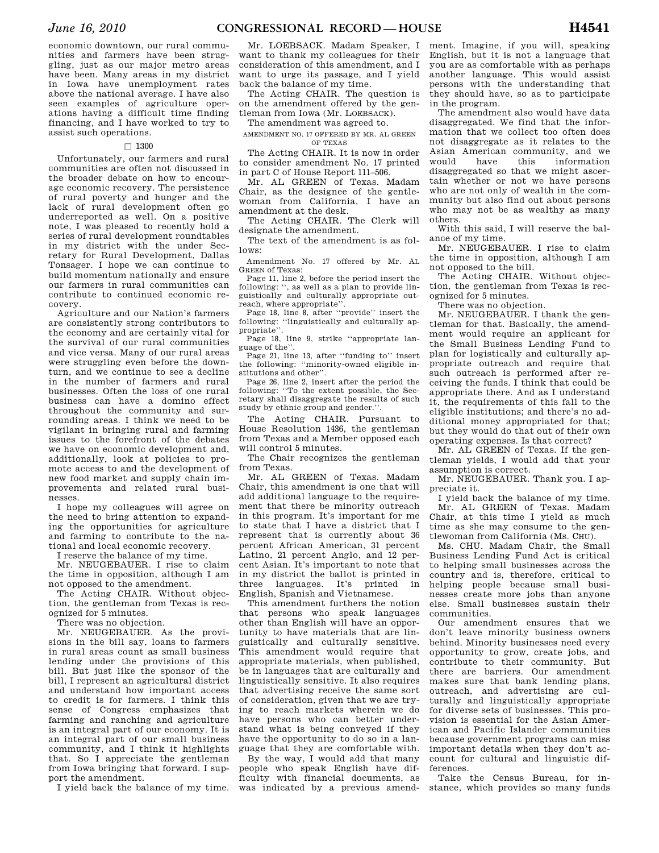economic downtown, our rural communities and farmers have been struggling, just as our major metro areas have been. Many areas in my district in Iowa have unemployment rates above the national average. I have also seen examples of agriculture operations having a difficult time finding financing, and I have worked to try to assist such operations.

#### $\Box$  1300

Unfortunately, our farmers and rural communities are often not discussed in the broader debate on how to encourage economic recovery. The persistence of rural poverty and hunger and the lack of rural development often go underreported as well. On a positive note, I was pleased to recently hold a series of rural development roundtables in my district with the under Secretary for Rural Development, Dallas Tonsager. I hope we can continue to build momentum nationally and ensure our farmers in rural communities can contribute to continued economic recovery.

Agriculture and our Nation's farmers are consistently strong contributors to the economy and are certainly vital for the survival of our rural communities and vice versa. Many of our rural areas were struggling even before the downturn, and we continue to see a decline in the number of farmers and rural businesses. Often the loss of one rural business can have a domino effect throughout the community and surrounding areas. I think we need to be vigilant in bringing rural and farming issues to the forefront of the debates we have on economic development and, additionally, look at policies to promote access to and the development of new food market and supply chain improvements and related rural businesses.

I hope my colleagues will agree on the need to bring attention to expanding the opportunities for agriculture and farming to contribute to the national and local economic recovery.

I reserve the balance of my time.

Mr. NEUGEBAUER. I rise to claim the time in opposition, although I am not opposed to the amendment.

The Acting CHAIR. Without objection, the gentleman from Texas is recognized for 5 minutes.

There was no objection.

Mr. NEUGEBAUER. As the provisions in the bill say, loans to farmers in rural areas count as small business lending under the provisions of this bill. But just like the sponsor of the bill, I represent an agricultural district and understand how important access to credit is for farmers. I think this sense of Congress emphasizes that farming and ranching and agriculture is an integral part of our economy. It is an integral part of our small business community, and I think it highlights that. So I appreciate the gentleman from Iowa bringing that forward. I support the amendment.

Mr. LOEBSACK. Madam Speaker, I want to thank my colleagues for their consideration of this amendment, and I want to urge its passage, and I yield back the balance of my time.

The Acting CHAIR. The question is on the amendment offered by the gentleman from Iowa (Mr. LOEBSACK).

The amendment was agreed to.

AMENDMENT NO. 17 OFFERED BY MR. AL GREEN OF TEXAS

The Acting CHAIR. It is now in order to consider amendment No. 17 printed in part C of House Report 111–506.

Mr. AL GREEN of Texas. Madam Chair, as the designee of the gentlewoman from California, I have an amendment at the desk.

The Acting CHAIR. The Clerk will designate the amendment.

The text of the amendment is as follows:

Amendment No. 17 offered by Mr. AL GREEN of Texas:

Page 11, line 2, before the period insert the following: '', as well as a plan to provide linguistically and culturally appropriate outreach, where appropriate''.

Page 18, line 8, after ''provide'' insert the following: ''linguistically and culturally appropriate''.

Page 18, line 9, strike ''appropriate language of the''.

Page 21, line 13, after "funding to" insert the following: ''minority-owned eligible institutions and other''.

Page 26, line 2, insert after the period the following: ''To the extent possible, the Secretary shall disaggregate the results of such study by ethnic group and gender.''.

The Acting CHAIR. Pursuant to House Resolution 1436, the gentleman from Texas and a Member opposed each will control 5 minutes.

The Chair recognizes the gentleman from Texas.

Mr. AL GREEN of Texas. Madam Chair, this amendment is one that will add additional language to the requirement that there be minority outreach in this program. It's important for me to state that I have a district that I represent that is currently about 36 percent African American, 31 percent Latino, 21 percent Anglo, and 12 percent Asian. It's important to note that in my district the ballot is printed in three languages. It's printed in English, Spanish and Vietnamese.

This amendment furthers the notion that persons who speak languages other than English will have an opportunity to have materials that are linguistically and culturally sensitive. This amendment would require that appropriate materials, when published, be in languages that are culturally and linguistically sensitive. It also requires that advertising receive the same sort of consideration, given that we are trying to reach markets wherein we do have persons who can better understand what is being conveyed if they have the opportunity to do so in a language that they are comfortable with.

I yield back the balance of my time. was indicated by a previous amend-By the way, I would add that many people who speak English have difficulty with financial documents, as

ment. Imagine, if you will, speaking English, but it is not a language that you are as comfortable with as perhaps another language. This would assist persons with the understanding that they should have, so as to participate in the program.

The amendment also would have data disaggregated. We find that the information that we collect too often does not disaggregate as it relates to the Asian American community, and we<br>would have this information have this information disaggregated so that we might ascertain whether or not we have persons who are not only of wealth in the community but also find out about persons who may not be as wealthy as many others.

With this said, I will reserve the balance of my time.

Mr. NEUGEBAUER. I rise to claim the time in opposition, although I am not opposed to the bill.

The Acting CHAIR. Without objection, the gentleman from Texas is recognized for 5 minutes.

There was no objection.

Mr. NEUGEBAUER. I thank the gentleman for that. Basically, the amendment would require an applicant for the Small Business Lending Fund to plan for logistically and culturally appropriate outreach and require that such outreach is performed after receiving the funds. I think that could be appropriate there. And as I understand it, the requirements of this fall to the eligible institutions; and there's no additional money appropriated for that; but they would do that out of their own operating expenses. Is that correct?

Mr. AL GREEN of Texas. If the gentleman yields, I would add that your assumption is correct.

Mr. NEUGEBAUER. Thank you. I appreciate it.

I yield back the balance of my time. Mr. AL GREEN of Texas. Madam Chair, at this time I yield as much time as she may consume to the gentlewoman from California (Ms. CHU).

Ms. CHU. Madam Chair, the Small Business Lending Fund Act is critical to helping small businesses across the country and is, therefore, critical to helping people because small businesses create more jobs than anyone else. Small businesses sustain their communities.

Our amendment ensures that we don't leave minority business owners behind. Minority businesses need every opportunity to grow, create jobs, and contribute to their community. But there are barriers. Our amendment makes sure that bank lending plans, outreach, and advertising are culturally and linguistically appropriate for diverse sets of businesses. This provision is essential for the Asian American and Pacific Islander communities because government programs can miss important details when they don't account for cultural and linguistic differences.

Take the Census Bureau, for instance, which provides so many funds